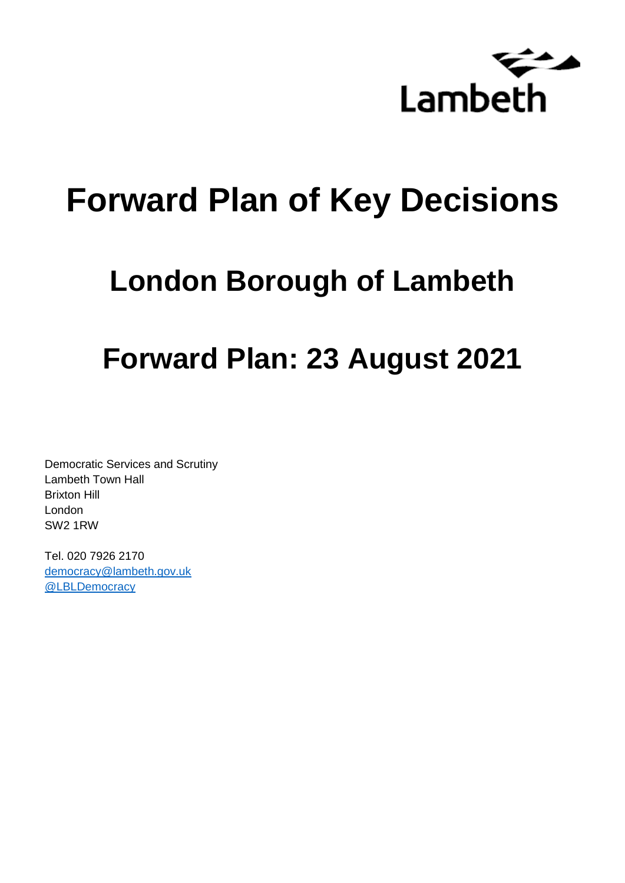

# **Forward Plan of Key Decisions**

# **London Borough of Lambeth**

# **Forward Plan: 23 August 2021**

Democratic Services and Scrutiny Lambeth Town Hall Brixton Hill London SW2 1RW

Tel. 020 7926 2170 [democracy@lambeth.gov.uk](mailto:democracy@lambeth.gov.uk) [@LBLDemocracy](https://twitter.com/LBLDemocracy?lang=en)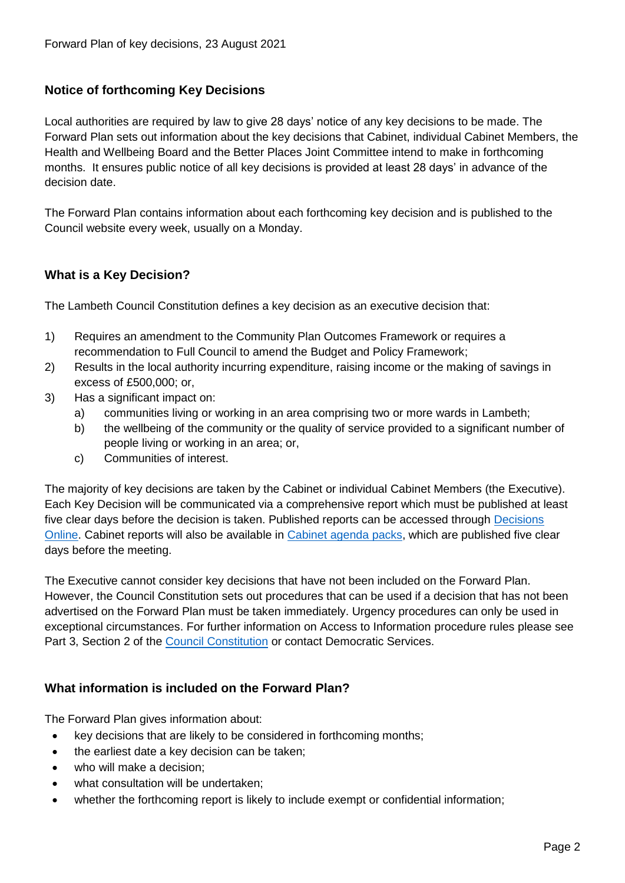#### **Notice of forthcoming Key Decisions**

Local authorities are required by law to give 28 days' notice of any key decisions to be made. The Forward Plan sets out information about the key decisions that Cabinet, individual Cabinet Members, the Health and Wellbeing Board and the Better Places Joint Committee intend to make in forthcoming months. It ensures public notice of all key decisions is provided at least 28 days' in advance of the decision date.

The Forward Plan contains information about each forthcoming key decision and is published to the Council website every week, usually on a Monday.

#### **What is a Key Decision?**

The Lambeth Council Constitution defines a key decision as an executive decision that:

- 1) Requires an amendment to the Community Plan Outcomes Framework or requires a recommendation to Full Council to amend the Budget and Policy Framework;
- 2) Results in the local authority incurring expenditure, raising income or the making of savings in excess of £500,000; or,
- 3) Has a significant impact on:
	- a) communities living or working in an area comprising two or more wards in Lambeth;
	- b) the wellbeing of the community or the quality of service provided to a significant number of people living or working in an area; or,
	- c) Communities of interest.

The majority of key decisions are taken by the Cabinet or individual Cabinet Members (the Executive). Each Key Decision will be communicated via a comprehensive report which must be published at least five clear days before the decision is taken. Published reports can be accessed through Decisions [Online.](http://moderngov.lambeth.gov.uk/mgDelegatedDecisions.aspx?bcr=1&DM=0&DS=2&K=0&DR=&V=0) Cabinet reports will also be available in [Cabinet agenda packs,](https://moderngov.lambeth.gov.uk/ieListMeetings.aspx?CommitteeId=225) which are published five clear days before the meeting.

The Executive cannot consider key decisions that have not been included on the Forward Plan. However, the Council Constitution sets out procedures that can be used if a decision that has not been advertised on the Forward Plan must be taken immediately. Urgency procedures can only be used in exceptional circumstances. For further information on Access to Information procedure rules please see Part 3, Section 2 of the [Council Constitution](http://moderngov.lambeth.gov.uk/ieListMeetings.aspx?CId=738&info=1&MD=Constitution) or contact Democratic Services.

#### **What information is included on the Forward Plan?**

The Forward Plan gives information about:

- key decisions that are likely to be considered in forthcoming months;
- the earliest date a key decision can be taken;
- who will make a decision;
- what consultation will be undertaken;
- whether the forthcoming report is likely to include exempt or confidential information;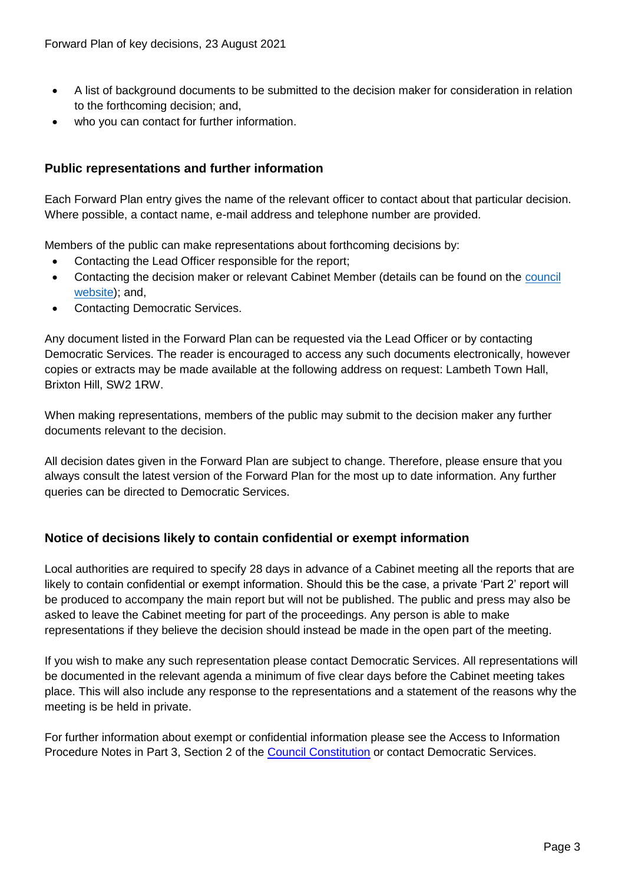- A list of background documents to be submitted to the decision maker for consideration in relation to the forthcoming decision; and,
- who you can contact for further information.

#### **Public representations and further information**

Each Forward Plan entry gives the name of the relevant officer to contact about that particular decision. Where possible, a contact name, e-mail address and telephone number are provided.

Members of the public can make representations about forthcoming decisions by:

- Contacting the Lead Officer responsible for the report;
- Contacting the decision maker or relevant Cabinet Member (details can be found on the council [website\)](http://moderngov.lambeth.gov.uk/mgMemberIndex.aspx?bcr=1); and,
- Contacting Democratic Services.

Any document listed in the Forward Plan can be requested via the Lead Officer or by contacting Democratic Services. The reader is encouraged to access any such documents electronically, however copies or extracts may be made available at the following address on request: Lambeth Town Hall, Brixton Hill, SW2 1RW.

When making representations, members of the public may submit to the decision maker any further documents relevant to the decision.

All decision dates given in the Forward Plan are subject to change. Therefore, please ensure that you always consult the latest version of the Forward Plan for the most up to date information. Any further queries can be directed to Democratic Services.

#### **Notice of decisions likely to contain confidential or exempt information**

Local authorities are required to specify 28 days in advance of a Cabinet meeting all the reports that are likely to contain confidential or exempt information. Should this be the case, a private 'Part 2' report will be produced to accompany the main report but will not be published. The public and press may also be asked to leave the Cabinet meeting for part of the proceedings. Any person is able to make representations if they believe the decision should instead be made in the open part of the meeting.

If you wish to make any such representation please contact Democratic Services. All representations will be documented in the relevant agenda a minimum of five clear days before the Cabinet meeting takes place. This will also include any response to the representations and a statement of the reasons why the meeting is be held in private.

For further information about exempt or confidential information please see the Access to Information Procedure Notes in Part 3, Section 2 of the [Council Constitution](http://moderngov.lambeth.gov.uk/ieListMeetings.aspx?CId=738&info=1&MD=Constitution) or contact Democratic Services.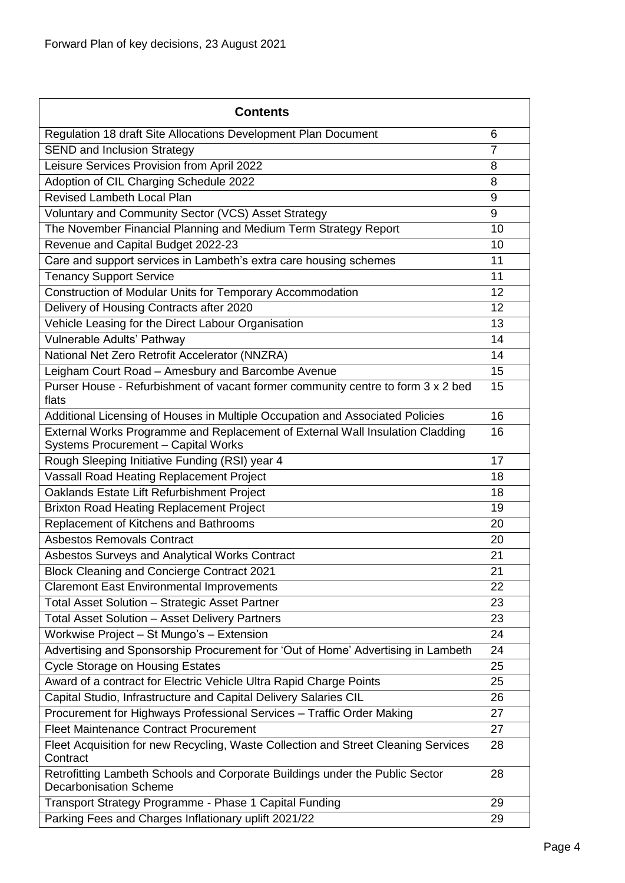| <b>Contents</b>                                                                                                      |                |
|----------------------------------------------------------------------------------------------------------------------|----------------|
| Regulation 18 draft Site Allocations Development Plan Document                                                       | 6              |
| <b>SEND and Inclusion Strategy</b>                                                                                   | $\overline{7}$ |
| Leisure Services Provision from April 2022                                                                           | 8              |
| Adoption of CIL Charging Schedule 2022                                                                               | 8              |
| <b>Revised Lambeth Local Plan</b>                                                                                    | 9              |
| Voluntary and Community Sector (VCS) Asset Strategy                                                                  | 9              |
| The November Financial Planning and Medium Term Strategy Report                                                      | 10             |
| Revenue and Capital Budget 2022-23                                                                                   | 10             |
| Care and support services in Lambeth's extra care housing schemes                                                    | 11             |
| <b>Tenancy Support Service</b>                                                                                       | 11             |
| Construction of Modular Units for Temporary Accommodation                                                            | 12             |
| Delivery of Housing Contracts after 2020                                                                             | 12             |
| Vehicle Leasing for the Direct Labour Organisation                                                                   | 13             |
| Vulnerable Adults' Pathway                                                                                           | 14             |
| National Net Zero Retrofit Accelerator (NNZRA)                                                                       | 14             |
| Leigham Court Road - Amesbury and Barcombe Avenue                                                                    | 15             |
| Purser House - Refurbishment of vacant former community centre to form 3 x 2 bed<br>flats                            | 15             |
| Additional Licensing of Houses in Multiple Occupation and Associated Policies                                        | 16             |
| External Works Programme and Replacement of External Wall Insulation Cladding<br>Systems Procurement - Capital Works | 16             |
| Rough Sleeping Initiative Funding (RSI) year 4                                                                       | 17             |
| Vassall Road Heating Replacement Project                                                                             | 18             |
| Oaklands Estate Lift Refurbishment Project                                                                           | 18             |
| <b>Brixton Road Heating Replacement Project</b>                                                                      | 19             |
| Replacement of Kitchens and Bathrooms                                                                                | 20             |
| <b>Asbestos Removals Contract</b>                                                                                    | 20             |
| Asbestos Surveys and Analytical Works Contract                                                                       | 21             |
| <b>Block Cleaning and Concierge Contract 2021</b>                                                                    | 21             |
| <b>Claremont East Environmental Improvements</b>                                                                     | 22             |
| Total Asset Solution - Strategic Asset Partner                                                                       | 23             |
| <b>Total Asset Solution - Asset Delivery Partners</b>                                                                | 23             |
| Workwise Project - St Mungo's - Extension                                                                            | 24             |
| Advertising and Sponsorship Procurement for 'Out of Home' Advertising in Lambeth                                     | 24             |
| <b>Cycle Storage on Housing Estates</b>                                                                              | 25             |
| Award of a contract for Electric Vehicle Ultra Rapid Charge Points                                                   | 25             |
| Capital Studio, Infrastructure and Capital Delivery Salaries CIL                                                     | 26             |
| Procurement for Highways Professional Services - Traffic Order Making                                                | 27             |
| <b>Fleet Maintenance Contract Procurement</b>                                                                        | 27             |
| Fleet Acquisition for new Recycling, Waste Collection and Street Cleaning Services<br>Contract                       | 28             |
| Retrofitting Lambeth Schools and Corporate Buildings under the Public Sector<br><b>Decarbonisation Scheme</b>        | 28             |
| Transport Strategy Programme - Phase 1 Capital Funding                                                               | 29             |
| Parking Fees and Charges Inflationary uplift 2021/22                                                                 | 29             |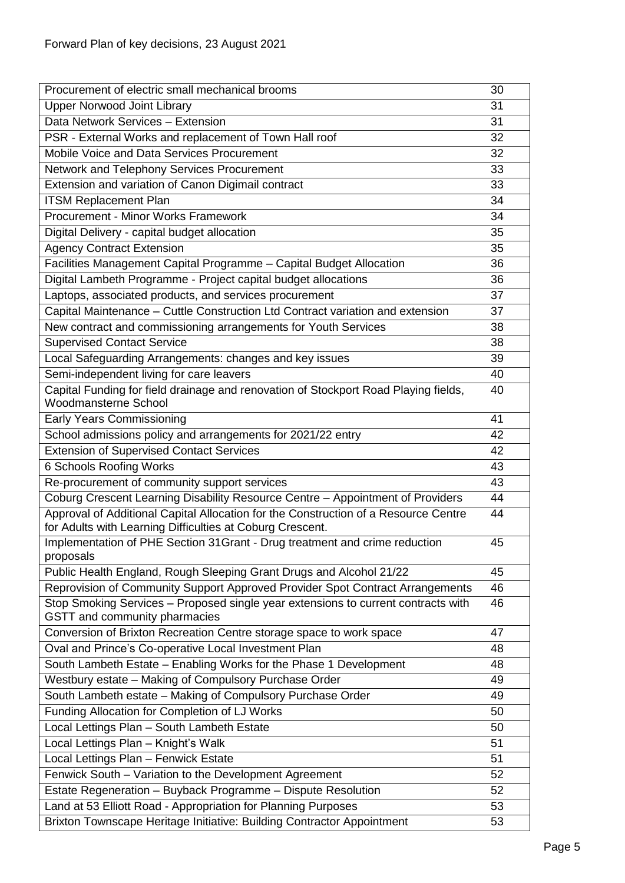| Procurement of electric small mechanical brooms                                                                    | 30 |
|--------------------------------------------------------------------------------------------------------------------|----|
| <b>Upper Norwood Joint Library</b>                                                                                 | 31 |
| Data Network Services - Extension                                                                                  | 31 |
| PSR - External Works and replacement of Town Hall roof                                                             | 32 |
| Mobile Voice and Data Services Procurement                                                                         | 32 |
| Network and Telephony Services Procurement                                                                         | 33 |
| Extension and variation of Canon Digimail contract                                                                 | 33 |
| <b>ITSM Replacement Plan</b>                                                                                       | 34 |
| <b>Procurement - Minor Works Framework</b>                                                                         | 34 |
| Digital Delivery - capital budget allocation                                                                       | 35 |
| <b>Agency Contract Extension</b>                                                                                   | 35 |
| Facilities Management Capital Programme - Capital Budget Allocation                                                | 36 |
| Digital Lambeth Programme - Project capital budget allocations                                                     | 36 |
| Laptops, associated products, and services procurement                                                             | 37 |
| Capital Maintenance - Cuttle Construction Ltd Contract variation and extension                                     | 37 |
| New contract and commissioning arrangements for Youth Services                                                     | 38 |
| <b>Supervised Contact Service</b>                                                                                  | 38 |
| Local Safeguarding Arrangements: changes and key issues                                                            | 39 |
| Semi-independent living for care leavers                                                                           | 40 |
| Capital Funding for field drainage and renovation of Stockport Road Playing fields,                                | 40 |
| <b>Woodmansterne School</b>                                                                                        |    |
| <b>Early Years Commissioning</b>                                                                                   | 41 |
| School admissions policy and arrangements for 2021/22 entry                                                        | 42 |
| <b>Extension of Supervised Contact Services</b>                                                                    | 42 |
| 6 Schools Roofing Works                                                                                            | 43 |
| Re-procurement of community support services                                                                       | 43 |
| Coburg Crescent Learning Disability Resource Centre - Appointment of Providers                                     | 44 |
| Approval of Additional Capital Allocation for the Construction of a Resource Centre                                | 44 |
| for Adults with Learning Difficulties at Coburg Crescent.                                                          |    |
| Implementation of PHE Section 31 Grant - Drug treatment and crime reduction                                        | 45 |
| proposals                                                                                                          |    |
| Public Health England, Rough Sleeping Grant Drugs and Alcohol 21/22                                                | 45 |
| Reprovision of Community Support Approved Provider Spot Contract Arrangements                                      | 46 |
| Stop Smoking Services - Proposed single year extensions to current contracts with<br>GSTT and community pharmacies | 46 |
| Conversion of Brixton Recreation Centre storage space to work space                                                | 47 |
| Oval and Prince's Co-operative Local Investment Plan                                                               | 48 |
| South Lambeth Estate - Enabling Works for the Phase 1 Development                                                  | 48 |
| Westbury estate - Making of Compulsory Purchase Order                                                              | 49 |
| South Lambeth estate - Making of Compulsory Purchase Order                                                         | 49 |
| Funding Allocation for Completion of LJ Works                                                                      | 50 |
| Local Lettings Plan - South Lambeth Estate                                                                         | 50 |
| Local Lettings Plan - Knight's Walk                                                                                | 51 |
| Local Lettings Plan - Fenwick Estate                                                                               | 51 |
| Fenwick South - Variation to the Development Agreement                                                             | 52 |
| Estate Regeneration - Buyback Programme - Dispute Resolution                                                       | 52 |
| Land at 53 Elliott Road - Appropriation for Planning Purposes                                                      | 53 |
| Brixton Townscape Heritage Initiative: Building Contractor Appointment                                             | 53 |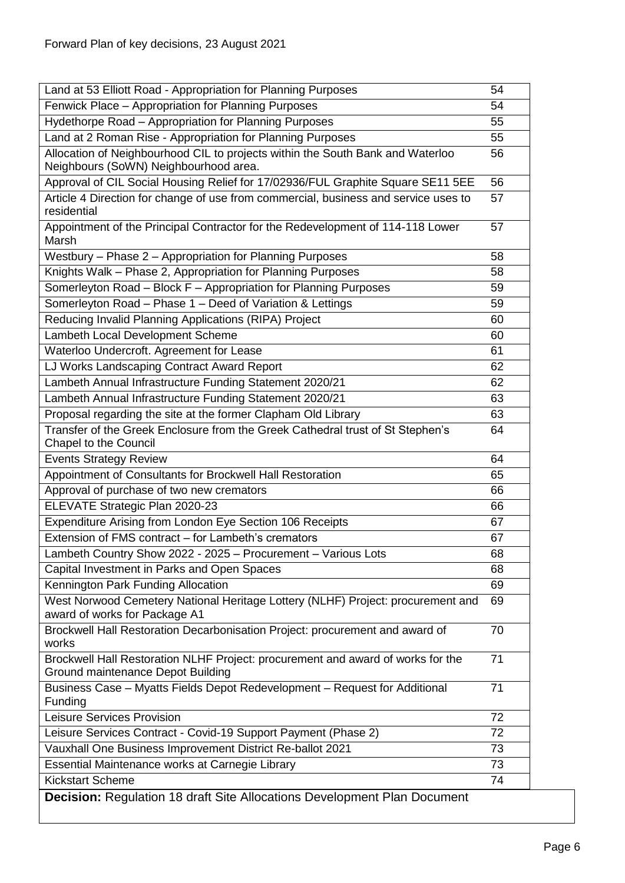<span id="page-5-0"></span>

| Land at 53 Elliott Road - Appropriation for Planning Purposes                                                           | 54 |
|-------------------------------------------------------------------------------------------------------------------------|----|
| Fenwick Place - Appropriation for Planning Purposes                                                                     | 54 |
| Hydethorpe Road - Appropriation for Planning Purposes                                                                   | 55 |
| Land at 2 Roman Rise - Appropriation for Planning Purposes                                                              | 55 |
| Allocation of Neighbourhood CIL to projects within the South Bank and Waterloo<br>Neighbours (SoWN) Neighbourhood area. | 56 |
| Approval of CIL Social Housing Relief for 17/02936/FUL Graphite Square SE11 5EE                                         | 56 |
| Article 4 Direction for change of use from commercial, business and service uses to                                     | 57 |
| residential                                                                                                             |    |
| Appointment of the Principal Contractor for the Redevelopment of 114-118 Lower<br>Marsh                                 | 57 |
| Westbury - Phase 2 - Appropriation for Planning Purposes                                                                | 58 |
| Knights Walk - Phase 2, Appropriation for Planning Purposes                                                             | 58 |
| Somerleyton Road - Block F - Appropriation for Planning Purposes                                                        | 59 |
| Somerleyton Road - Phase 1 - Deed of Variation & Lettings                                                               | 59 |
| Reducing Invalid Planning Applications (RIPA) Project                                                                   | 60 |
| Lambeth Local Development Scheme                                                                                        | 60 |
| Waterloo Undercroft. Agreement for Lease                                                                                | 61 |
| LJ Works Landscaping Contract Award Report                                                                              | 62 |
| Lambeth Annual Infrastructure Funding Statement 2020/21                                                                 | 62 |
| Lambeth Annual Infrastructure Funding Statement 2020/21                                                                 | 63 |
| Proposal regarding the site at the former Clapham Old Library                                                           | 63 |
| Transfer of the Greek Enclosure from the Greek Cathedral trust of St Stephen's<br>Chapel to the Council                 | 64 |
| <b>Events Strategy Review</b>                                                                                           | 64 |
| Appointment of Consultants for Brockwell Hall Restoration                                                               | 65 |
| Approval of purchase of two new cremators                                                                               | 66 |
| ELEVATE Strategic Plan 2020-23                                                                                          | 66 |
| Expenditure Arising from London Eye Section 106 Receipts                                                                | 67 |
| Extension of FMS contract - for Lambeth's cremators                                                                     | 67 |
| Lambeth Country Show 2022 - 2025 - Procurement - Various Lots                                                           | 68 |
| Capital Investment in Parks and Open Spaces                                                                             | 68 |
| Kennington Park Funding Allocation                                                                                      | 69 |
| West Norwood Cemetery National Heritage Lottery (NLHF) Project: procurement and<br>award of works for Package A1        | 69 |
| Brockwell Hall Restoration Decarbonisation Project: procurement and award of<br>works                                   | 70 |
| Brockwell Hall Restoration NLHF Project: procurement and award of works for the<br>Ground maintenance Depot Building    | 71 |
| Business Case - Myatts Fields Depot Redevelopment - Request for Additional<br>Funding                                   | 71 |
| Leisure Services Provision                                                                                              | 72 |
| Leisure Services Contract - Covid-19 Support Payment (Phase 2)                                                          | 72 |
| Vauxhall One Business Improvement District Re-ballot 2021                                                               | 73 |
| Essential Maintenance works at Carnegie Library                                                                         | 73 |
| <b>Kickstart Scheme</b>                                                                                                 | 74 |
| <b>Decision: Regulation 18 draft Site Allocations Development Plan Document</b>                                         |    |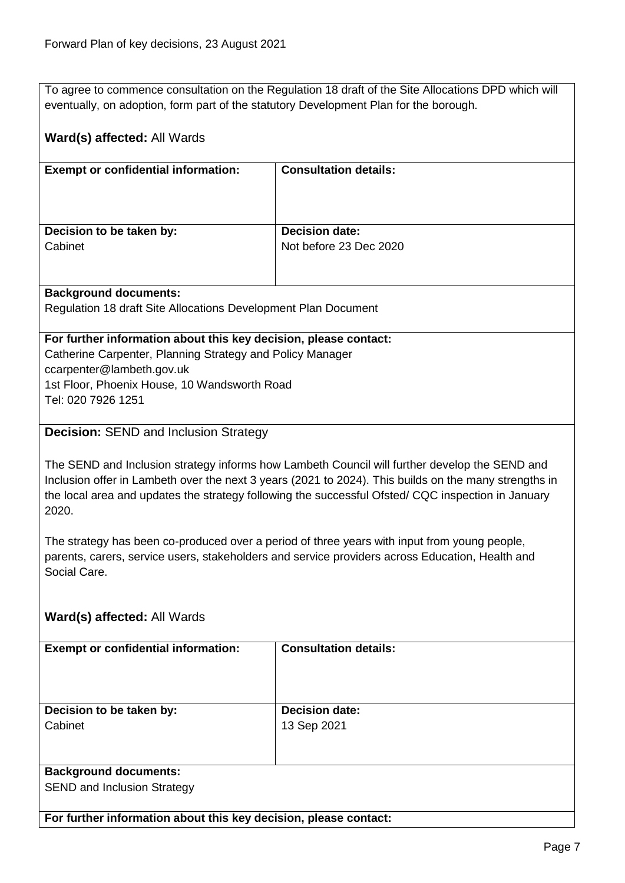To agree to commence consultation on the Regulation 18 draft of the Site Allocations DPD which will eventually, on adoption, form part of the statutory Development Plan for the borough.

#### **Ward(s) affected:** All Wards

| <b>Exempt or confidential information:</b> | <b>Consultation details:</b> |
|--------------------------------------------|------------------------------|
|                                            |                              |
|                                            |                              |
|                                            |                              |
|                                            |                              |
|                                            |                              |
| Decision to be taken by:                   | <b>Decision date:</b>        |
| Cabinet                                    | Not before 23 Dec 2020       |
|                                            |                              |
|                                            |                              |

#### **Background documents:**

Regulation 18 draft Site Allocations Development Plan Document

#### **For further information about this key decision, please contact:**

Catherine Carpenter, Planning Strategy and Policy Manager ccarpenter@lambeth.gov.uk 1st Floor, Phoenix House, 10 Wandsworth Road Tel: 020 7926 1251

#### <span id="page-6-0"></span>**Decision:** SEND and Inclusion Strategy

The SEND and Inclusion strategy informs how Lambeth Council will further develop the SEND and Inclusion offer in Lambeth over the next 3 years (2021 to 2024). This builds on the many strengths in the local area and updates the strategy following the successful Ofsted/ CQC inspection in January 2020.

The strategy has been co-produced over a period of three years with input from young people, parents, carers, service users, stakeholders and service providers across Education, Health and Social Care.

#### **Ward(s) affected:** All Wards

| <b>Exempt or confidential information:</b> | <b>Consultation details:</b> |
|--------------------------------------------|------------------------------|
|                                            |                              |
|                                            |                              |
| Decision to be taken by:                   | <b>Decision date:</b>        |
| Cabinet                                    | 13 Sep 2021                  |
|                                            |                              |
|                                            |                              |
| <b>Background documents:</b>               |                              |
| <b>SEND and Inclusion Strategy</b>         |                              |
|                                            |                              |
|                                            |                              |

**For further information about this key decision, please contact:**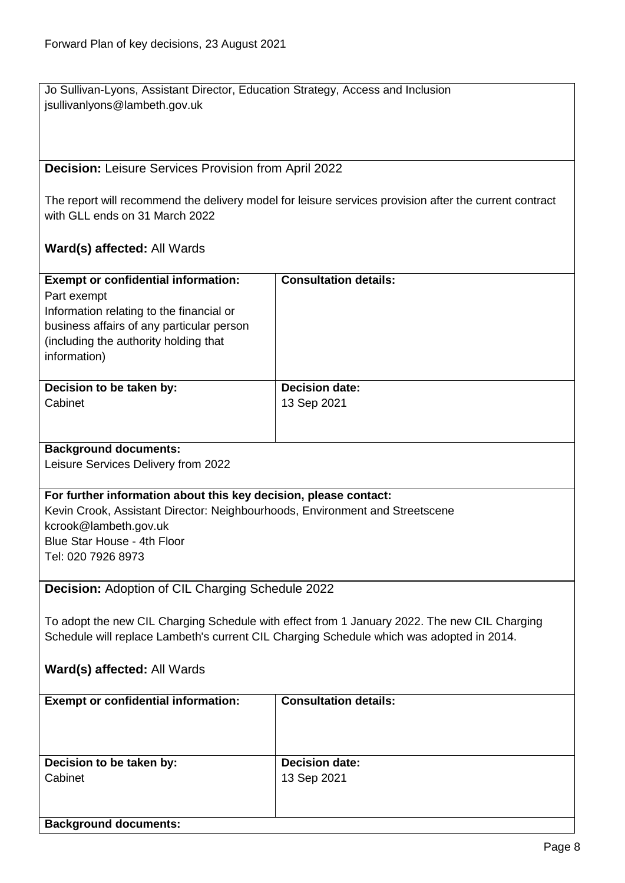Jo Sullivan-Lyons, Assistant Director, Education Strategy, Access and Inclusion jsullivanlyons@lambeth.gov.uk

### <span id="page-7-0"></span>**Decision:** Leisure Services Provision from April 2022

The report will recommend the delivery model for leisure services provision after the current contract with GLL ends on 31 March 2022

<span id="page-7-1"></span>

| <b>Exempt or confidential information:</b>                                                   | <b>Consultation details:</b> |  |
|----------------------------------------------------------------------------------------------|------------------------------|--|
| Part exempt                                                                                  |                              |  |
| Information relating to the financial or                                                     |                              |  |
| business affairs of any particular person                                                    |                              |  |
| (including the authority holding that                                                        |                              |  |
| information)                                                                                 |                              |  |
|                                                                                              |                              |  |
| Decision to be taken by:                                                                     | <b>Decision date:</b>        |  |
| Cabinet                                                                                      | 13 Sep 2021                  |  |
|                                                                                              |                              |  |
|                                                                                              |                              |  |
| <b>Background documents:</b>                                                                 |                              |  |
| Leisure Services Delivery from 2022                                                          |                              |  |
|                                                                                              |                              |  |
| For further information about this key decision, please contact:                             |                              |  |
| Kevin Crook, Assistant Director: Neighbourhoods, Environment and Streetscene                 |                              |  |
| kcrook@lambeth.gov.uk                                                                        |                              |  |
| Blue Star House - 4th Floor                                                                  |                              |  |
| Tel: 020 7926 8973                                                                           |                              |  |
|                                                                                              |                              |  |
| Decision: Adoption of CIL Charging Schedule 2022                                             |                              |  |
|                                                                                              |                              |  |
| To adopt the new CIL Charging Schedule with effect from 1 January 2022. The new CIL Charging |                              |  |
| Schedule will replace Lambeth's current CIL Charging Schedule which was adopted in 2014.     |                              |  |
|                                                                                              |                              |  |
| Ward(s) affected: All Wards                                                                  |                              |  |
|                                                                                              |                              |  |
| <b>Exempt or confidential information:</b>                                                   | <b>Consultation details:</b> |  |
|                                                                                              |                              |  |
|                                                                                              |                              |  |
|                                                                                              |                              |  |
| Decision to be taken by:                                                                     | <b>Decision date:</b>        |  |
| Cabinet                                                                                      | 13 Sep 2021                  |  |
|                                                                                              |                              |  |
|                                                                                              |                              |  |
| <b>Background documents:</b>                                                                 |                              |  |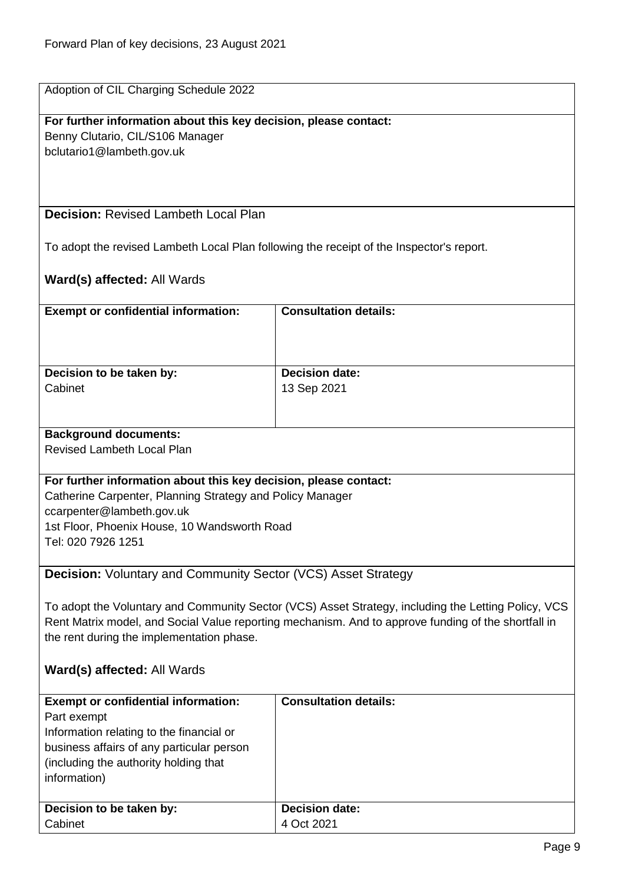| Adoption of CIL Charging Schedule 2022 |
|----------------------------------------|
|                                        |
|                                        |

#### **For further information about this key decision, please contact:** Benny Clutario, CIL/S106 Manager

bclutario1@lambeth.gov.uk

#### <span id="page-8-0"></span>**Decision:** Revised Lambeth Local Plan

To adopt the revised Lambeth Local Plan following the receipt of the Inspector's report.

<span id="page-8-1"></span>

| <b>Exempt or confidential information:</b>                                                          | <b>Consultation details:</b>                                                                        |  |
|-----------------------------------------------------------------------------------------------------|-----------------------------------------------------------------------------------------------------|--|
|                                                                                                     |                                                                                                     |  |
|                                                                                                     |                                                                                                     |  |
|                                                                                                     |                                                                                                     |  |
| Decision to be taken by:                                                                            | Decision date:                                                                                      |  |
| Cabinet                                                                                             | 13 Sep 2021                                                                                         |  |
|                                                                                                     |                                                                                                     |  |
| <b>Background documents:</b>                                                                        |                                                                                                     |  |
| <b>Revised Lambeth Local Plan</b>                                                                   |                                                                                                     |  |
|                                                                                                     |                                                                                                     |  |
| For further information about this key decision, please contact:                                    |                                                                                                     |  |
| Catherine Carpenter, Planning Strategy and Policy Manager                                           |                                                                                                     |  |
| ccarpenter@lambeth.gov.uk                                                                           |                                                                                                     |  |
| 1st Floor, Phoenix House, 10 Wandsworth Road                                                        |                                                                                                     |  |
| Tel: 020 7926 1251                                                                                  |                                                                                                     |  |
|                                                                                                     |                                                                                                     |  |
| <b>Decision:</b> Voluntary and Community Sector (VCS) Asset Strategy                                |                                                                                                     |  |
|                                                                                                     |                                                                                                     |  |
|                                                                                                     | To adopt the Voluntary and Community Sector (VCS) Asset Strategy, including the Letting Policy, VCS |  |
| Rent Matrix model, and Social Value reporting mechanism. And to approve funding of the shortfall in |                                                                                                     |  |
| the rent during the implementation phase.                                                           |                                                                                                     |  |
|                                                                                                     |                                                                                                     |  |
| Ward(s) affected: All Wards                                                                         |                                                                                                     |  |
| <b>Exempt or confidential information:</b>                                                          | <b>Consultation details:</b>                                                                        |  |
| Part exempt                                                                                         |                                                                                                     |  |
| Information relating to the financial or                                                            |                                                                                                     |  |
| business affairs of any particular person                                                           |                                                                                                     |  |
| (including the authority holding that                                                               |                                                                                                     |  |
| information)                                                                                        |                                                                                                     |  |
|                                                                                                     |                                                                                                     |  |
| Decision to be taken by:                                                                            | <b>Decision date:</b>                                                                               |  |
| Cabinet                                                                                             | 4 Oct 2021                                                                                          |  |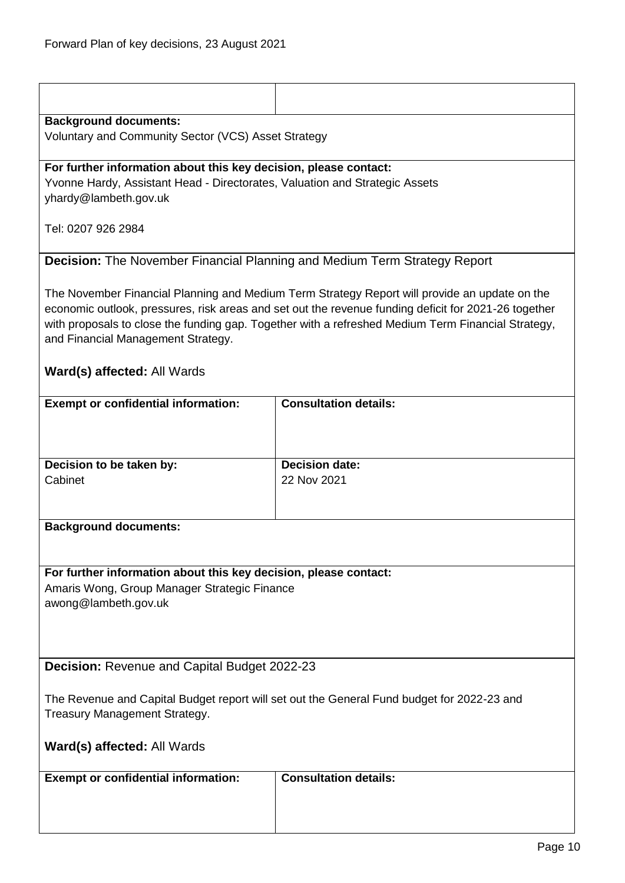<span id="page-9-1"></span><span id="page-9-0"></span>

| <b>Background documents:</b>                                                                                                                                                                                                                                                                                                                      |                              |  |
|---------------------------------------------------------------------------------------------------------------------------------------------------------------------------------------------------------------------------------------------------------------------------------------------------------------------------------------------------|------------------------------|--|
| Voluntary and Community Sector (VCS) Asset Strategy                                                                                                                                                                                                                                                                                               |                              |  |
| For further information about this key decision, please contact:                                                                                                                                                                                                                                                                                  |                              |  |
| Yvonne Hardy, Assistant Head - Directorates, Valuation and Strategic Assets                                                                                                                                                                                                                                                                       |                              |  |
| yhardy@lambeth.gov.uk                                                                                                                                                                                                                                                                                                                             |                              |  |
| Tel: 0207 926 2984                                                                                                                                                                                                                                                                                                                                |                              |  |
| <b>Decision:</b> The November Financial Planning and Medium Term Strategy Report                                                                                                                                                                                                                                                                  |                              |  |
| The November Financial Planning and Medium Term Strategy Report will provide an update on the<br>economic outlook, pressures, risk areas and set out the revenue funding deficit for 2021-26 together<br>with proposals to close the funding gap. Together with a refreshed Medium Term Financial Strategy,<br>and Financial Management Strategy. |                              |  |
| Ward(s) affected: All Wards                                                                                                                                                                                                                                                                                                                       |                              |  |
| <b>Exempt or confidential information:</b>                                                                                                                                                                                                                                                                                                        | <b>Consultation details:</b> |  |
|                                                                                                                                                                                                                                                                                                                                                   |                              |  |
| Decision to be taken by:                                                                                                                                                                                                                                                                                                                          | <b>Decision date:</b>        |  |
| Cabinet                                                                                                                                                                                                                                                                                                                                           | 22 Nov 2021                  |  |
| <b>Background documents:</b>                                                                                                                                                                                                                                                                                                                      |                              |  |
|                                                                                                                                                                                                                                                                                                                                                   |                              |  |
| For further information about this key decision, please contact:<br>Amaris Wong, Group Manager Strategic Finance<br>awong@lambeth.gov.uk                                                                                                                                                                                                          |                              |  |
|                                                                                                                                                                                                                                                                                                                                                   |                              |  |
| Decision: Revenue and Capital Budget 2022-23                                                                                                                                                                                                                                                                                                      |                              |  |
| The Revenue and Capital Budget report will set out the General Fund budget for 2022-23 and<br>Treasury Management Strategy.                                                                                                                                                                                                                       |                              |  |
| Ward(s) affected: All Wards                                                                                                                                                                                                                                                                                                                       |                              |  |
|                                                                                                                                                                                                                                                                                                                                                   |                              |  |
| <b>Exempt or confidential information:</b>                                                                                                                                                                                                                                                                                                        | <b>Consultation details:</b> |  |
|                                                                                                                                                                                                                                                                                                                                                   |                              |  |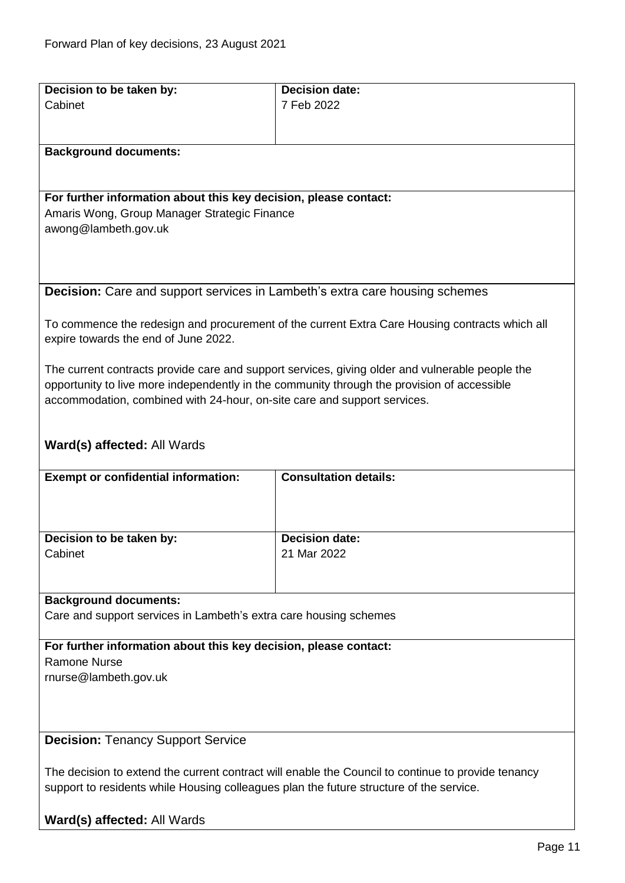<span id="page-10-1"></span><span id="page-10-0"></span>

| Decision to be taken by:                                                                           | <b>Decision date:</b>                                                                           |
|----------------------------------------------------------------------------------------------------|-------------------------------------------------------------------------------------------------|
| Cabinet                                                                                            | 7 Feb 2022                                                                                      |
|                                                                                                    |                                                                                                 |
|                                                                                                    |                                                                                                 |
| <b>Background documents:</b>                                                                       |                                                                                                 |
|                                                                                                    |                                                                                                 |
|                                                                                                    |                                                                                                 |
| For further information about this key decision, please contact:                                   |                                                                                                 |
| Amaris Wong, Group Manager Strategic Finance                                                       |                                                                                                 |
| awong@lambeth.gov.uk                                                                               |                                                                                                 |
|                                                                                                    |                                                                                                 |
|                                                                                                    |                                                                                                 |
| <b>Decision:</b> Care and support services in Lambeth's extra care housing schemes                 |                                                                                                 |
|                                                                                                    |                                                                                                 |
|                                                                                                    | To commence the redesign and procurement of the current Extra Care Housing contracts which all  |
| expire towards the end of June 2022.                                                               |                                                                                                 |
|                                                                                                    |                                                                                                 |
|                                                                                                    | The current contracts provide care and support services, giving older and vulnerable people the |
|                                                                                                    | opportunity to live more independently in the community through the provision of accessible     |
| accommodation, combined with 24-hour, on-site care and support services.                           |                                                                                                 |
|                                                                                                    |                                                                                                 |
|                                                                                                    |                                                                                                 |
| Ward(s) affected: All Wards                                                                        |                                                                                                 |
|                                                                                                    |                                                                                                 |
| <b>Exempt or confidential information:</b>                                                         | <b>Consultation details:</b>                                                                    |
|                                                                                                    |                                                                                                 |
|                                                                                                    |                                                                                                 |
| Decision to be taken by:                                                                           | <b>Decision date:</b>                                                                           |
| Cabinet                                                                                            | 21 Mar 2022                                                                                     |
|                                                                                                    |                                                                                                 |
|                                                                                                    |                                                                                                 |
| <b>Background documents:</b>                                                                       |                                                                                                 |
| Care and support services in Lambeth's extra care housing schemes                                  |                                                                                                 |
|                                                                                                    |                                                                                                 |
| For further information about this key decision, please contact:                                   |                                                                                                 |
| Ramone Nurse                                                                                       |                                                                                                 |
| rnurse@lambeth.gov.uk                                                                              |                                                                                                 |
|                                                                                                    |                                                                                                 |
|                                                                                                    |                                                                                                 |
|                                                                                                    |                                                                                                 |
| <b>Decision: Tenancy Support Service</b>                                                           |                                                                                                 |
|                                                                                                    |                                                                                                 |
| The decision to extend the current contract will enable the Council to continue to provide tenancy |                                                                                                 |
| support to residents while Housing colleagues plan the future structure of the service.            |                                                                                                 |
|                                                                                                    |                                                                                                 |
| Ward(s) affected: All Wards                                                                        |                                                                                                 |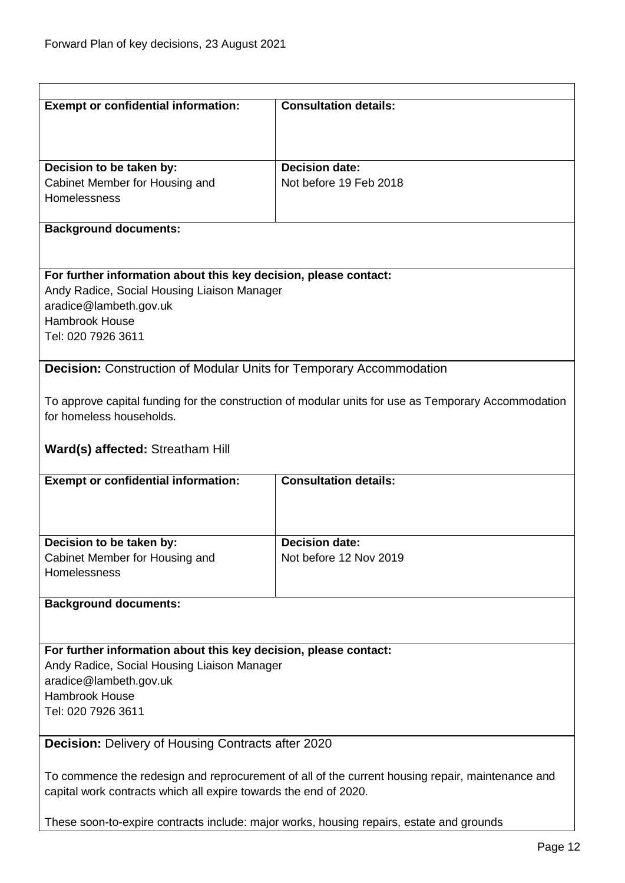<span id="page-11-1"></span><span id="page-11-0"></span>

| <b>Exempt or confidential information:</b>                                                       | <b>Consultation details:</b>                                                                        |  |
|--------------------------------------------------------------------------------------------------|-----------------------------------------------------------------------------------------------------|--|
|                                                                                                  |                                                                                                     |  |
|                                                                                                  |                                                                                                     |  |
| Decision to be taken by:                                                                         | <b>Decision date:</b>                                                                               |  |
| Cabinet Member for Housing and                                                                   | Not before 19 Feb 2018                                                                              |  |
| Homelessness                                                                                     |                                                                                                     |  |
| <b>Background documents:</b>                                                                     |                                                                                                     |  |
|                                                                                                  |                                                                                                     |  |
|                                                                                                  |                                                                                                     |  |
| For further information about this key decision, please contact:                                 |                                                                                                     |  |
| Andy Radice, Social Housing Liaison Manager                                                      |                                                                                                     |  |
| aradice@lambeth.gov.uk                                                                           |                                                                                                     |  |
| <b>Hambrook House</b>                                                                            |                                                                                                     |  |
| Tel: 020 7926 3611                                                                               |                                                                                                     |  |
| <b>Decision:</b> Construction of Modular Units for Temporary Accommodation                       |                                                                                                     |  |
|                                                                                                  |                                                                                                     |  |
|                                                                                                  | To approve capital funding for the construction of modular units for use as Temporary Accommodation |  |
| for homeless households.                                                                         |                                                                                                     |  |
|                                                                                                  |                                                                                                     |  |
| <b>Ward(s) affected: Streatham Hill</b>                                                          |                                                                                                     |  |
|                                                                                                  |                                                                                                     |  |
| <b>Exempt or confidential information:</b>                                                       | <b>Consultation details:</b>                                                                        |  |
|                                                                                                  |                                                                                                     |  |
|                                                                                                  |                                                                                                     |  |
| Decision to be taken by:                                                                         | <b>Decision date:</b>                                                                               |  |
| Cabinet Member for Housing and                                                                   | Not before 12 Nov 2019                                                                              |  |
| Homelessness                                                                                     |                                                                                                     |  |
|                                                                                                  |                                                                                                     |  |
| <b>Background documents:</b>                                                                     |                                                                                                     |  |
|                                                                                                  |                                                                                                     |  |
|                                                                                                  |                                                                                                     |  |
| For further information about this key decision, please contact:                                 |                                                                                                     |  |
| Andy Radice, Social Housing Liaison Manager                                                      |                                                                                                     |  |
| aradice@lambeth.gov.uk                                                                           |                                                                                                     |  |
| Hambrook House                                                                                   |                                                                                                     |  |
| Tel: 020 7926 3611                                                                               |                                                                                                     |  |
| Decision: Delivery of Housing Contracts after 2020                                               |                                                                                                     |  |
|                                                                                                  |                                                                                                     |  |
| To commence the redesign and reprocurement of all of the current housing repair, maintenance and |                                                                                                     |  |
| capital work contracts which all expire towards the end of 2020.                                 |                                                                                                     |  |
|                                                                                                  |                                                                                                     |  |
|                                                                                                  | These soon-to-expire contracts include: major works, housing repairs, estate and grounds            |  |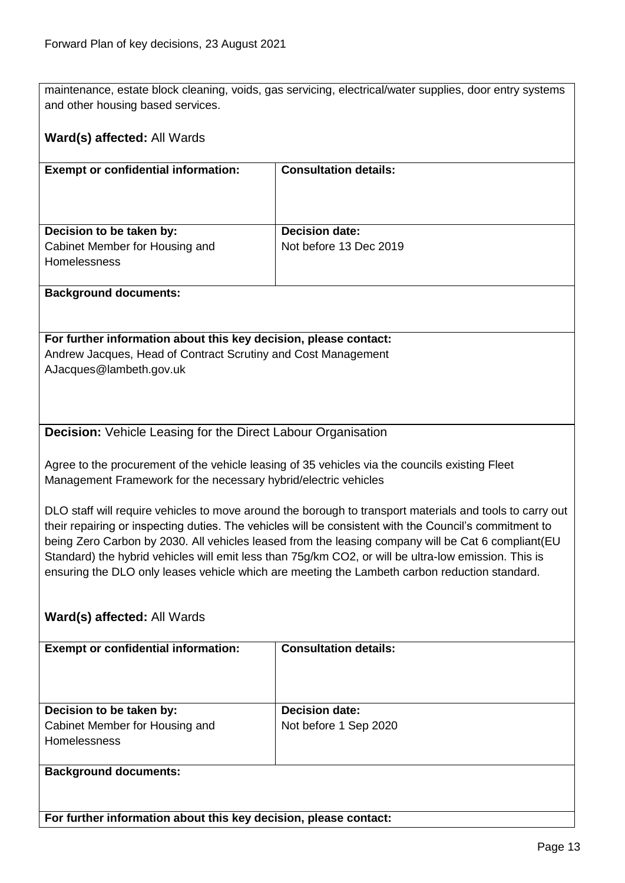maintenance, estate block cleaning, voids, gas servicing, electrical/water supplies, door entry systems and other housing based services.

#### **Ward(s) affected:** All Wards

| <b>Exempt or confidential information:</b>                                        | <b>Consultation details:</b>                    |
|-----------------------------------------------------------------------------------|-------------------------------------------------|
| Decision to be taken by:<br>Cabinet Member for Housing and<br><b>Homelessness</b> | <b>Decision date:</b><br>Not before 13 Dec 2019 |

#### **Background documents:**

**For further information about this key decision, please contact:** Andrew Jacques, Head of Contract Scrutiny and Cost Management AJacques@lambeth.gov.uk

#### <span id="page-12-0"></span>**Decision:** Vehicle Leasing for the Direct Labour Organisation

Agree to the procurement of the vehicle leasing of 35 vehicles via the councils existing Fleet Management Framework for the necessary hybrid/electric vehicles

DLO staff will require vehicles to move around the borough to transport materials and tools to carry out their repairing or inspecting duties. The vehicles will be consistent with the Council's commitment to being Zero Carbon by 2030. All vehicles leased from the leasing company will be Cat 6 compliant(EU Standard) the hybrid vehicles will emit less than 75g/km CO2, or will be ultra-low emission. This is ensuring the DLO only leases vehicle which are meeting the Lambeth carbon reduction standard.

#### **Ward(s) affected:** All Wards

| <b>Exempt or confidential information:</b>                                        | <b>Consultation details:</b>                   |
|-----------------------------------------------------------------------------------|------------------------------------------------|
| Decision to be taken by:<br>Cabinet Member for Housing and<br><b>Homelessness</b> | <b>Decision date:</b><br>Not before 1 Sep 2020 |
| <b>Background documents:</b>                                                      |                                                |

**For further information about this key decision, please contact:**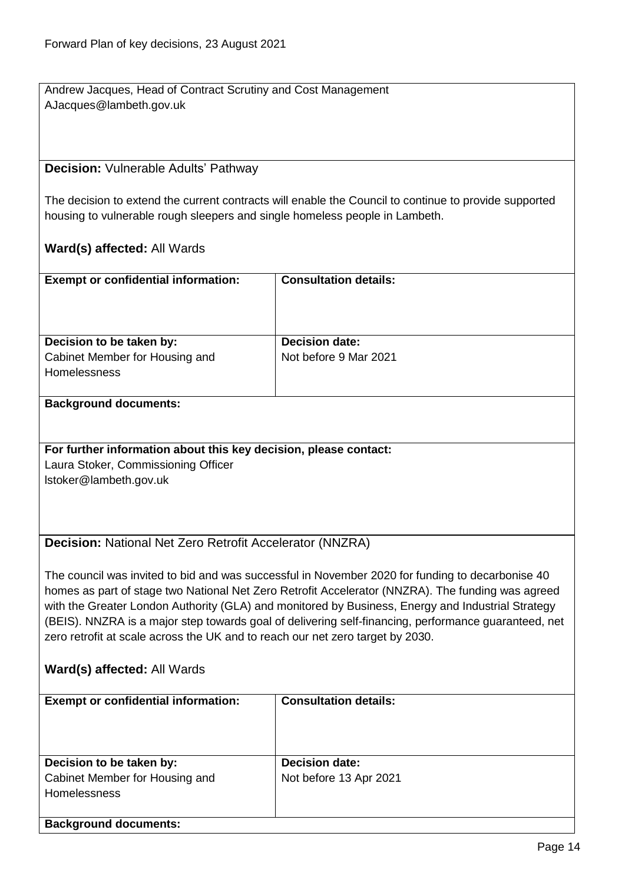Andrew Jacques, Head of Contract Scrutiny and Cost Management AJacques@lambeth.gov.uk

#### <span id="page-13-0"></span>**Decision:** Vulnerable Adults' Pathway

The decision to extend the current contracts will enable the Council to continue to provide supported housing to vulnerable rough sleepers and single homeless people in Lambeth.

#### **Ward(s) affected:** All Wards

| <b>Exempt or confidential information:</b>            | <b>Consultation details:</b> |
|-------------------------------------------------------|------------------------------|
| Decision to be taken by:                              | <b>Decision date:</b>        |
| Cabinet Member for Housing and<br><b>Homelessness</b> | Not before 9 Mar 2021        |

#### **Background documents:**

#### **For further information about this key decision, please contact:**

Laura Stoker, Commissioning Officer lstoker@lambeth.gov.uk

#### <span id="page-13-1"></span>**Decision:** National Net Zero Retrofit Accelerator (NNZRA)

The council was invited to bid and was successful in November 2020 for funding to decarbonise 40 homes as part of stage two National Net Zero Retrofit Accelerator (NNZRA). The funding was agreed with the Greater London Authority (GLA) and monitored by Business, Energy and Industrial Strategy (BEIS). NNZRA is a major step towards goal of delivering self-financing, performance guaranteed, net zero retrofit at scale across the UK and to reach our net zero target by 2030.

| <b>Exempt or confidential information:</b> | <b>Consultation details:</b> |
|--------------------------------------------|------------------------------|
|                                            |                              |
|                                            |                              |
|                                            |                              |
|                                            |                              |
|                                            |                              |
| Decision to be taken by:                   | <b>Decision date:</b>        |
|                                            |                              |
| Cabinet Member for Housing and             | Not before 13 Apr 2021       |
| <b>Homelessness</b>                        |                              |
|                                            |                              |
|                                            |                              |
| <b>Background documents:</b>               |                              |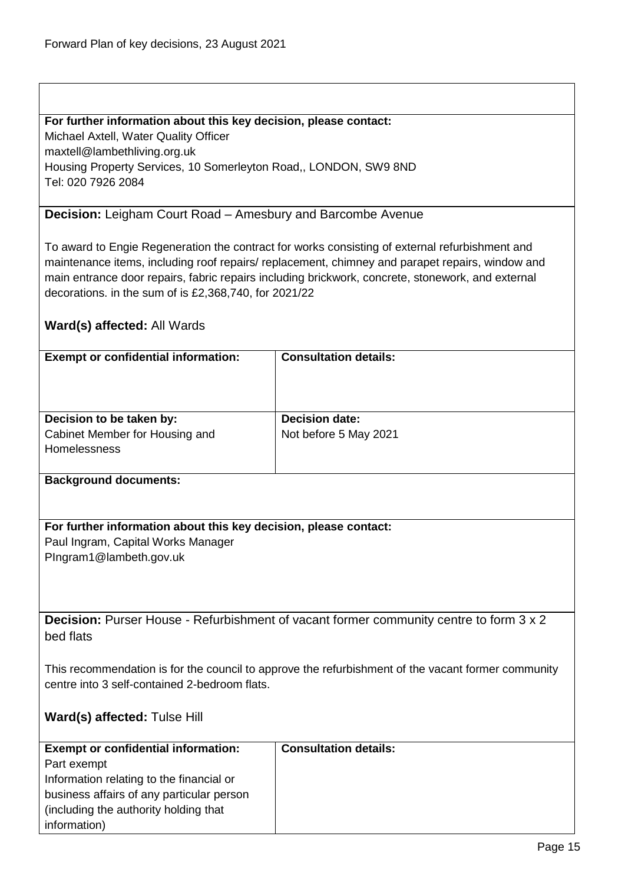#### **For further information about this key decision, please contact:**

Michael Axtell, Water Quality Officer

maxtell@lambethliving.org.uk

Housing Property Services, 10 Somerleyton Road,, LONDON, SW9 8ND Tel: 020 7926 2084

#### <span id="page-14-0"></span>**Decision:** Leigham Court Road – Amesbury and Barcombe Avenue

To award to Engie Regeneration the contract for works consisting of external refurbishment and maintenance items, including roof repairs/ replacement, chimney and parapet repairs, window and main entrance door repairs, fabric repairs including brickwork, concrete, stonework, and external decorations. in the sum of is £2,368,740, for 2021/22

#### **Ward(s) affected:** All Wards

| <b>Exempt or confidential information:</b>                                        | <b>Consultation details:</b>                   |
|-----------------------------------------------------------------------------------|------------------------------------------------|
| Decision to be taken by:<br>Cabinet Member for Housing and<br><b>Homelessness</b> | <b>Decision date:</b><br>Not before 5 May 2021 |

#### **Background documents:**

**For further information about this key decision, please contact:** Paul Ingram, Capital Works Manager PIngram1@lambeth.gov.uk

<span id="page-14-1"></span>**Decision:** Purser House - Refurbishment of vacant former community centre to form 3 x 2 bed flats

This recommendation is for the council to approve the refurbishment of the vacant former community centre into 3 self-contained 2-bedroom flats.

#### **Ward(s) affected:** Tulse Hill

| <b>Exempt or confidential information:</b> | <b>Consultation details:</b> |
|--------------------------------------------|------------------------------|
| Part exempt                                |                              |
| Information relating to the financial or   |                              |
| business affairs of any particular person  |                              |
| (including the authority holding that)     |                              |
| information)                               |                              |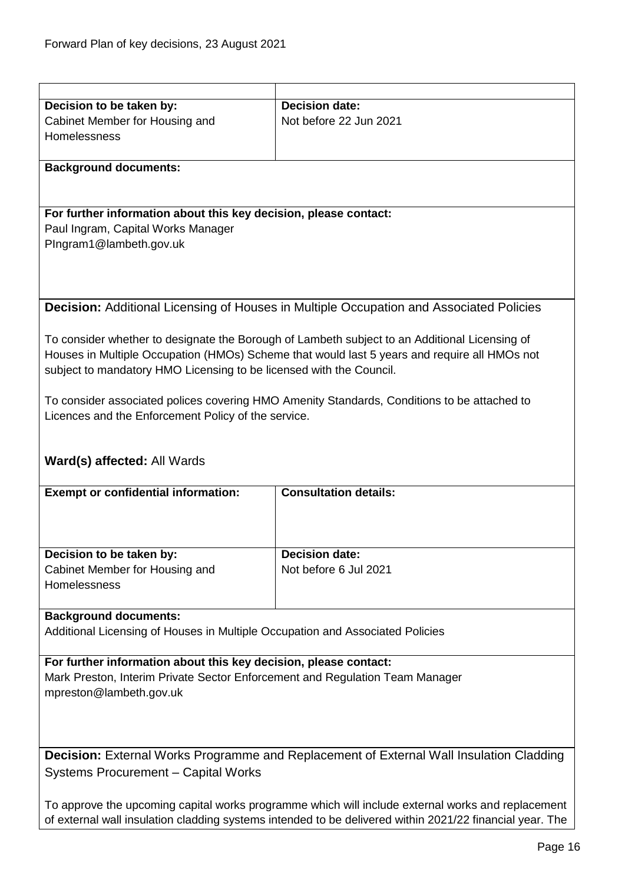<span id="page-15-0"></span>

| Decision to be taken by:                                                                       | <b>Decision date:</b>                                                                          |  |
|------------------------------------------------------------------------------------------------|------------------------------------------------------------------------------------------------|--|
| Cabinet Member for Housing and                                                                 | Not before 22 Jun 2021                                                                         |  |
| Homelessness                                                                                   |                                                                                                |  |
|                                                                                                |                                                                                                |  |
| <b>Background documents:</b>                                                                   |                                                                                                |  |
|                                                                                                |                                                                                                |  |
|                                                                                                |                                                                                                |  |
| For further information about this key decision, please contact:                               |                                                                                                |  |
|                                                                                                |                                                                                                |  |
| Paul Ingram, Capital Works Manager                                                             |                                                                                                |  |
| PIngram1@lambeth.gov.uk                                                                        |                                                                                                |  |
|                                                                                                |                                                                                                |  |
|                                                                                                |                                                                                                |  |
|                                                                                                |                                                                                                |  |
|                                                                                                | <b>Decision:</b> Additional Licensing of Houses in Multiple Occupation and Associated Policies |  |
|                                                                                                |                                                                                                |  |
|                                                                                                |                                                                                                |  |
|                                                                                                | To consider whether to designate the Borough of Lambeth subject to an Additional Licensing of  |  |
|                                                                                                | Houses in Multiple Occupation (HMOs) Scheme that would last 5 years and require all HMOs not   |  |
| subject to mandatory HMO Licensing to be licensed with the Council.                            |                                                                                                |  |
|                                                                                                |                                                                                                |  |
|                                                                                                | To consider associated polices covering HMO Amenity Standards, Conditions to be attached to    |  |
| Licences and the Enforcement Policy of the service.                                            |                                                                                                |  |
|                                                                                                |                                                                                                |  |
|                                                                                                |                                                                                                |  |
| <b>Ward(s) affected: All Wards</b>                                                             |                                                                                                |  |
|                                                                                                |                                                                                                |  |
|                                                                                                |                                                                                                |  |
| <b>Exempt or confidential information:</b>                                                     | <b>Consultation details:</b>                                                                   |  |
|                                                                                                |                                                                                                |  |
|                                                                                                |                                                                                                |  |
|                                                                                                |                                                                                                |  |
| Decision to be taken by:                                                                       | <b>Decision date:</b>                                                                          |  |
| Cabinet Member for Housing and                                                                 | Not before 6 Jul 2021                                                                          |  |
| Homelessness                                                                                   |                                                                                                |  |
|                                                                                                |                                                                                                |  |
| <b>Background documents:</b>                                                                   |                                                                                                |  |
|                                                                                                |                                                                                                |  |
| Additional Licensing of Houses in Multiple Occupation and Associated Policies                  |                                                                                                |  |
|                                                                                                |                                                                                                |  |
| For further information about this key decision, please contact:                               |                                                                                                |  |
| Mark Preston, Interim Private Sector Enforcement and Regulation Team Manager                   |                                                                                                |  |
| mpreston@lambeth.gov.uk                                                                        |                                                                                                |  |
|                                                                                                |                                                                                                |  |
|                                                                                                |                                                                                                |  |
|                                                                                                |                                                                                                |  |
|                                                                                                |                                                                                                |  |
| <b>Decision:</b> External Works Programme and Replacement of External Wall Insulation Cladding |                                                                                                |  |
|                                                                                                |                                                                                                |  |
| <b>Systems Procurement - Capital Works</b>                                                     |                                                                                                |  |
|                                                                                                |                                                                                                |  |

<span id="page-15-1"></span>of external wall insulation cladding systems intended to be delivered within 2021/22 financial year. The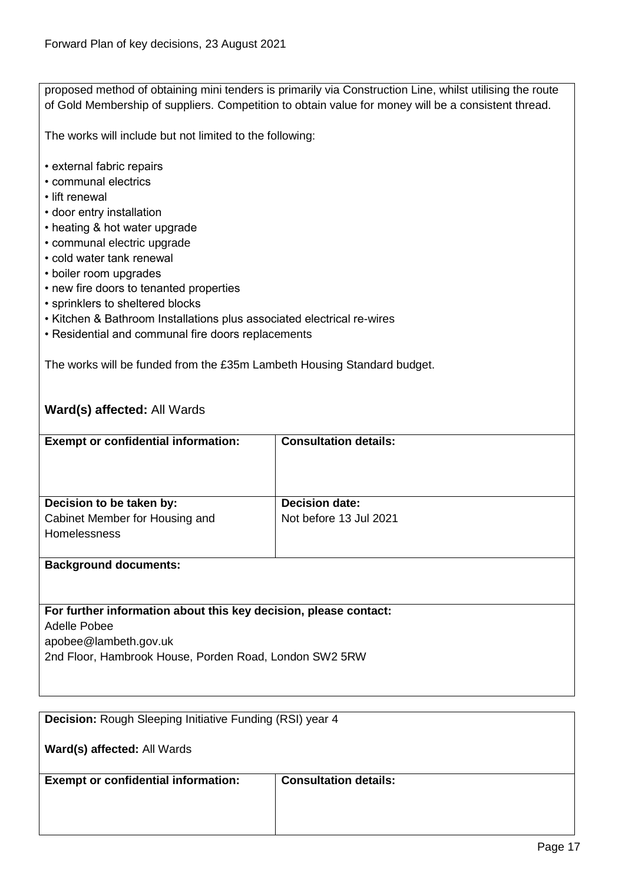|                                                                         | proposed method of obtaining mini tenders is primarily via Construction Line, whilst utilising the route<br>of Gold Membership of suppliers. Competition to obtain value for money will be a consistent thread. |  |
|-------------------------------------------------------------------------|-----------------------------------------------------------------------------------------------------------------------------------------------------------------------------------------------------------------|--|
| The works will include but not limited to the following:                |                                                                                                                                                                                                                 |  |
|                                                                         |                                                                                                                                                                                                                 |  |
| • external fabric repairs                                               |                                                                                                                                                                                                                 |  |
| • communal electrics                                                    |                                                                                                                                                                                                                 |  |
| • lift renewal                                                          |                                                                                                                                                                                                                 |  |
| • door entry installation<br>• heating & hot water upgrade              |                                                                                                                                                                                                                 |  |
| • communal electric upgrade                                             |                                                                                                                                                                                                                 |  |
| • cold water tank renewal                                               |                                                                                                                                                                                                                 |  |
| • boiler room upgrades                                                  |                                                                                                                                                                                                                 |  |
| • new fire doors to tenanted properties                                 |                                                                                                                                                                                                                 |  |
| • sprinklers to sheltered blocks                                        |                                                                                                                                                                                                                 |  |
| • Kitchen & Bathroom Installations plus associated electrical re-wires  |                                                                                                                                                                                                                 |  |
| • Residential and communal fire doors replacements                      |                                                                                                                                                                                                                 |  |
|                                                                         |                                                                                                                                                                                                                 |  |
| The works will be funded from the £35m Lambeth Housing Standard budget. |                                                                                                                                                                                                                 |  |
|                                                                         |                                                                                                                                                                                                                 |  |
| Ward(s) affected: All Wards                                             |                                                                                                                                                                                                                 |  |
|                                                                         |                                                                                                                                                                                                                 |  |
| <b>Exempt or confidential information:</b>                              | <b>Consultation details:</b>                                                                                                                                                                                    |  |
|                                                                         |                                                                                                                                                                                                                 |  |
|                                                                         |                                                                                                                                                                                                                 |  |
|                                                                         |                                                                                                                                                                                                                 |  |
| Decision to be taken by:                                                | <b>Decision date:</b>                                                                                                                                                                                           |  |
| Cabinet Member for Housing and<br>Homelessness                          | Not before 13 Jul 2021                                                                                                                                                                                          |  |
|                                                                         |                                                                                                                                                                                                                 |  |
| <b>Background documents:</b>                                            |                                                                                                                                                                                                                 |  |
|                                                                         |                                                                                                                                                                                                                 |  |
|                                                                         |                                                                                                                                                                                                                 |  |
| For further information about this key decision, please contact:        |                                                                                                                                                                                                                 |  |
| Adelle Pobee                                                            |                                                                                                                                                                                                                 |  |
| apobee@lambeth.gov.uk                                                   |                                                                                                                                                                                                                 |  |
| 2nd Floor, Hambrook House, Porden Road, London SW2 5RW                  |                                                                                                                                                                                                                 |  |
|                                                                         |                                                                                                                                                                                                                 |  |
|                                                                         |                                                                                                                                                                                                                 |  |
|                                                                         |                                                                                                                                                                                                                 |  |
| Decision: Rough Sleeping Initiative Funding (RSI) year 4                |                                                                                                                                                                                                                 |  |

<span id="page-16-0"></span>**Ward(s) affected:** All Wards

**Exempt or confidential information:** Consultation details:

٦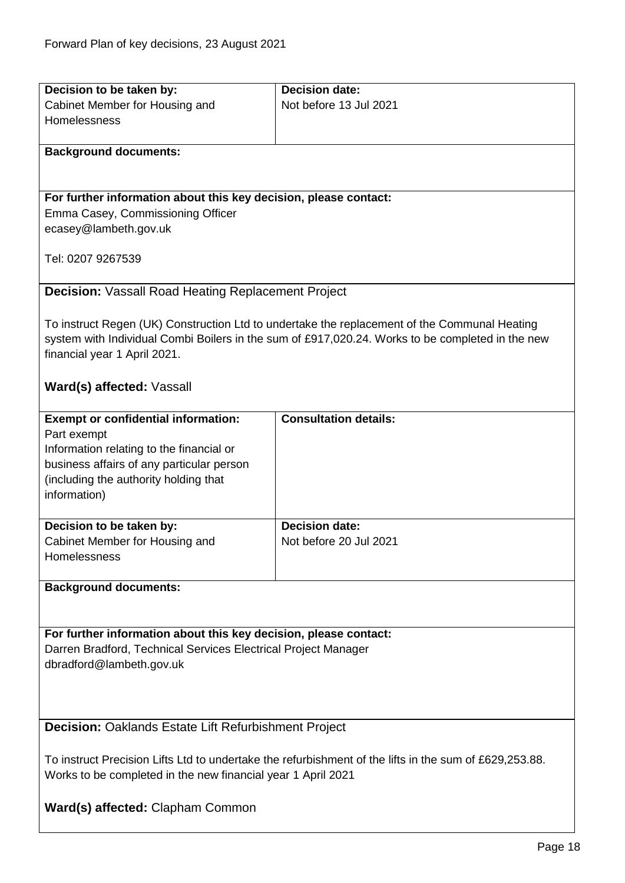<span id="page-17-0"></span>

| Decision to be taken by:                                                                               | <b>Decision date:</b>                                                                            |  |
|--------------------------------------------------------------------------------------------------------|--------------------------------------------------------------------------------------------------|--|
| Cabinet Member for Housing and                                                                         | Not before 13 Jul 2021                                                                           |  |
| Homelessness                                                                                           |                                                                                                  |  |
|                                                                                                        |                                                                                                  |  |
| <b>Background documents:</b>                                                                           |                                                                                                  |  |
|                                                                                                        |                                                                                                  |  |
|                                                                                                        |                                                                                                  |  |
| For further information about this key decision, please contact:                                       |                                                                                                  |  |
| Emma Casey, Commissioning Officer                                                                      |                                                                                                  |  |
| ecasey@lambeth.gov.uk                                                                                  |                                                                                                  |  |
|                                                                                                        |                                                                                                  |  |
| Tel: 0207 9267539                                                                                      |                                                                                                  |  |
| <b>Decision: Vassall Road Heating Replacement Project</b>                                              |                                                                                                  |  |
|                                                                                                        |                                                                                                  |  |
|                                                                                                        | To instruct Regen (UK) Construction Ltd to undertake the replacement of the Communal Heating     |  |
|                                                                                                        | system with Individual Combi Boilers in the sum of £917,020.24. Works to be completed in the new |  |
|                                                                                                        |                                                                                                  |  |
| financial year 1 April 2021.                                                                           |                                                                                                  |  |
| Ward(s) affected: Vassall                                                                              |                                                                                                  |  |
|                                                                                                        |                                                                                                  |  |
| <b>Exempt or confidential information:</b>                                                             | <b>Consultation details:</b>                                                                     |  |
| Part exempt                                                                                            |                                                                                                  |  |
| Information relating to the financial or                                                               |                                                                                                  |  |
| business affairs of any particular person                                                              |                                                                                                  |  |
| (including the authority holding that                                                                  |                                                                                                  |  |
| information)                                                                                           |                                                                                                  |  |
|                                                                                                        |                                                                                                  |  |
| Decision to be taken by:                                                                               | <b>Decision date:</b>                                                                            |  |
| Cabinet Member for Housing and                                                                         | Not before 20 Jul 2021                                                                           |  |
| Homelessness                                                                                           |                                                                                                  |  |
|                                                                                                        |                                                                                                  |  |
| <b>Background documents:</b>                                                                           |                                                                                                  |  |
|                                                                                                        |                                                                                                  |  |
|                                                                                                        |                                                                                                  |  |
| For further information about this key decision, please contact:                                       |                                                                                                  |  |
| Darren Bradford, Technical Services Electrical Project Manager                                         |                                                                                                  |  |
| dbradford@lambeth.gov.uk                                                                               |                                                                                                  |  |
|                                                                                                        |                                                                                                  |  |
|                                                                                                        |                                                                                                  |  |
|                                                                                                        |                                                                                                  |  |
| <b>Decision:</b> Oaklands Estate Lift Refurbishment Project                                            |                                                                                                  |  |
| To instruct Precision Lifts Ltd to undertake the refurbishment of the lifts in the sum of £629,253.88. |                                                                                                  |  |
| Works to be completed in the new financial year 1 April 2021                                           |                                                                                                  |  |
|                                                                                                        |                                                                                                  |  |
| Ward(s) affected: Clapham Common                                                                       |                                                                                                  |  |

<span id="page-17-1"></span>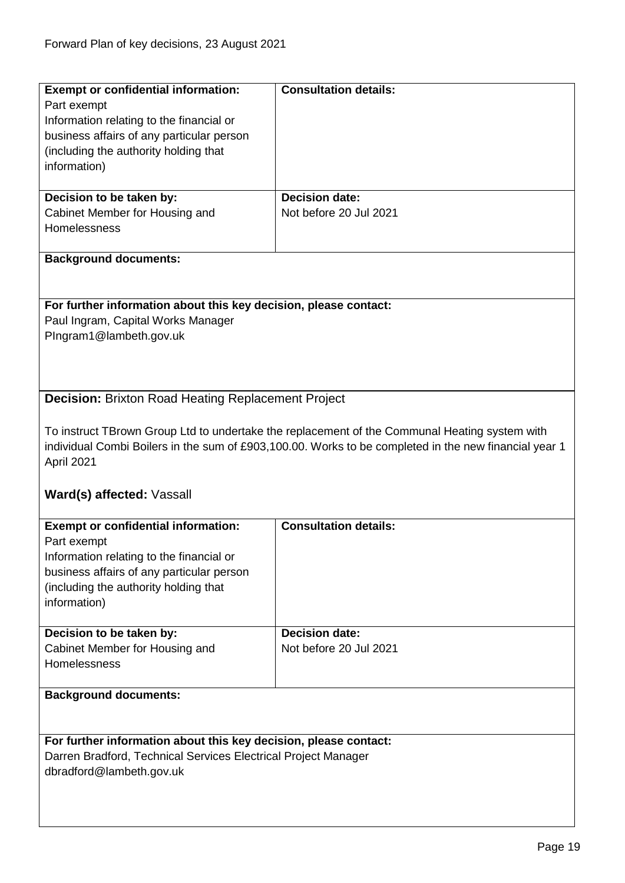<span id="page-18-0"></span>

| <b>Exempt or confidential information:</b>                       | <b>Consultation details:</b>                                                                          |
|------------------------------------------------------------------|-------------------------------------------------------------------------------------------------------|
| Part exempt                                                      |                                                                                                       |
| Information relating to the financial or                         |                                                                                                       |
| business affairs of any particular person                        |                                                                                                       |
|                                                                  |                                                                                                       |
| (including the authority holding that                            |                                                                                                       |
| information)                                                     |                                                                                                       |
|                                                                  |                                                                                                       |
| Decision to be taken by:                                         | <b>Decision date:</b>                                                                                 |
|                                                                  |                                                                                                       |
| Cabinet Member for Housing and                                   | Not before 20 Jul 2021                                                                                |
| Homelessness                                                     |                                                                                                       |
|                                                                  |                                                                                                       |
| <b>Background documents:</b>                                     |                                                                                                       |
|                                                                  |                                                                                                       |
|                                                                  |                                                                                                       |
|                                                                  |                                                                                                       |
| For further information about this key decision, please contact: |                                                                                                       |
| Paul Ingram, Capital Works Manager                               |                                                                                                       |
| PIngram1@lambeth.gov.uk                                          |                                                                                                       |
|                                                                  |                                                                                                       |
|                                                                  |                                                                                                       |
|                                                                  |                                                                                                       |
|                                                                  |                                                                                                       |
| <b>Decision: Brixton Road Heating Replacement Project</b>        |                                                                                                       |
|                                                                  |                                                                                                       |
|                                                                  |                                                                                                       |
|                                                                  | To instruct TBrown Group Ltd to undertake the replacement of the Communal Heating system with         |
|                                                                  | individual Combi Boilers in the sum of £903,100.00. Works to be completed in the new financial year 1 |
| April 2021                                                       |                                                                                                       |
|                                                                  |                                                                                                       |
|                                                                  |                                                                                                       |
| Ward(s) affected: Vassall                                        |                                                                                                       |
|                                                                  |                                                                                                       |
| <b>Exempt or confidential information:</b>                       | <b>Consultation details:</b>                                                                          |
|                                                                  |                                                                                                       |
| Part exempt                                                      |                                                                                                       |
|                                                                  |                                                                                                       |
| Information relating to the financial or                         |                                                                                                       |
|                                                                  |                                                                                                       |
| business affairs of any particular person                        |                                                                                                       |
| (including the authority holding that                            |                                                                                                       |
| information)                                                     |                                                                                                       |
|                                                                  |                                                                                                       |
| Decision to be taken by:                                         | <b>Decision date:</b>                                                                                 |
|                                                                  |                                                                                                       |
| Cabinet Member for Housing and                                   | Not before 20 Jul 2021                                                                                |
| <b>Homelessness</b>                                              |                                                                                                       |
|                                                                  |                                                                                                       |
| <b>Background documents:</b>                                     |                                                                                                       |
|                                                                  |                                                                                                       |
|                                                                  |                                                                                                       |
|                                                                  |                                                                                                       |
| For further information about this key decision, please contact: |                                                                                                       |
| Darren Bradford, Technical Services Electrical Project Manager   |                                                                                                       |
|                                                                  |                                                                                                       |
| dbradford@lambeth.gov.uk                                         |                                                                                                       |
|                                                                  |                                                                                                       |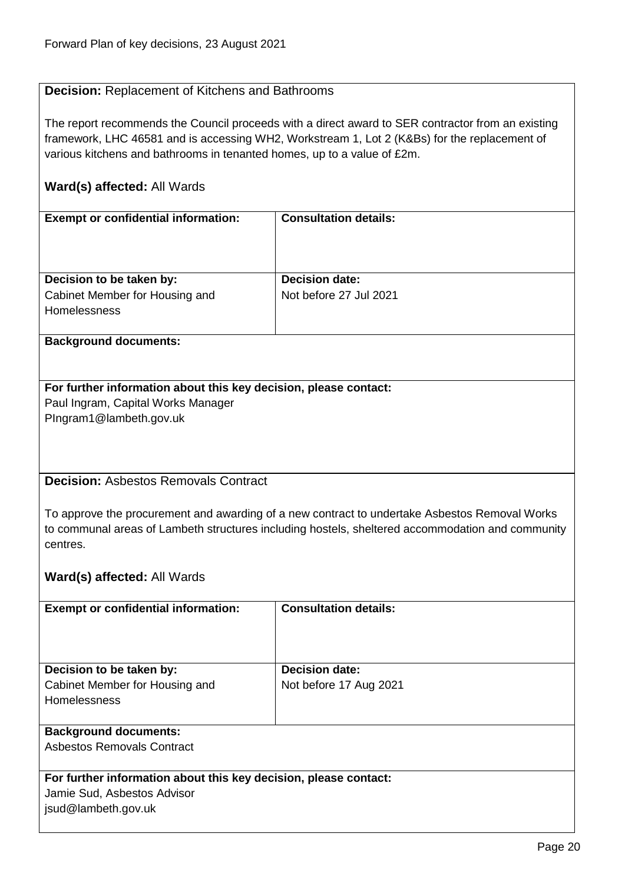#### <span id="page-19-0"></span>**Decision:** Replacement of Kitchens and Bathrooms

The report recommends the Council proceeds with a direct award to SER contractor from an existing framework, LHC 46581 and is accessing WH2, Workstream 1, Lot 2 (K&Bs) for the replacement of various kitchens and bathrooms in tenanted homes, up to a value of £2m.

#### **Ward(s) affected:** All Wards

| <b>Exempt or confidential information:</b> | <b>Consultation details:</b> |
|--------------------------------------------|------------------------------|
|                                            |                              |
|                                            |                              |
|                                            |                              |
|                                            |                              |
|                                            |                              |
| Decision to be taken by:                   | <b>Decision date:</b>        |
| Cabinet Member for Housing and             | Not before 27 Jul 2021       |
| Homelessness                               |                              |
|                                            |                              |
|                                            |                              |

#### **Background documents:**

### **For further information about this key decision, please contact:** Paul Ingram, Capital Works Manager

PIngram1@lambeth.gov.uk

#### <span id="page-19-1"></span>**Decision:** Asbestos Removals Contract

To approve the procurement and awarding of a new contract to undertake Asbestos Removal Works to communal areas of Lambeth structures including hostels, sheltered accommodation and community centres.

| <b>Exempt or confidential information:</b>                       | <b>Consultation details:</b> |
|------------------------------------------------------------------|------------------------------|
|                                                                  |                              |
|                                                                  |                              |
| Decision to be taken by:                                         | <b>Decision date:</b>        |
| Cabinet Member for Housing and                                   | Not before 17 Aug 2021       |
| Homelessness                                                     |                              |
|                                                                  |                              |
| <b>Background documents:</b>                                     |                              |
| Asbestos Removals Contract                                       |                              |
|                                                                  |                              |
| For further information about this key decision, please contact: |                              |
| Jamie Sud, Asbestos Advisor                                      |                              |
| jsud@lambeth.gov.uk                                              |                              |
|                                                                  |                              |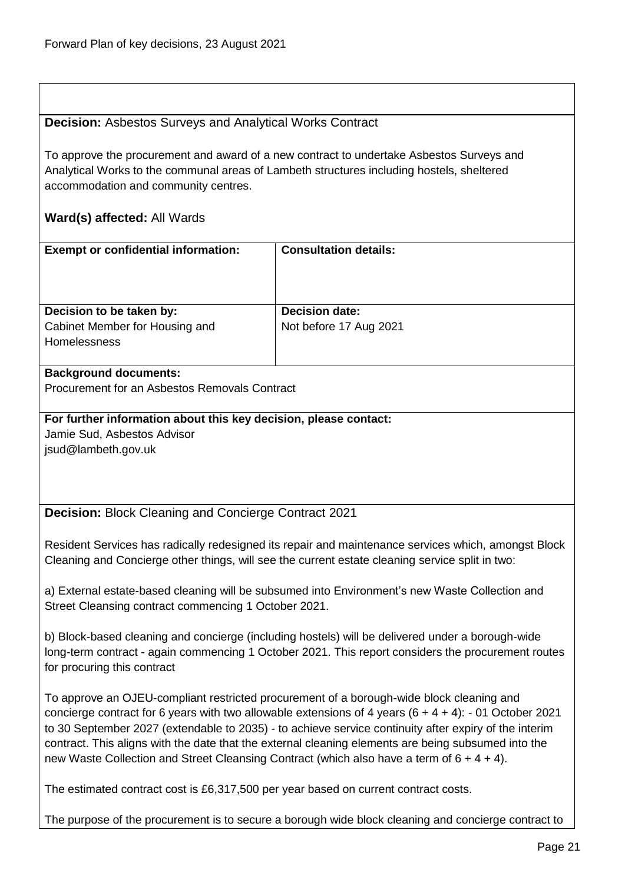#### <span id="page-20-0"></span>**Decision:** Asbestos Surveys and Analytical Works Contract

To approve the procurement and award of a new contract to undertake Asbestos Surveys and Analytical Works to the communal areas of Lambeth structures including hostels, sheltered accommodation and community centres.

#### **Ward(s) affected:** All Wards

| <b>Exempt or confidential information:</b>            | <b>Consultation details:</b> |
|-------------------------------------------------------|------------------------------|
| Decision to be taken by:                              | <b>Decision date:</b>        |
| Cabinet Member for Housing and<br><b>Homelessness</b> | Not before 17 Aug 2021       |

#### **Background documents:**

Procurement for an Asbestos Removals Contract

#### **For further information about this key decision, please contact:** Jamie Sud, Asbestos Advisor

jsud@lambeth.gov.uk

<span id="page-20-1"></span>**Decision:** Block Cleaning and Concierge Contract 2021

Resident Services has radically redesigned its repair and maintenance services which, amongst Block Cleaning and Concierge other things, will see the current estate cleaning service split in two:

a) External estate-based cleaning will be subsumed into Environment's new Waste Collection and Street Cleansing contract commencing 1 October 2021.

b) Block-based cleaning and concierge (including hostels) will be delivered under a borough-wide long-term contract - again commencing 1 October 2021. This report considers the procurement routes for procuring this contract

To approve an OJEU-compliant restricted procurement of a borough-wide block cleaning and concierge contract for 6 years with two allowable extensions of 4 years (6 + 4 + 4): - 01 October 2021 to 30 September 2027 (extendable to 2035) - to achieve service continuity after expiry of the interim contract. This aligns with the date that the external cleaning elements are being subsumed into the new Waste Collection and Street Cleansing Contract (which also have a term of 6 + 4 + 4).

The estimated contract cost is £6,317,500 per year based on current contract costs.

The purpose of the procurement is to secure a borough wide block cleaning and concierge contract to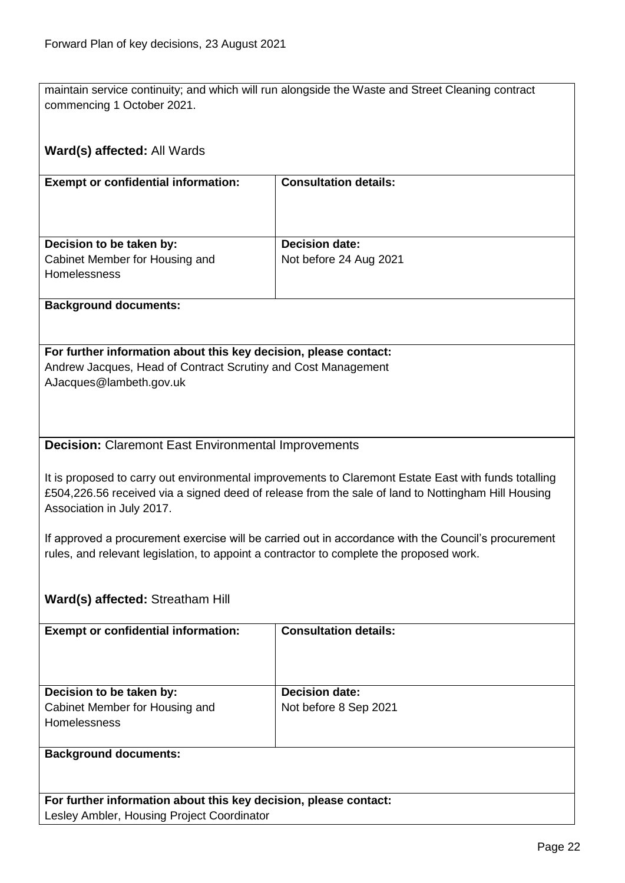maintain service continuity; and which will run alongside the Waste and Street Cleaning contract commencing 1 October 2021.

## <span id="page-21-0"></span>**Ward(s) affected:** All Wards **Exempt or confidential information: Consultation details: Decision to be taken by:** Cabinet Member for Housing and **Homelessness Decision date:** Not before 24 Aug 2021 **Background documents: For further information about this key decision, please contact:** Andrew Jacques, Head of Contract Scrutiny and Cost Management AJacques@lambeth.gov.uk **Decision:** Claremont East Environmental Improvements It is proposed to carry out environmental improvements to Claremont Estate East with funds totalling £504,226.56 received via a signed deed of release from the sale of land to Nottingham Hill Housing Association in July 2017. If approved a procurement exercise will be carried out in accordance with the Council's procurement rules, and relevant legislation, to appoint a contractor to complete the proposed work. **Ward(s) affected:** Streatham Hill **Exempt or confidential information: Consultation details: Decision to be taken by:** Cabinet Member for Housing and Homelessness **Decision date:** Not before 8 Sep 2021 **Background documents: For further information about this key decision, please contact:** Lesley Ambler, Housing Project Coordinator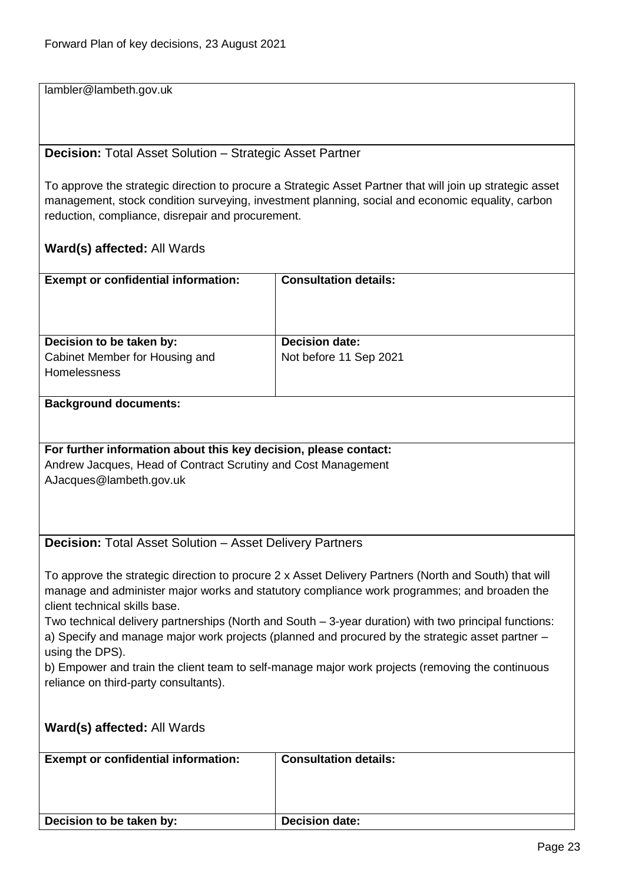lambler@lambeth.gov.uk

#### <span id="page-22-0"></span>**Decision:** Total Asset Solution – Strategic Asset Partner

To approve the strategic direction to procure a Strategic Asset Partner that will join up strategic asset management, stock condition surveying, investment planning, social and economic equality, carbon reduction, compliance, disrepair and procurement.

<span id="page-22-1"></span>

| <b>Exempt or confidential information:</b>                                                                                   | <b>Consultation details:</b>                                                                     |  |
|------------------------------------------------------------------------------------------------------------------------------|--------------------------------------------------------------------------------------------------|--|
|                                                                                                                              |                                                                                                  |  |
|                                                                                                                              |                                                                                                  |  |
| Decision to be taken by:                                                                                                     | <b>Decision date:</b>                                                                            |  |
| Cabinet Member for Housing and                                                                                               | Not before 11 Sep 2021                                                                           |  |
| Homelessness                                                                                                                 |                                                                                                  |  |
| <b>Background documents:</b>                                                                                                 |                                                                                                  |  |
|                                                                                                                              |                                                                                                  |  |
| For further information about this key decision, please contact:                                                             |                                                                                                  |  |
| Andrew Jacques, Head of Contract Scrutiny and Cost Management                                                                |                                                                                                  |  |
| AJacques@lambeth.gov.uk                                                                                                      |                                                                                                  |  |
|                                                                                                                              |                                                                                                  |  |
|                                                                                                                              |                                                                                                  |  |
| <b>Decision: Total Asset Solution - Asset Delivery Partners</b>                                                              |                                                                                                  |  |
|                                                                                                                              |                                                                                                  |  |
| To approve the strategic direction to procure 2 x Asset Delivery Partners (North and South) that will                        |                                                                                                  |  |
| manage and administer major works and statutory compliance work programmes; and broaden the<br>client technical skills base. |                                                                                                  |  |
| Two technical delivery partnerships (North and South - 3-year duration) with two principal functions:                        |                                                                                                  |  |
| a) Specify and manage major work projects (planned and procured by the strategic asset partner -                             |                                                                                                  |  |
| using the DPS).                                                                                                              |                                                                                                  |  |
|                                                                                                                              | b) Empower and train the client team to self-manage major work projects (removing the continuous |  |
| reliance on third-party consultants).                                                                                        |                                                                                                  |  |
|                                                                                                                              |                                                                                                  |  |
| Ward(s) affected: All Wards                                                                                                  |                                                                                                  |  |
|                                                                                                                              |                                                                                                  |  |
| <b>Exempt or confidential information:</b>                                                                                   | <b>Consultation details:</b>                                                                     |  |
|                                                                                                                              |                                                                                                  |  |
|                                                                                                                              |                                                                                                  |  |
| Decision to be taken by:                                                                                                     | <b>Decision date:</b>                                                                            |  |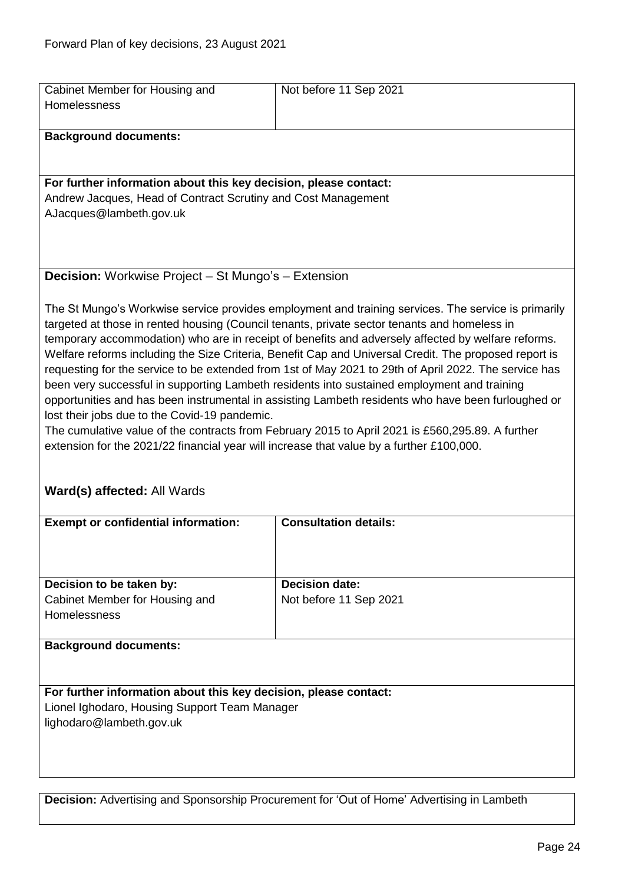<span id="page-23-1"></span><span id="page-23-0"></span>

| Cabinet Member for Housing and<br>Homelessness                                                                                                                                                                                                                                                                                                                                                                                                                                                                                                                                                                                                                                                                                                                                                                                                                                                                                                                                                                   | Not before 11 Sep 2021                                                                     |  |
|------------------------------------------------------------------------------------------------------------------------------------------------------------------------------------------------------------------------------------------------------------------------------------------------------------------------------------------------------------------------------------------------------------------------------------------------------------------------------------------------------------------------------------------------------------------------------------------------------------------------------------------------------------------------------------------------------------------------------------------------------------------------------------------------------------------------------------------------------------------------------------------------------------------------------------------------------------------------------------------------------------------|--------------------------------------------------------------------------------------------|--|
| <b>Background documents:</b>                                                                                                                                                                                                                                                                                                                                                                                                                                                                                                                                                                                                                                                                                                                                                                                                                                                                                                                                                                                     |                                                                                            |  |
|                                                                                                                                                                                                                                                                                                                                                                                                                                                                                                                                                                                                                                                                                                                                                                                                                                                                                                                                                                                                                  |                                                                                            |  |
| For further information about this key decision, please contact:                                                                                                                                                                                                                                                                                                                                                                                                                                                                                                                                                                                                                                                                                                                                                                                                                                                                                                                                                 |                                                                                            |  |
| Andrew Jacques, Head of Contract Scrutiny and Cost Management                                                                                                                                                                                                                                                                                                                                                                                                                                                                                                                                                                                                                                                                                                                                                                                                                                                                                                                                                    |                                                                                            |  |
| AJacques@lambeth.gov.uk                                                                                                                                                                                                                                                                                                                                                                                                                                                                                                                                                                                                                                                                                                                                                                                                                                                                                                                                                                                          |                                                                                            |  |
|                                                                                                                                                                                                                                                                                                                                                                                                                                                                                                                                                                                                                                                                                                                                                                                                                                                                                                                                                                                                                  |                                                                                            |  |
|                                                                                                                                                                                                                                                                                                                                                                                                                                                                                                                                                                                                                                                                                                                                                                                                                                                                                                                                                                                                                  |                                                                                            |  |
|                                                                                                                                                                                                                                                                                                                                                                                                                                                                                                                                                                                                                                                                                                                                                                                                                                                                                                                                                                                                                  |                                                                                            |  |
| <b>Decision:</b> Workwise Project – St Mungo's – Extension                                                                                                                                                                                                                                                                                                                                                                                                                                                                                                                                                                                                                                                                                                                                                                                                                                                                                                                                                       |                                                                                            |  |
| The St Mungo's Workwise service provides employment and training services. The service is primarily<br>targeted at those in rented housing (Council tenants, private sector tenants and homeless in<br>temporary accommodation) who are in receipt of benefits and adversely affected by welfare reforms.<br>Welfare reforms including the Size Criteria, Benefit Cap and Universal Credit. The proposed report is<br>requesting for the service to be extended from 1st of May 2021 to 29th of April 2022. The service has<br>been very successful in supporting Lambeth residents into sustained employment and training<br>opportunities and has been instrumental in assisting Lambeth residents who have been furloughed or<br>lost their jobs due to the Covid-19 pandemic.<br>The cumulative value of the contracts from February 2015 to April 2021 is £560,295.89. A further<br>extension for the 2021/22 financial year will increase that value by a further £100,000.<br>Ward(s) affected: All Wards |                                                                                            |  |
| <b>Exempt or confidential information:</b>                                                                                                                                                                                                                                                                                                                                                                                                                                                                                                                                                                                                                                                                                                                                                                                                                                                                                                                                                                       | <b>Consultation details:</b>                                                               |  |
|                                                                                                                                                                                                                                                                                                                                                                                                                                                                                                                                                                                                                                                                                                                                                                                                                                                                                                                                                                                                                  |                                                                                            |  |
| Decision to be taken by:                                                                                                                                                                                                                                                                                                                                                                                                                                                                                                                                                                                                                                                                                                                                                                                                                                                                                                                                                                                         | <b>Decision date:</b>                                                                      |  |
| Cabinet Member for Housing and                                                                                                                                                                                                                                                                                                                                                                                                                                                                                                                                                                                                                                                                                                                                                                                                                                                                                                                                                                                   | Not before 11 Sep 2021                                                                     |  |
| Homelessness                                                                                                                                                                                                                                                                                                                                                                                                                                                                                                                                                                                                                                                                                                                                                                                                                                                                                                                                                                                                     |                                                                                            |  |
| <b>Background documents:</b>                                                                                                                                                                                                                                                                                                                                                                                                                                                                                                                                                                                                                                                                                                                                                                                                                                                                                                                                                                                     |                                                                                            |  |
|                                                                                                                                                                                                                                                                                                                                                                                                                                                                                                                                                                                                                                                                                                                                                                                                                                                                                                                                                                                                                  |                                                                                            |  |
| For further information about this key decision, please contact:                                                                                                                                                                                                                                                                                                                                                                                                                                                                                                                                                                                                                                                                                                                                                                                                                                                                                                                                                 |                                                                                            |  |
| Lionel Ighodaro, Housing Support Team Manager                                                                                                                                                                                                                                                                                                                                                                                                                                                                                                                                                                                                                                                                                                                                                                                                                                                                                                                                                                    |                                                                                            |  |
| lighodaro@lambeth.gov.uk                                                                                                                                                                                                                                                                                                                                                                                                                                                                                                                                                                                                                                                                                                                                                                                                                                                                                                                                                                                         |                                                                                            |  |
|                                                                                                                                                                                                                                                                                                                                                                                                                                                                                                                                                                                                                                                                                                                                                                                                                                                                                                                                                                                                                  |                                                                                            |  |
|                                                                                                                                                                                                                                                                                                                                                                                                                                                                                                                                                                                                                                                                                                                                                                                                                                                                                                                                                                                                                  |                                                                                            |  |
|                                                                                                                                                                                                                                                                                                                                                                                                                                                                                                                                                                                                                                                                                                                                                                                                                                                                                                                                                                                                                  |                                                                                            |  |
|                                                                                                                                                                                                                                                                                                                                                                                                                                                                                                                                                                                                                                                                                                                                                                                                                                                                                                                                                                                                                  |                                                                                            |  |
|                                                                                                                                                                                                                                                                                                                                                                                                                                                                                                                                                                                                                                                                                                                                                                                                                                                                                                                                                                                                                  | Decision: Advertising and Sponsorship Procurement for 'Out of Home' Advertising in Lambeth |  |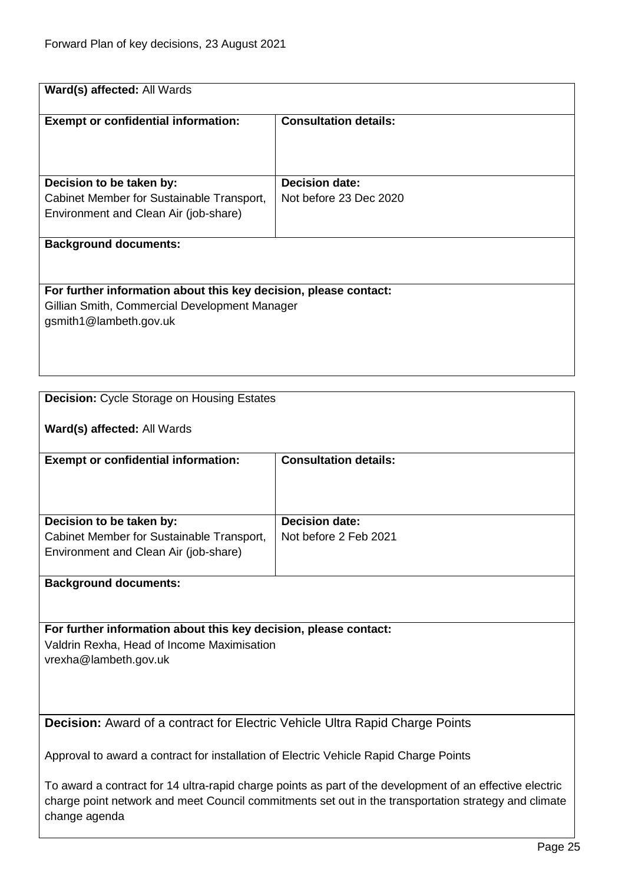| Ward(s) affected: All Wards                                                                                                             |                              |
|-----------------------------------------------------------------------------------------------------------------------------------------|------------------------------|
|                                                                                                                                         |                              |
| <b>Exempt or confidential information:</b>                                                                                              | <b>Consultation details:</b> |
|                                                                                                                                         |                              |
|                                                                                                                                         |                              |
|                                                                                                                                         |                              |
| Decision to be taken by:                                                                                                                | <b>Decision date:</b>        |
| Cabinet Member for Sustainable Transport,                                                                                               | Not before 23 Dec 2020       |
| Environment and Clean Air (job-share)                                                                                                   |                              |
|                                                                                                                                         |                              |
| <b>Background documents:</b>                                                                                                            |                              |
|                                                                                                                                         |                              |
| For further information about this key decision, please contact:                                                                        |                              |
| Gillian Smith, Commercial Development Manager                                                                                           |                              |
| gsmith1@lambeth.gov.uk                                                                                                                  |                              |
|                                                                                                                                         |                              |
|                                                                                                                                         |                              |
|                                                                                                                                         |                              |
|                                                                                                                                         |                              |
| <b>Decision:</b> Cycle Storage on Housing Estates                                                                                       |                              |
|                                                                                                                                         |                              |
| Ward(s) affected: All Wards                                                                                                             |                              |
|                                                                                                                                         |                              |
| <b>Exempt or confidential information:</b>                                                                                              | <b>Consultation details:</b> |
|                                                                                                                                         |                              |
|                                                                                                                                         |                              |
|                                                                                                                                         |                              |
| Decision to be taken by:                                                                                                                | <b>Decision date:</b>        |
| Cabinet Member for Sustainable Transport,                                                                                               | Not before 2 Feb 2021        |
| Environment and Clean Air (job-share)                                                                                                   |                              |
|                                                                                                                                         |                              |
| <b>Background documents:</b>                                                                                                            |                              |
|                                                                                                                                         |                              |
|                                                                                                                                         |                              |
|                                                                                                                                         |                              |
|                                                                                                                                         |                              |
|                                                                                                                                         |                              |
|                                                                                                                                         |                              |
|                                                                                                                                         |                              |
| For further information about this key decision, please contact:<br>Valdrin Rexha, Head of Income Maximisation<br>vrexha@lambeth.gov.uk |                              |
|                                                                                                                                         |                              |

<span id="page-24-1"></span><span id="page-24-0"></span>**Decision:** Award of a contract for Electric Vehicle Ultra Rapid Charge Points

Approval to award a contract for installation of Electric Vehicle Rapid Charge Points

To award a contract for 14 ultra-rapid charge points as part of the development of an effective electric charge point network and meet Council commitments set out in the transportation strategy and climate change agenda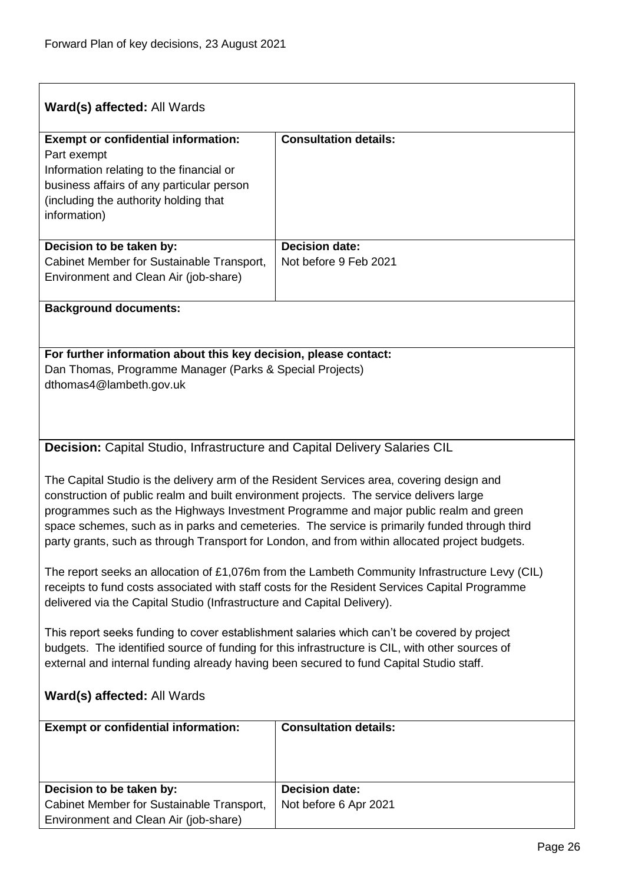$\overline{1}$ 

| Ward(s) affected: All Wards                                                                                                                                                                                                                                                                                                                                                                                                                                                      |                              |  |
|----------------------------------------------------------------------------------------------------------------------------------------------------------------------------------------------------------------------------------------------------------------------------------------------------------------------------------------------------------------------------------------------------------------------------------------------------------------------------------|------------------------------|--|
| <b>Exempt or confidential information:</b><br>Part exempt<br>Information relating to the financial or<br>business affairs of any particular person<br>(including the authority holding that<br>information)                                                                                                                                                                                                                                                                      | <b>Consultation details:</b> |  |
| Decision to be taken by:                                                                                                                                                                                                                                                                                                                                                                                                                                                         | <b>Decision date:</b>        |  |
| Cabinet Member for Sustainable Transport,<br>Environment and Clean Air (job-share)                                                                                                                                                                                                                                                                                                                                                                                               | Not before 9 Feb 2021        |  |
| <b>Background documents:</b>                                                                                                                                                                                                                                                                                                                                                                                                                                                     |                              |  |
|                                                                                                                                                                                                                                                                                                                                                                                                                                                                                  |                              |  |
| For further information about this key decision, please contact:<br>Dan Thomas, Programme Manager (Parks & Special Projects)<br>dthomas4@lambeth.gov.uk                                                                                                                                                                                                                                                                                                                          |                              |  |
| <b>Decision:</b> Capital Studio, Infrastructure and Capital Delivery Salaries CIL                                                                                                                                                                                                                                                                                                                                                                                                |                              |  |
| The Capital Studio is the delivery arm of the Resident Services area, covering design and<br>construction of public realm and built environment projects. The service delivers large<br>programmes such as the Highways Investment Programme and major public realm and green<br>space schemes, such as in parks and cemeteries. The service is primarily funded through third<br>party grants, such as through Transport for London, and from within allocated project budgets. |                              |  |
| The report seeks an allocation of £1,076m from the Lambeth Community Infrastructure Levy (CIL)<br>receipts to fund costs associated with staff costs for the Resident Services Capital Programme<br>delivered via the Capital Studio (Infrastructure and Capital Delivery).                                                                                                                                                                                                      |                              |  |
| This report seeks funding to cover establishment salaries which can't be covered by project<br>budgets. The identified source of funding for this infrastructure is CIL, with other sources of<br>external and internal funding already having been secured to fund Capital Studio staff.                                                                                                                                                                                        |                              |  |
| Ward(s) affected: All Wards                                                                                                                                                                                                                                                                                                                                                                                                                                                      |                              |  |
| <b>Exempt or confidential information:</b>                                                                                                                                                                                                                                                                                                                                                                                                                                       | <b>Consultation details:</b> |  |
|                                                                                                                                                                                                                                                                                                                                                                                                                                                                                  |                              |  |
| Decision to be taken by:                                                                                                                                                                                                                                                                                                                                                                                                                                                         | <b>Decision date:</b>        |  |
| Cabinet Member for Sustainable Transport,<br>Environment and Clean Air (job-share)                                                                                                                                                                                                                                                                                                                                                                                               | Not before 6 Apr 2021        |  |

<span id="page-25-0"></span>٦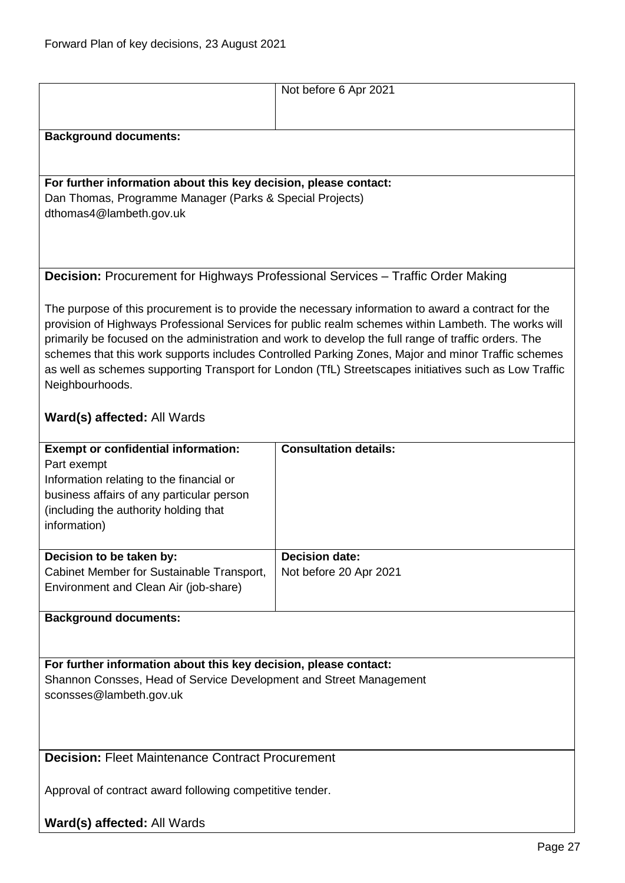<span id="page-26-1"></span><span id="page-26-0"></span>

|                                                                                                                                                                                                                                                                                                                                                                                                                                                                                                                                                      | Not before 6 Apr 2021                                                                  |  |
|------------------------------------------------------------------------------------------------------------------------------------------------------------------------------------------------------------------------------------------------------------------------------------------------------------------------------------------------------------------------------------------------------------------------------------------------------------------------------------------------------------------------------------------------------|----------------------------------------------------------------------------------------|--|
| <b>Background documents:</b>                                                                                                                                                                                                                                                                                                                                                                                                                                                                                                                         |                                                                                        |  |
|                                                                                                                                                                                                                                                                                                                                                                                                                                                                                                                                                      |                                                                                        |  |
| For further information about this key decision, please contact:                                                                                                                                                                                                                                                                                                                                                                                                                                                                                     |                                                                                        |  |
| Dan Thomas, Programme Manager (Parks & Special Projects)<br>dthomas4@lambeth.gov.uk                                                                                                                                                                                                                                                                                                                                                                                                                                                                  |                                                                                        |  |
|                                                                                                                                                                                                                                                                                                                                                                                                                                                                                                                                                      |                                                                                        |  |
|                                                                                                                                                                                                                                                                                                                                                                                                                                                                                                                                                      |                                                                                        |  |
|                                                                                                                                                                                                                                                                                                                                                                                                                                                                                                                                                      | <b>Decision:</b> Procurement for Highways Professional Services - Traffic Order Making |  |
| The purpose of this procurement is to provide the necessary information to award a contract for the<br>provision of Highways Professional Services for public realm schemes within Lambeth. The works will<br>primarily be focused on the administration and work to develop the full range of traffic orders. The<br>schemes that this work supports includes Controlled Parking Zones, Major and minor Traffic schemes<br>as well as schemes supporting Transport for London (TfL) Streetscapes initiatives such as Low Traffic<br>Neighbourhoods. |                                                                                        |  |
| Ward(s) affected: All Wards                                                                                                                                                                                                                                                                                                                                                                                                                                                                                                                          |                                                                                        |  |
| <b>Exempt or confidential information:</b><br>Part exempt<br>Information relating to the financial or<br>business affairs of any particular person<br>(including the authority holding that<br>information)                                                                                                                                                                                                                                                                                                                                          | <b>Consultation details:</b>                                                           |  |
| Decision to be taken by:                                                                                                                                                                                                                                                                                                                                                                                                                                                                                                                             | <b>Decision date:</b>                                                                  |  |
| Cabinet Member for Sustainable Transport,<br>Environment and Clean Air (job-share)                                                                                                                                                                                                                                                                                                                                                                                                                                                                   | Not before 20 Apr 2021                                                                 |  |
| <b>Background documents:</b>                                                                                                                                                                                                                                                                                                                                                                                                                                                                                                                         |                                                                                        |  |
|                                                                                                                                                                                                                                                                                                                                                                                                                                                                                                                                                      |                                                                                        |  |
| For further information about this key decision, please contact:<br>Shannon Consses, Head of Service Development and Street Management<br>sconsses@lambeth.gov.uk                                                                                                                                                                                                                                                                                                                                                                                    |                                                                                        |  |
| <b>Decision: Fleet Maintenance Contract Procurement</b>                                                                                                                                                                                                                                                                                                                                                                                                                                                                                              |                                                                                        |  |
| Approval of contract award following competitive tender.                                                                                                                                                                                                                                                                                                                                                                                                                                                                                             |                                                                                        |  |
| Ward(s) affected: All Wards                                                                                                                                                                                                                                                                                                                                                                                                                                                                                                                          |                                                                                        |  |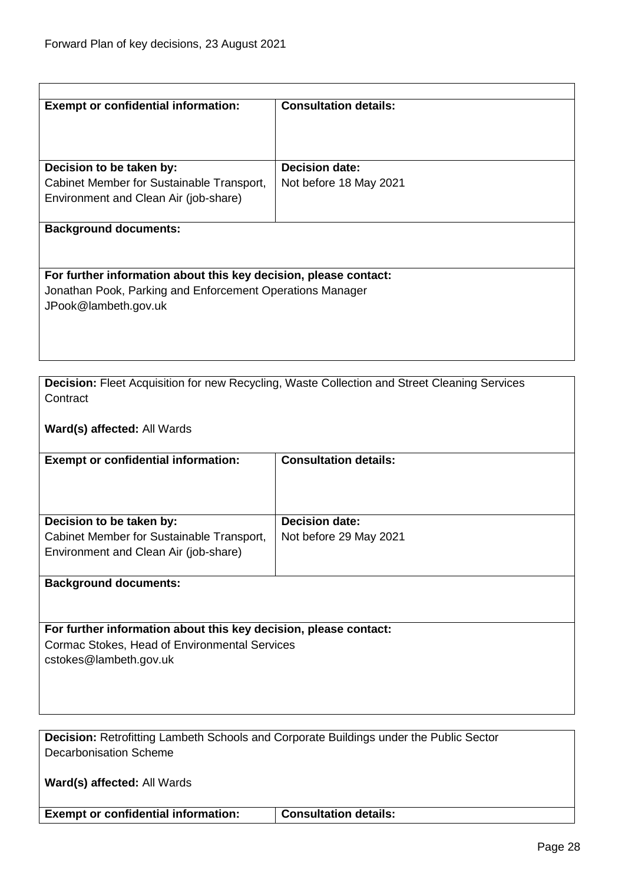$\overline{\phantom{a}}$ 

<span id="page-27-1"></span><span id="page-27-0"></span>

| <b>Exempt or confidential information:</b>                                                                                     | <b>Consultation details:</b>                                                                 |
|--------------------------------------------------------------------------------------------------------------------------------|----------------------------------------------------------------------------------------------|
|                                                                                                                                |                                                                                              |
|                                                                                                                                |                                                                                              |
| Decision to be taken by:                                                                                                       | <b>Decision date:</b>                                                                        |
| Cabinet Member for Sustainable Transport,                                                                                      | Not before 18 May 2021                                                                       |
| Environment and Clean Air (job-share)                                                                                          |                                                                                              |
| <b>Background documents:</b>                                                                                                   |                                                                                              |
|                                                                                                                                |                                                                                              |
|                                                                                                                                |                                                                                              |
| For further information about this key decision, please contact:                                                               |                                                                                              |
| Jonathan Pook, Parking and Enforcement Operations Manager                                                                      |                                                                                              |
| JPook@lambeth.gov.uk                                                                                                           |                                                                                              |
|                                                                                                                                |                                                                                              |
|                                                                                                                                |                                                                                              |
|                                                                                                                                |                                                                                              |
| Contract                                                                                                                       | Decision: Fleet Acquisition for new Recycling, Waste Collection and Street Cleaning Services |
|                                                                                                                                |                                                                                              |
| Ward(s) affected: All Wards                                                                                                    |                                                                                              |
|                                                                                                                                |                                                                                              |
| <b>Exempt or confidential information:</b>                                                                                     | <b>Consultation details:</b>                                                                 |
|                                                                                                                                |                                                                                              |
|                                                                                                                                |                                                                                              |
| Decision to be taken by:                                                                                                       | <b>Decision date:</b>                                                                        |
| Cabinet Member for Sustainable Transport,                                                                                      | Not before 29 May 2021                                                                       |
| Environment and Clean Air (job-share)                                                                                          |                                                                                              |
| <b>Background documents:</b>                                                                                                   |                                                                                              |
|                                                                                                                                |                                                                                              |
|                                                                                                                                |                                                                                              |
| For further information about this key decision, please contact:                                                               |                                                                                              |
| Cormac Stokes, Head of Environmental Services<br>cstokes@lambeth.gov.uk                                                        |                                                                                              |
|                                                                                                                                |                                                                                              |
|                                                                                                                                |                                                                                              |
|                                                                                                                                |                                                                                              |
|                                                                                                                                |                                                                                              |
| <b>Decision: Retrofitting Lambeth Schools and Corporate Buildings under the Public Sector</b><br><b>Decarbonisation Scheme</b> |                                                                                              |
|                                                                                                                                |                                                                                              |
| Ward(s) affected: All Wards                                                                                                    |                                                                                              |
|                                                                                                                                |                                                                                              |
| <b>Exempt or confidential information:</b>                                                                                     | <b>Consultation details:</b>                                                                 |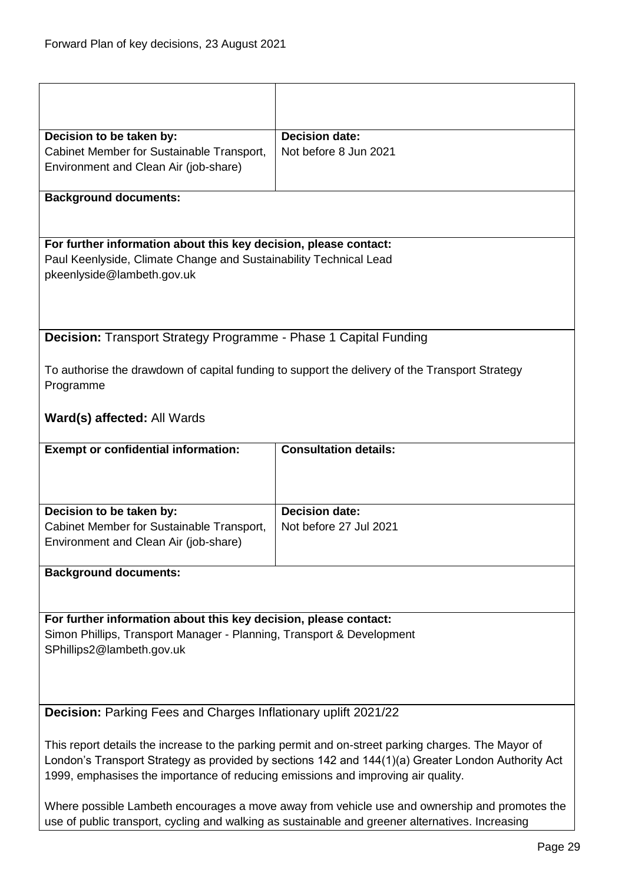<span id="page-28-1"></span><span id="page-28-0"></span>

| Decision to be taken by:                                                                                                                                                               | <b>Decision date:</b>                                                                            |
|----------------------------------------------------------------------------------------------------------------------------------------------------------------------------------------|--------------------------------------------------------------------------------------------------|
| Cabinet Member for Sustainable Transport,                                                                                                                                              | Not before 8 Jun 2021                                                                            |
| Environment and Clean Air (job-share)                                                                                                                                                  |                                                                                                  |
|                                                                                                                                                                                        |                                                                                                  |
| <b>Background documents:</b>                                                                                                                                                           |                                                                                                  |
|                                                                                                                                                                                        |                                                                                                  |
|                                                                                                                                                                                        |                                                                                                  |
| For further information about this key decision, please contact:                                                                                                                       |                                                                                                  |
| Paul Keenlyside, Climate Change and Sustainability Technical Lead<br>pkeenlyside@lambeth.gov.uk                                                                                        |                                                                                                  |
|                                                                                                                                                                                        |                                                                                                  |
|                                                                                                                                                                                        |                                                                                                  |
|                                                                                                                                                                                        |                                                                                                  |
| <b>Decision:</b> Transport Strategy Programme - Phase 1 Capital Funding                                                                                                                |                                                                                                  |
|                                                                                                                                                                                        |                                                                                                  |
|                                                                                                                                                                                        | To authorise the drawdown of capital funding to support the delivery of the Transport Strategy   |
| Programme                                                                                                                                                                              |                                                                                                  |
|                                                                                                                                                                                        |                                                                                                  |
| Ward(s) affected: All Wards                                                                                                                                                            |                                                                                                  |
|                                                                                                                                                                                        |                                                                                                  |
| <b>Exempt or confidential information:</b>                                                                                                                                             | <b>Consultation details:</b>                                                                     |
|                                                                                                                                                                                        |                                                                                                  |
|                                                                                                                                                                                        |                                                                                                  |
|                                                                                                                                                                                        |                                                                                                  |
| Decision to be taken by:                                                                                                                                                               | <b>Decision date:</b>                                                                            |
| Cabinet Member for Sustainable Transport,                                                                                                                                              | Not before 27 Jul 2021                                                                           |
| Environment and Clean Air (job-share)                                                                                                                                                  |                                                                                                  |
|                                                                                                                                                                                        |                                                                                                  |
| <b>Background documents:</b>                                                                                                                                                           |                                                                                                  |
|                                                                                                                                                                                        |                                                                                                  |
|                                                                                                                                                                                        |                                                                                                  |
| For further information about this key decision, please contact:                                                                                                                       |                                                                                                  |
| Simon Phillips, Transport Manager - Planning, Transport & Development                                                                                                                  |                                                                                                  |
| SPhillips2@lambeth.gov.uk                                                                                                                                                              |                                                                                                  |
|                                                                                                                                                                                        |                                                                                                  |
|                                                                                                                                                                                        |                                                                                                  |
| <b>Decision:</b> Parking Fees and Charges Inflationary uplift 2021/22                                                                                                                  |                                                                                                  |
|                                                                                                                                                                                        |                                                                                                  |
|                                                                                                                                                                                        |                                                                                                  |
| This report details the increase to the parking permit and on-street parking charges. The Mayor of                                                                                     |                                                                                                  |
| London's Transport Strategy as provided by sections 142 and 144(1)(a) Greater London Authority Act<br>1999, emphasises the importance of reducing emissions and improving air quality. |                                                                                                  |
|                                                                                                                                                                                        |                                                                                                  |
|                                                                                                                                                                                        | Where possible Lambeth encourages a move away from vehicle use and ownership and promotes the    |
|                                                                                                                                                                                        | use of public transport, cycling and walking as sustainable and greener alternatives. Increasing |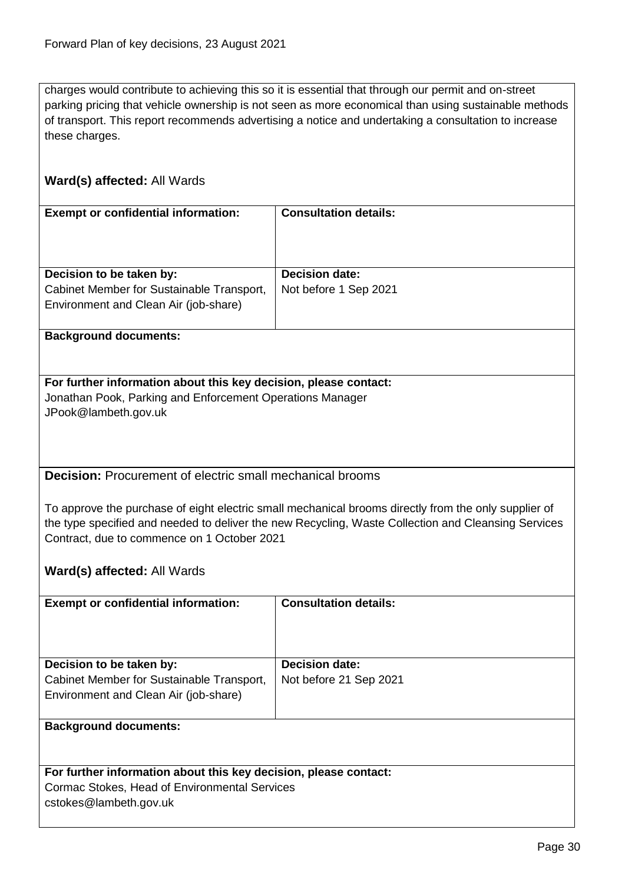charges would contribute to achieving this so it is essential that through our permit and on-street parking pricing that vehicle ownership is not seen as more economical than using sustainable methods of transport. This report recommends advertising a notice and undertaking a consultation to increase these charges.

#### **Ward(s) affected:** All Wards

| <b>Exempt or confidential information:</b>                                                                     | <b>Consultation details:</b>                   |
|----------------------------------------------------------------------------------------------------------------|------------------------------------------------|
| Decision to be taken by:<br>Cabinet Member for Sustainable Transport,<br>Environment and Clean Air (job-share) | <b>Decision date:</b><br>Not before 1 Sep 2021 |

**Background documents:**

#### **For further information about this key decision, please contact:** Jonathan Pook, Parking and Enforcement Operations Manager JPook@lambeth.gov.uk

#### <span id="page-29-0"></span>**Decision:** Procurement of electric small mechanical brooms

To approve the purchase of eight electric small mechanical brooms directly from the only supplier of the type specified and needed to deliver the new Recycling, Waste Collection and Cleansing Services Contract, due to commence on 1 October 2021

**Ward(s) affected:** All Wards

| <b>Exempt or confidential information:</b>                                                                     | <b>Consultation details:</b>                    |
|----------------------------------------------------------------------------------------------------------------|-------------------------------------------------|
| Decision to be taken by:<br>Cabinet Member for Sustainable Transport,<br>Environment and Clean Air (job-share) | <b>Decision date:</b><br>Not before 21 Sep 2021 |
| <b>Background documents:</b>                                                                                   |                                                 |

#### **For further information about this key decision, please contact:** Cormac Stokes, Head of Environmental Services cstokes@lambeth.gov.uk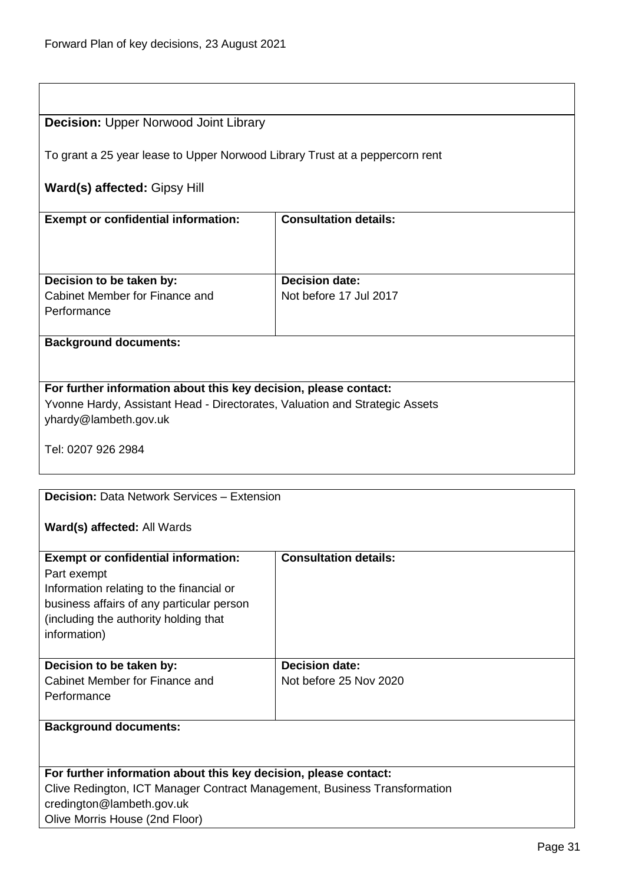<span id="page-30-0"></span>

| <b>Decision: Upper Norwood Joint Library</b>                                 |                              |  |
|------------------------------------------------------------------------------|------------------------------|--|
| To grant a 25 year lease to Upper Norwood Library Trust at a peppercorn rent |                              |  |
| Ward(s) affected: Gipsy Hill                                                 |                              |  |
| <b>Exempt or confidential information:</b>                                   | <b>Consultation details:</b> |  |
|                                                                              |                              |  |
| Decision to be taken by:                                                     | <b>Decision date:</b>        |  |
| Cabinet Member for Finance and                                               | Not before 17 Jul 2017       |  |
| Performance                                                                  |                              |  |
|                                                                              |                              |  |
|                                                                              |                              |  |
| <b>Background documents:</b>                                                 |                              |  |
|                                                                              |                              |  |
| For further information about this key decision, please contact:             |                              |  |
| Yvonne Hardy, Assistant Head - Directorates, Valuation and Strategic Assets  |                              |  |
| yhardy@lambeth.gov.uk                                                        |                              |  |
|                                                                              |                              |  |
| Tel: 0207 926 2984                                                           |                              |  |
|                                                                              |                              |  |
|                                                                              |                              |  |
| <b>Decision: Data Network Services - Extension</b>                           |                              |  |
|                                                                              |                              |  |
| Ward(s) affected: All Wards                                                  |                              |  |
| <b>Exempt or confidential information:</b>                                   | <b>Consultation details:</b> |  |
| Part exempt                                                                  |                              |  |
| Information relating to the financial or                                     |                              |  |
| business affairs of any particular person                                    |                              |  |
| (including the authority holding that                                        |                              |  |
| information)                                                                 |                              |  |
|                                                                              |                              |  |
| Decision to be taken by:                                                     | <b>Decision date:</b>        |  |
| Cabinet Member for Finance and                                               | Not before 25 Nov 2020       |  |
| Performance                                                                  |                              |  |
|                                                                              |                              |  |
| <b>Background documents:</b>                                                 |                              |  |
|                                                                              |                              |  |
|                                                                              |                              |  |
| For further information about this key decision, please contact:             |                              |  |
| Clive Redington, ICT Manager Contract Management, Business Transformation    |                              |  |
| credington@lambeth.gov.uk                                                    |                              |  |

<span id="page-30-1"></span>Olive Morris House (2nd Floor)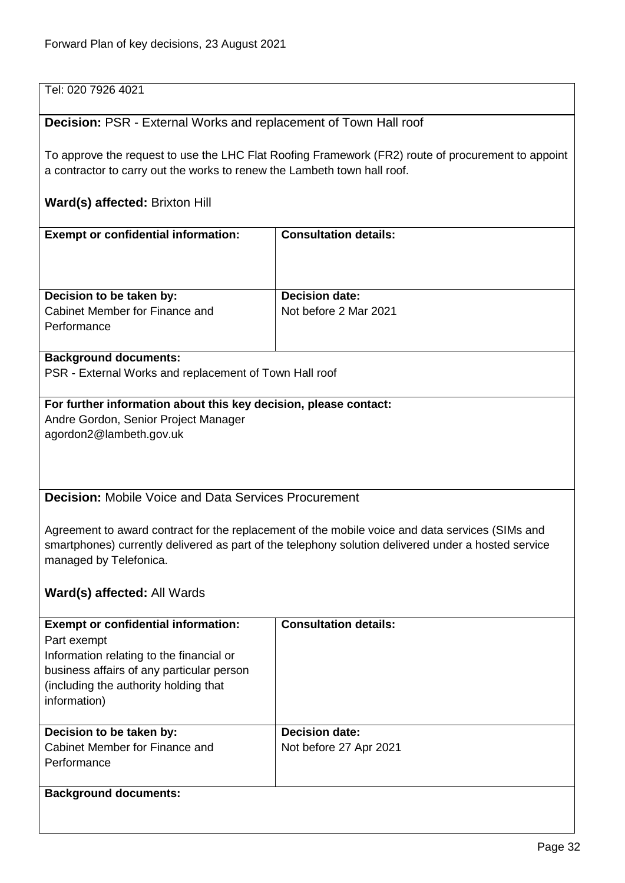Tel: 020 7926 4021

#### <span id="page-31-0"></span>**Decision:** PSR - External Works and replacement of Town Hall roof

To approve the request to use the LHC Flat Roofing Framework (FR2) route of procurement to appoint a contractor to carry out the works to renew the Lambeth town hall roof.

#### **Ward(s) affected:** Brixton Hill

| <b>Exempt or confidential information:</b> | <b>Consultation details:</b> |
|--------------------------------------------|------------------------------|
| Decision to be taken by:                   | <b>Decision date:</b>        |
| Cabinet Member for Finance and             | Not before 2 Mar 2021        |
| Performance                                |                              |
|                                            |                              |

#### **Background documents:**

PSR - External Works and replacement of Town Hall roof

### **For further information about this key decision, please contact:** Andre Gordon, Senior Project Manager

agordon2@lambeth.gov.uk

<span id="page-31-1"></span>**Decision:** Mobile Voice and Data Services Procurement

Agreement to award contract for the replacement of the mobile voice and data services (SIMs and smartphones) currently delivered as part of the telephony solution delivered under a hosted service managed by Telefonica.

| <b>Exempt or confidential information:</b> | <b>Consultation details:</b> |
|--------------------------------------------|------------------------------|
| Part exempt                                |                              |
| Information relating to the financial or   |                              |
| business affairs of any particular person  |                              |
| (including the authority holding that)     |                              |
| information)                               |                              |
|                                            |                              |
| Decision to be taken by:                   | <b>Decision date:</b>        |
| Cabinet Member for Finance and             | Not before 27 Apr 2021       |
| Performance                                |                              |
|                                            |                              |
| <b>Background documents:</b>               |                              |
|                                            |                              |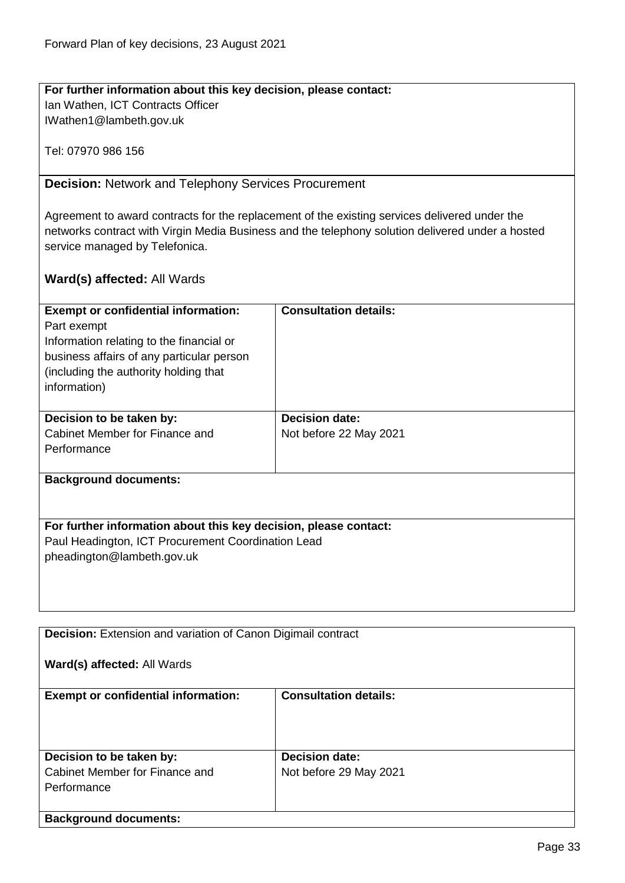#### **For further information about this key decision, please contact:** Ian Wathen, ICT Contracts Officer

IWathen1@lambeth.gov.uk

Tel: 07970 986 156

<span id="page-32-0"></span>**Decision:** Network and Telephony Services Procurement

Agreement to award contracts for the replacement of the existing services delivered under the networks contract with Virgin Media Business and the telephony solution delivered under a hosted service managed by Telefonica.

| <b>Exempt or confidential information:</b>                       | <b>Consultation details:</b> |  |
|------------------------------------------------------------------|------------------------------|--|
| Part exempt                                                      |                              |  |
| Information relating to the financial or                         |                              |  |
| business affairs of any particular person                        |                              |  |
| (including the authority holding that                            |                              |  |
| information)                                                     |                              |  |
|                                                                  |                              |  |
| Decision to be taken by:                                         | <b>Decision date:</b>        |  |
| Cabinet Member for Finance and                                   | Not before 22 May 2021       |  |
| Performance                                                      |                              |  |
|                                                                  |                              |  |
| <b>Background documents:</b>                                     |                              |  |
|                                                                  |                              |  |
|                                                                  |                              |  |
| For further information about this key decision, please contact: |                              |  |
| Paul Headington, ICT Procurement Coordination Lead               |                              |  |
| pheadington@lambeth.gov.uk                                       |                              |  |
|                                                                  |                              |  |
|                                                                  |                              |  |

<span id="page-32-1"></span>

| <b>Decision:</b> Extension and variation of Canon Digimail contract |                              |  |
|---------------------------------------------------------------------|------------------------------|--|
| Ward(s) affected: All Wards                                         |                              |  |
| <b>Exempt or confidential information:</b>                          | <b>Consultation details:</b> |  |
|                                                                     |                              |  |
|                                                                     |                              |  |
|                                                                     |                              |  |
|                                                                     |                              |  |
| Decision to be taken by:                                            | <b>Decision date:</b>        |  |
| Cabinet Member for Finance and                                      | Not before 29 May 2021       |  |
| Performance                                                         |                              |  |
|                                                                     |                              |  |
| <b>Background documents:</b>                                        |                              |  |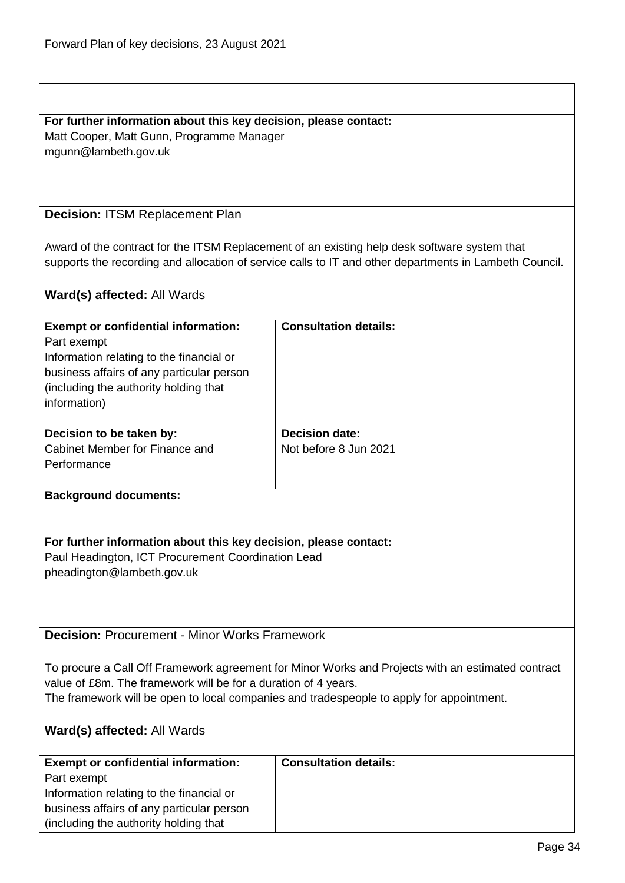#### **For further information about this key decision, please contact:** Matt Cooper, Matt Gunn, Programme Manager

mgunn@lambeth.gov.uk

#### <span id="page-33-0"></span>**Decision:** ITSM Replacement Plan

Award of the contract for the ITSM Replacement of an existing help desk software system that supports the recording and allocation of service calls to IT and other departments in Lambeth Council.

#### **Ward(s) affected:** All Wards

| <b>Exempt or confidential information:</b><br>Part exempt<br>Information relating to the financial or<br>business affairs of any particular person<br>(including the authority holding that)<br>information) | <b>Consultation details:</b>                   |
|--------------------------------------------------------------------------------------------------------------------------------------------------------------------------------------------------------------|------------------------------------------------|
| Decision to be taken by:<br>Cabinet Member for Finance and<br>Performance                                                                                                                                    | <b>Decision date:</b><br>Not before 8 Jun 2021 |

#### **Background documents:**

#### **For further information about this key decision, please contact:**

Paul Headington, ICT Procurement Coordination Lead pheadington@lambeth.gov.uk

<span id="page-33-1"></span>**Decision:** Procurement - Minor Works Framework

To procure a Call Off Framework agreement for Minor Works and Projects with an estimated contract value of £8m. The framework will be for a duration of 4 years. The framework will be open to local companies and tradespeople to apply for appointment.

| <b>Exempt or confidential information:</b> | <b>Consultation details:</b> |
|--------------------------------------------|------------------------------|
| Part exempt                                |                              |
| Information relating to the financial or   |                              |
| business affairs of any particular person  |                              |
| (including the authority holding that)     |                              |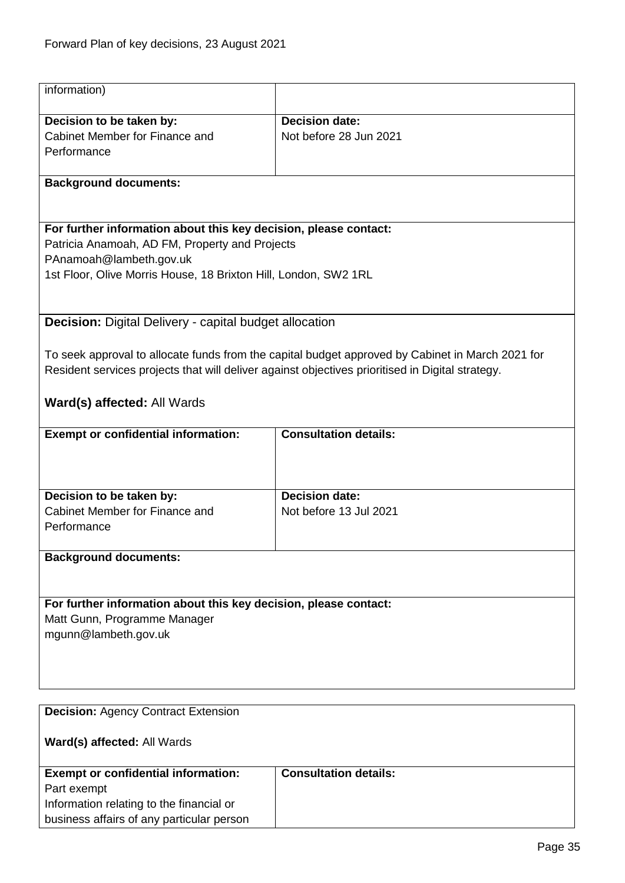<span id="page-34-1"></span><span id="page-34-0"></span>

| information)                                                                                     |                                                                                                  |  |
|--------------------------------------------------------------------------------------------------|--------------------------------------------------------------------------------------------------|--|
| Decision to be taken by:                                                                         | <b>Decision date:</b>                                                                            |  |
| Cabinet Member for Finance and                                                                   | Not before 28 Jun 2021                                                                           |  |
| Performance                                                                                      |                                                                                                  |  |
|                                                                                                  |                                                                                                  |  |
| <b>Background documents:</b>                                                                     |                                                                                                  |  |
|                                                                                                  |                                                                                                  |  |
| For further information about this key decision, please contact:                                 |                                                                                                  |  |
| Patricia Anamoah, AD FM, Property and Projects                                                   |                                                                                                  |  |
| PAnamoah@lambeth.gov.uk                                                                          |                                                                                                  |  |
| 1st Floor, Olive Morris House, 18 Brixton Hill, London, SW2 1RL                                  |                                                                                                  |  |
|                                                                                                  |                                                                                                  |  |
| <b>Decision:</b> Digital Delivery - capital budget allocation                                    |                                                                                                  |  |
|                                                                                                  | To seek approval to allocate funds from the capital budget approved by Cabinet in March 2021 for |  |
| Resident services projects that will deliver against objectives prioritised in Digital strategy. |                                                                                                  |  |
|                                                                                                  |                                                                                                  |  |
| <b>Ward(s) affected: All Wards</b>                                                               |                                                                                                  |  |
| <b>Exempt or confidential information:</b>                                                       | <b>Consultation details:</b>                                                                     |  |
|                                                                                                  |                                                                                                  |  |
|                                                                                                  |                                                                                                  |  |
|                                                                                                  |                                                                                                  |  |
| Decision to be taken by:                                                                         | <b>Decision date:</b>                                                                            |  |
| Cabinet Member for Finance and                                                                   | Not before 13 Jul 2021                                                                           |  |
| Performance                                                                                      |                                                                                                  |  |
|                                                                                                  |                                                                                                  |  |
| <b>Background documents:</b>                                                                     |                                                                                                  |  |
|                                                                                                  |                                                                                                  |  |
| For further information about this key decision, please contact:                                 |                                                                                                  |  |
| Matt Gunn, Programme Manager                                                                     |                                                                                                  |  |
| mgunn@lambeth.gov.uk                                                                             |                                                                                                  |  |
|                                                                                                  |                                                                                                  |  |
|                                                                                                  |                                                                                                  |  |
|                                                                                                  |                                                                                                  |  |
|                                                                                                  |                                                                                                  |  |
| <b>Decision: Agency Contract Extension</b>                                                       |                                                                                                  |  |
| Ward(s) affected: All Wards                                                                      |                                                                                                  |  |
| <b>Exempt or confidential information:</b>                                                       | <b>Consultation details:</b>                                                                     |  |
| Part exempt                                                                                      |                                                                                                  |  |
| Information relating to the financial or                                                         |                                                                                                  |  |
| business affairs of any particular person                                                        |                                                                                                  |  |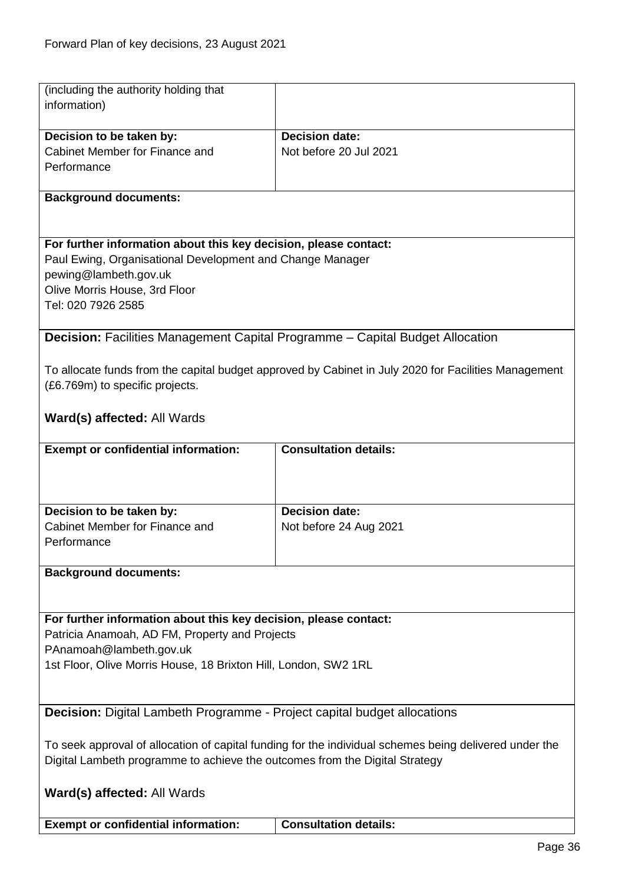<span id="page-35-1"></span><span id="page-35-0"></span>

| (including the authority holding that                                                                  |                                                                                                      |  |
|--------------------------------------------------------------------------------------------------------|------------------------------------------------------------------------------------------------------|--|
| information)                                                                                           |                                                                                                      |  |
|                                                                                                        |                                                                                                      |  |
| Decision to be taken by:                                                                               | <b>Decision date:</b>                                                                                |  |
| Cabinet Member for Finance and                                                                         | Not before 20 Jul 2021                                                                               |  |
| Performance                                                                                            |                                                                                                      |  |
|                                                                                                        |                                                                                                      |  |
| <b>Background documents:</b>                                                                           |                                                                                                      |  |
|                                                                                                        |                                                                                                      |  |
| For further information about this key decision, please contact:                                       |                                                                                                      |  |
| Paul Ewing, Organisational Development and Change Manager                                              |                                                                                                      |  |
| pewing@lambeth.gov.uk                                                                                  |                                                                                                      |  |
| Olive Morris House, 3rd Floor                                                                          |                                                                                                      |  |
| Tel: 020 7926 2585                                                                                     |                                                                                                      |  |
|                                                                                                        |                                                                                                      |  |
| <b>Decision:</b> Facilities Management Capital Programme - Capital Budget Allocation                   |                                                                                                      |  |
|                                                                                                        |                                                                                                      |  |
|                                                                                                        | To allocate funds from the capital budget approved by Cabinet in July 2020 for Facilities Management |  |
| (£6.769m) to specific projects.                                                                        |                                                                                                      |  |
|                                                                                                        |                                                                                                      |  |
| Ward(s) affected: All Wards                                                                            |                                                                                                      |  |
|                                                                                                        |                                                                                                      |  |
| <b>Exempt or confidential information:</b>                                                             | <b>Consultation details:</b>                                                                         |  |
|                                                                                                        |                                                                                                      |  |
|                                                                                                        |                                                                                                      |  |
| Decision to be taken by:                                                                               | <b>Decision date:</b>                                                                                |  |
| Cabinet Member for Finance and                                                                         | Not before 24 Aug 2021                                                                               |  |
| Performance                                                                                            |                                                                                                      |  |
|                                                                                                        |                                                                                                      |  |
| <b>Background documents:</b>                                                                           |                                                                                                      |  |
|                                                                                                        |                                                                                                      |  |
|                                                                                                        |                                                                                                      |  |
| For further information about this key decision, please contact:                                       |                                                                                                      |  |
| Patricia Anamoah, AD FM, Property and Projects                                                         |                                                                                                      |  |
| PAnamoah@lambeth.gov.uk                                                                                |                                                                                                      |  |
| 1st Floor, Olive Morris House, 18 Brixton Hill, London, SW2 1RL                                        |                                                                                                      |  |
|                                                                                                        |                                                                                                      |  |
|                                                                                                        |                                                                                                      |  |
| <b>Decision:</b> Digital Lambeth Programme - Project capital budget allocations                        |                                                                                                      |  |
|                                                                                                        |                                                                                                      |  |
| To seek approval of allocation of capital funding for the individual schemes being delivered under the |                                                                                                      |  |
| Digital Lambeth programme to achieve the outcomes from the Digital Strategy                            |                                                                                                      |  |
|                                                                                                        |                                                                                                      |  |
| Ward(s) affected: All Wards                                                                            |                                                                                                      |  |
| <b>Exempt or confidential information:</b>                                                             | <b>Consultation details:</b>                                                                         |  |
|                                                                                                        |                                                                                                      |  |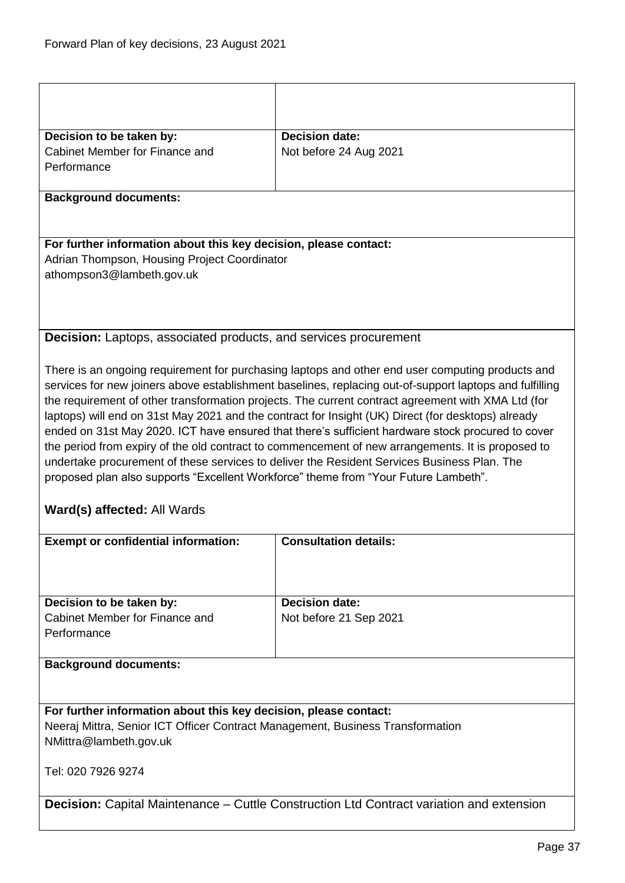| Decision to be taken by:                                                                                                                                                                                                                                                                                                                                                                                                                                                                                                                                                                                                                                                                                                                                                                                                                                                                                                             | <b>Decision date:</b>  |  |
|--------------------------------------------------------------------------------------------------------------------------------------------------------------------------------------------------------------------------------------------------------------------------------------------------------------------------------------------------------------------------------------------------------------------------------------------------------------------------------------------------------------------------------------------------------------------------------------------------------------------------------------------------------------------------------------------------------------------------------------------------------------------------------------------------------------------------------------------------------------------------------------------------------------------------------------|------------------------|--|
| Cabinet Member for Finance and                                                                                                                                                                                                                                                                                                                                                                                                                                                                                                                                                                                                                                                                                                                                                                                                                                                                                                       | Not before 24 Aug 2021 |  |
| Performance                                                                                                                                                                                                                                                                                                                                                                                                                                                                                                                                                                                                                                                                                                                                                                                                                                                                                                                          |                        |  |
| <b>Background documents:</b>                                                                                                                                                                                                                                                                                                                                                                                                                                                                                                                                                                                                                                                                                                                                                                                                                                                                                                         |                        |  |
|                                                                                                                                                                                                                                                                                                                                                                                                                                                                                                                                                                                                                                                                                                                                                                                                                                                                                                                                      |                        |  |
| For further information about this key decision, please contact:                                                                                                                                                                                                                                                                                                                                                                                                                                                                                                                                                                                                                                                                                                                                                                                                                                                                     |                        |  |
| Adrian Thompson, Housing Project Coordinator<br>athompson3@lambeth.gov.uk                                                                                                                                                                                                                                                                                                                                                                                                                                                                                                                                                                                                                                                                                                                                                                                                                                                            |                        |  |
|                                                                                                                                                                                                                                                                                                                                                                                                                                                                                                                                                                                                                                                                                                                                                                                                                                                                                                                                      |                        |  |
|                                                                                                                                                                                                                                                                                                                                                                                                                                                                                                                                                                                                                                                                                                                                                                                                                                                                                                                                      |                        |  |
| <b>Decision:</b> Laptops, associated products, and services procurement                                                                                                                                                                                                                                                                                                                                                                                                                                                                                                                                                                                                                                                                                                                                                                                                                                                              |                        |  |
|                                                                                                                                                                                                                                                                                                                                                                                                                                                                                                                                                                                                                                                                                                                                                                                                                                                                                                                                      |                        |  |
| There is an ongoing requirement for purchasing laptops and other end user computing products and<br>services for new joiners above establishment baselines, replacing out-of-support laptops and fulfilling<br>the requirement of other transformation projects. The current contract agreement with XMA Ltd (for<br>laptops) will end on 31st May 2021 and the contract for Insight (UK) Direct (for desktops) already<br>ended on 31st May 2020. ICT have ensured that there's sufficient hardware stock procured to cover<br>the period from expiry of the old contract to commencement of new arrangements. It is proposed to<br>undertake procurement of these services to deliver the Resident Services Business Plan. The<br>proposed plan also supports "Excellent Workforce" theme from "Your Future Lambeth".<br>Ward(s) affected: All Wards<br><b>Consultation details:</b><br><b>Exempt or confidential information:</b> |                        |  |
|                                                                                                                                                                                                                                                                                                                                                                                                                                                                                                                                                                                                                                                                                                                                                                                                                                                                                                                                      |                        |  |
|                                                                                                                                                                                                                                                                                                                                                                                                                                                                                                                                                                                                                                                                                                                                                                                                                                                                                                                                      |                        |  |
| Decision to be taken by:                                                                                                                                                                                                                                                                                                                                                                                                                                                                                                                                                                                                                                                                                                                                                                                                                                                                                                             | <b>Decision date:</b>  |  |
| Cabinet Member for Finance and<br>Performance                                                                                                                                                                                                                                                                                                                                                                                                                                                                                                                                                                                                                                                                                                                                                                                                                                                                                        | Not before 21 Sep 2021 |  |
| <b>Background documents:</b>                                                                                                                                                                                                                                                                                                                                                                                                                                                                                                                                                                                                                                                                                                                                                                                                                                                                                                         |                        |  |
|                                                                                                                                                                                                                                                                                                                                                                                                                                                                                                                                                                                                                                                                                                                                                                                                                                                                                                                                      |                        |  |
| For further information about this key decision, please contact:<br>Neeraj Mittra, Senior ICT Officer Contract Management, Business Transformation<br>NMittra@lambeth.gov.uk                                                                                                                                                                                                                                                                                                                                                                                                                                                                                                                                                                                                                                                                                                                                                         |                        |  |
| Tel: 020 7926 9274                                                                                                                                                                                                                                                                                                                                                                                                                                                                                                                                                                                                                                                                                                                                                                                                                                                                                                                   |                        |  |
| <b>Decision:</b> Capital Maintenance – Cuttle Construction Ltd Contract variation and extension                                                                                                                                                                                                                                                                                                                                                                                                                                                                                                                                                                                                                                                                                                                                                                                                                                      |                        |  |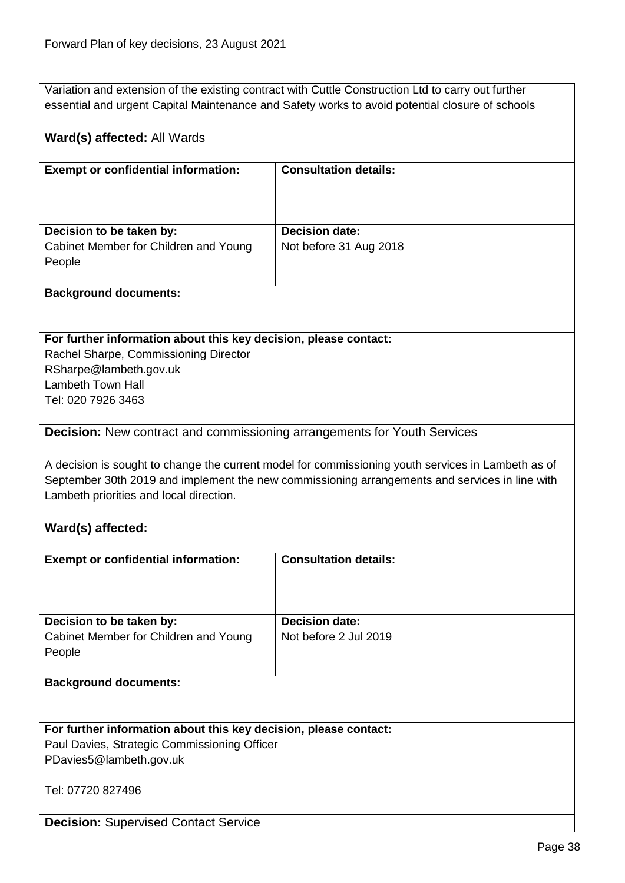Variation and extension of the existing contract with Cuttle Construction Ltd to carry out further essential and urgent Capital Maintenance and Safety works to avoid potential closure of schools

## **Ward(s) affected:** All Wards

| <b>Exempt or confidential information:</b>                                  | <b>Consultation details:</b>                    |
|-----------------------------------------------------------------------------|-------------------------------------------------|
| Decision to be taken by:<br>Cabinet Member for Children and Young<br>People | <b>Decision date:</b><br>Not before 31 Aug 2018 |

## **Background documents:**

### **For further information about this key decision, please contact:**

Rachel Sharpe, Commissioning Director RSharpe@lambeth.gov.uk Lambeth Town Hall Tel: 020 7926 3463

**Decision:** Supervised Contact Service

## **Decision:** New contract and commissioning arrangements for Youth Services

A decision is sought to change the current model for commissioning youth services in Lambeth as of September 30th 2019 and implement the new commissioning arrangements and services in line with Lambeth priorities and local direction.

## **Ward(s) affected:**

| <b>Exempt or confidential information:</b>                       | <b>Consultation details:</b> |
|------------------------------------------------------------------|------------------------------|
|                                                                  |                              |
|                                                                  |                              |
| Decision to be taken by:                                         | <b>Decision date:</b>        |
| Cabinet Member for Children and Young                            | Not before 2 Jul 2019        |
| People                                                           |                              |
|                                                                  |                              |
| <b>Background documents:</b>                                     |                              |
|                                                                  |                              |
|                                                                  |                              |
| For further information about this key decision, please contact: |                              |
| Paul Davies, Strategic Commissioning Officer                     |                              |
| PDavies5@lambeth.gov.uk                                          |                              |
| Tel: 07720 827496                                                |                              |
|                                                                  |                              |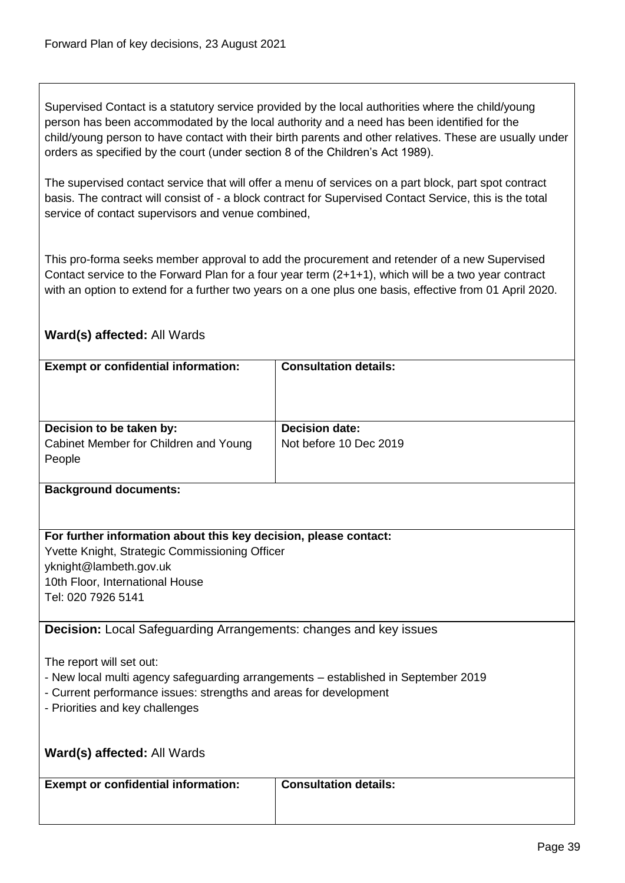Supervised Contact is a statutory service provided by the local authorities where the child/young person has been accommodated by the local authority and a need has been identified for the child/young person to have contact with their birth parents and other relatives. These are usually under orders as specified by the court (under section 8 of the Children's Act 1989).

The supervised contact service that will offer a menu of services on a part block, part spot contract basis. The contract will consist of - a block contract for Supervised Contact Service, this is the total service of contact supervisors and venue combined,

This pro-forma seeks member approval to add the procurement and retender of a new Supervised Contact service to the Forward Plan for a four year term (2+1+1), which will be a two year contract with an option to extend for a further two years on a one plus one basis, effective from 01 April 2020.

| <b>Exempt or confidential information:</b>                                                                     | <b>Consultation details:</b> |  |
|----------------------------------------------------------------------------------------------------------------|------------------------------|--|
|                                                                                                                |                              |  |
|                                                                                                                |                              |  |
| Decision to be taken by:                                                                                       | <b>Decision date:</b>        |  |
| Cabinet Member for Children and Young                                                                          | Not before 10 Dec 2019       |  |
| People                                                                                                         |                              |  |
| <b>Background documents:</b>                                                                                   |                              |  |
|                                                                                                                |                              |  |
| For further information about this key decision, please contact:                                               |                              |  |
| Yvette Knight, Strategic Commissioning Officer                                                                 |                              |  |
| yknight@lambeth.gov.uk                                                                                         |                              |  |
| 10th Floor, International House                                                                                |                              |  |
| Tel: 020 7926 5141                                                                                             |                              |  |
|                                                                                                                |                              |  |
| <b>Decision:</b> Local Safeguarding Arrangements: changes and key issues                                       |                              |  |
|                                                                                                                |                              |  |
| The report will set out:<br>- New local multi agency safeguarding arrangements - established in September 2019 |                              |  |
| - Current performance issues: strengths and areas for development                                              |                              |  |
| - Priorities and key challenges                                                                                |                              |  |
|                                                                                                                |                              |  |
|                                                                                                                |                              |  |
| Ward(s) affected: All Wards                                                                                    |                              |  |
| <b>Exempt or confidential information:</b>                                                                     | <b>Consultation details:</b> |  |
|                                                                                                                |                              |  |
|                                                                                                                |                              |  |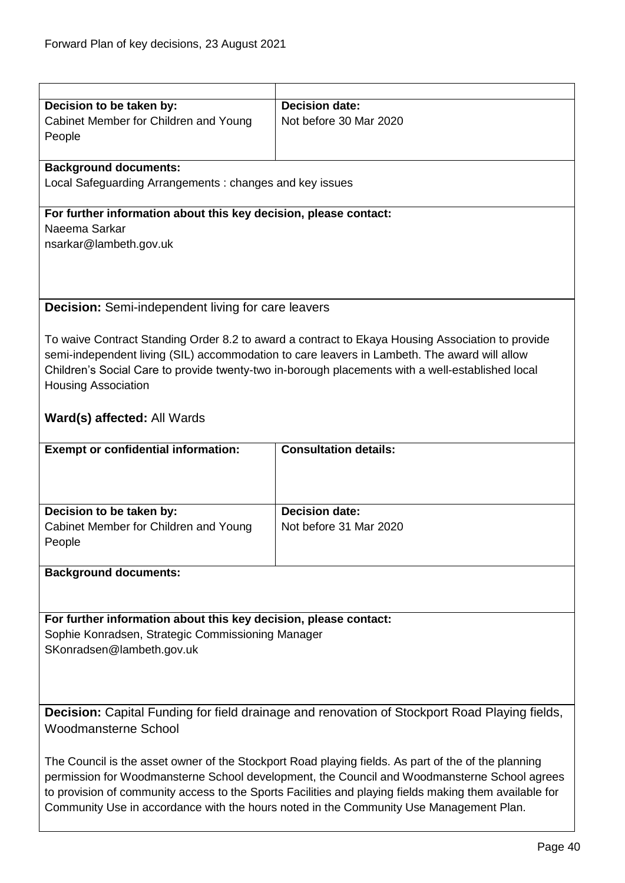| Decision to be taken by:                                         | <b>Decision date:</b>                                                                                |  |
|------------------------------------------------------------------|------------------------------------------------------------------------------------------------------|--|
| Cabinet Member for Children and Young                            | Not before 30 Mar 2020                                                                               |  |
| People                                                           |                                                                                                      |  |
|                                                                  |                                                                                                      |  |
| <b>Background documents:</b>                                     |                                                                                                      |  |
| Local Safeguarding Arrangements: changes and key issues          |                                                                                                      |  |
|                                                                  |                                                                                                      |  |
| For further information about this key decision, please contact: |                                                                                                      |  |
| Naeema Sarkar                                                    |                                                                                                      |  |
| nsarkar@lambeth.gov.uk                                           |                                                                                                      |  |
|                                                                  |                                                                                                      |  |
|                                                                  |                                                                                                      |  |
|                                                                  |                                                                                                      |  |
|                                                                  |                                                                                                      |  |
| <b>Decision:</b> Semi-independent living for care leavers        |                                                                                                      |  |
|                                                                  |                                                                                                      |  |
|                                                                  | To waive Contract Standing Order 8.2 to award a contract to Ekaya Housing Association to provide     |  |
|                                                                  | semi-independent living (SIL) accommodation to care leavers in Lambeth. The award will allow         |  |
|                                                                  | Children's Social Care to provide twenty-two in-borough placements with a well-established local     |  |
| <b>Housing Association</b>                                       |                                                                                                      |  |
|                                                                  |                                                                                                      |  |
| Ward(s) affected: All Wards                                      |                                                                                                      |  |
|                                                                  |                                                                                                      |  |
|                                                                  |                                                                                                      |  |
| <b>Exempt or confidential information:</b>                       | <b>Consultation details:</b>                                                                         |  |
|                                                                  |                                                                                                      |  |
|                                                                  |                                                                                                      |  |
|                                                                  |                                                                                                      |  |
| Decision to be taken by:                                         | <b>Decision date:</b>                                                                                |  |
| Cabinet Member for Children and Young                            | Not before 31 Mar 2020                                                                               |  |
| People                                                           |                                                                                                      |  |
|                                                                  |                                                                                                      |  |
| <b>Background documents:</b>                                     |                                                                                                      |  |
|                                                                  |                                                                                                      |  |
|                                                                  |                                                                                                      |  |
|                                                                  |                                                                                                      |  |
|                                                                  |                                                                                                      |  |
| For further information about this key decision, please contact: |                                                                                                      |  |
| Sophie Konradsen, Strategic Commissioning Manager                |                                                                                                      |  |
| SKonradsen@lambeth.gov.uk                                        |                                                                                                      |  |
|                                                                  |                                                                                                      |  |
|                                                                  |                                                                                                      |  |
|                                                                  |                                                                                                      |  |
|                                                                  |                                                                                                      |  |
|                                                                  | <b>Decision:</b> Capital Funding for field drainage and renovation of Stockport Road Playing fields, |  |
| <b>Woodmansterne School</b>                                      |                                                                                                      |  |
|                                                                  |                                                                                                      |  |
|                                                                  | The Council is the asset owner of the Stockport Road playing fields. As part of the of the planning  |  |
|                                                                  | permission for Woodmansterne School development, the Council and Woodmansterne School agrees         |  |

Community Use in accordance with the hours noted in the Community Use Management Plan.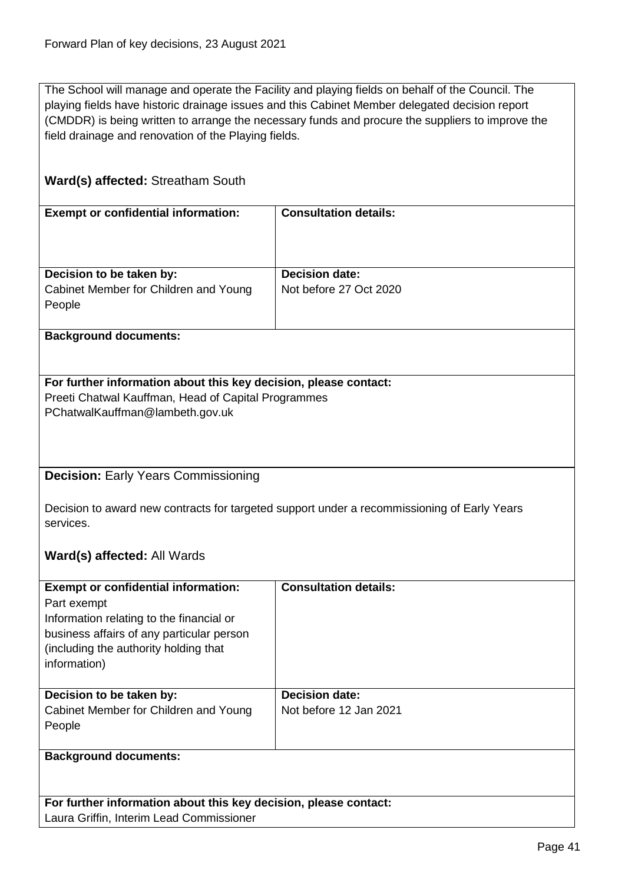The School will manage and operate the Facility and playing fields on behalf of the Council. The playing fields have historic drainage issues and this Cabinet Member delegated decision report (CMDDR) is being written to arrange the necessary funds and procure the suppliers to improve the field drainage and renovation of the Playing fields.

## **Ward(s) affected:** Streatham South

| <b>Exempt or confidential information:</b> | <b>Consultation details:</b> |
|--------------------------------------------|------------------------------|
|                                            |                              |
| Decision to be taken by:                   | <b>Decision date:</b>        |
| Cabinet Member for Children and Young      | Not before 27 Oct 2020       |
| People                                     |                              |
|                                            |                              |

**Background documents:**

# **For further information about this key decision, please contact:**

Preeti Chatwal Kauffman, Head of Capital Programmes PChatwalKauffman@lambeth.gov.uk

## **Decision:** Early Years Commissioning

Decision to award new contracts for targeted support under a recommissioning of Early Years services.

## **Ward(s) affected:** All Wards

| <b>Exempt or confidential information:</b><br>Part exempt<br>Information relating to the financial or<br>business affairs of any particular person<br>(including the authority holding that)<br>information) | <b>Consultation details:</b> |
|--------------------------------------------------------------------------------------------------------------------------------------------------------------------------------------------------------------|------------------------------|
| Decision to be taken by:                                                                                                                                                                                     | <b>Decision date:</b>        |
| Cabinet Member for Children and Young                                                                                                                                                                        | Not before 12 Jan 2021       |
| People                                                                                                                                                                                                       |                              |
|                                                                                                                                                                                                              |                              |
| <b>Background documents:</b>                                                                                                                                                                                 |                              |

**For further information about this key decision, please contact:** Laura Griffin, Interim Lead Commissioner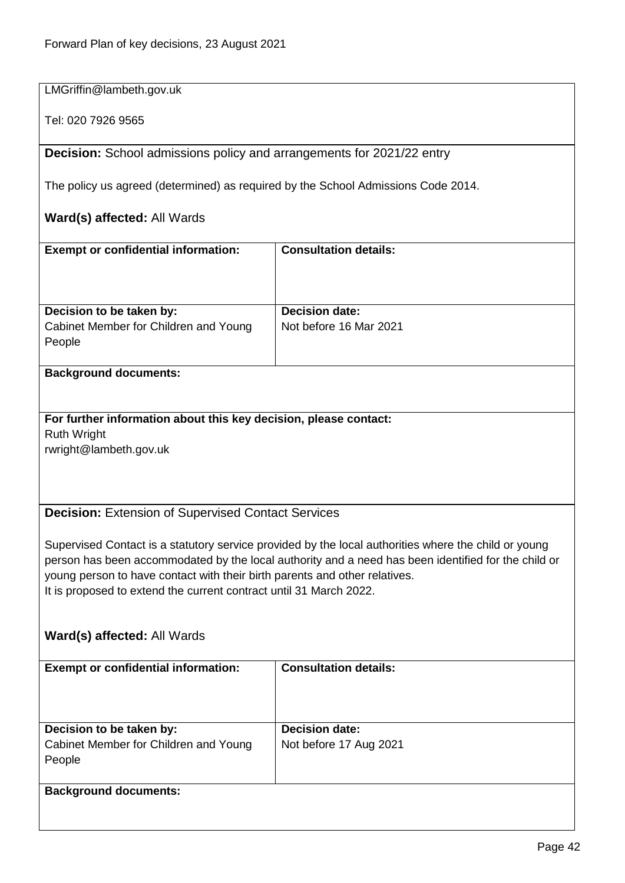| LMGriffin@lambeth.gov.uk                                                                                                                                                                                                                                                                                                                                        |                              |  |
|-----------------------------------------------------------------------------------------------------------------------------------------------------------------------------------------------------------------------------------------------------------------------------------------------------------------------------------------------------------------|------------------------------|--|
| Tel: 020 7926 9565                                                                                                                                                                                                                                                                                                                                              |                              |  |
| <b>Decision:</b> School admissions policy and arrangements for 2021/22 entry                                                                                                                                                                                                                                                                                    |                              |  |
| The policy us agreed (determined) as required by the School Admissions Code 2014.                                                                                                                                                                                                                                                                               |                              |  |
| Ward(s) affected: All Wards                                                                                                                                                                                                                                                                                                                                     |                              |  |
| <b>Exempt or confidential information:</b>                                                                                                                                                                                                                                                                                                                      | <b>Consultation details:</b> |  |
|                                                                                                                                                                                                                                                                                                                                                                 |                              |  |
| Decision to be taken by:                                                                                                                                                                                                                                                                                                                                        | <b>Decision date:</b>        |  |
| Cabinet Member for Children and Young<br>People                                                                                                                                                                                                                                                                                                                 | Not before 16 Mar 2021       |  |
| <b>Background documents:</b>                                                                                                                                                                                                                                                                                                                                    |                              |  |
|                                                                                                                                                                                                                                                                                                                                                                 |                              |  |
| For further information about this key decision, please contact:<br><b>Ruth Wright</b><br>rwright@lambeth.gov.uk                                                                                                                                                                                                                                                |                              |  |
| <b>Decision: Extension of Supervised Contact Services</b>                                                                                                                                                                                                                                                                                                       |                              |  |
| Supervised Contact is a statutory service provided by the local authorities where the child or young<br>person has been accommodated by the local authority and a need has been identified for the child or<br>young person to have contact with their birth parents and other relatives.<br>It is proposed to extend the current contract until 31 March 2022. |                              |  |
| Ward(s) affected: All Wards                                                                                                                                                                                                                                                                                                                                     |                              |  |
| <b>Exempt or confidential information:</b>                                                                                                                                                                                                                                                                                                                      | <b>Consultation details:</b> |  |
| Decision to be taken by:                                                                                                                                                                                                                                                                                                                                        | <b>Decision date:</b>        |  |
| Cabinet Member for Children and Young<br>People                                                                                                                                                                                                                                                                                                                 | Not before 17 Aug 2021       |  |
| <b>Background documents:</b>                                                                                                                                                                                                                                                                                                                                    |                              |  |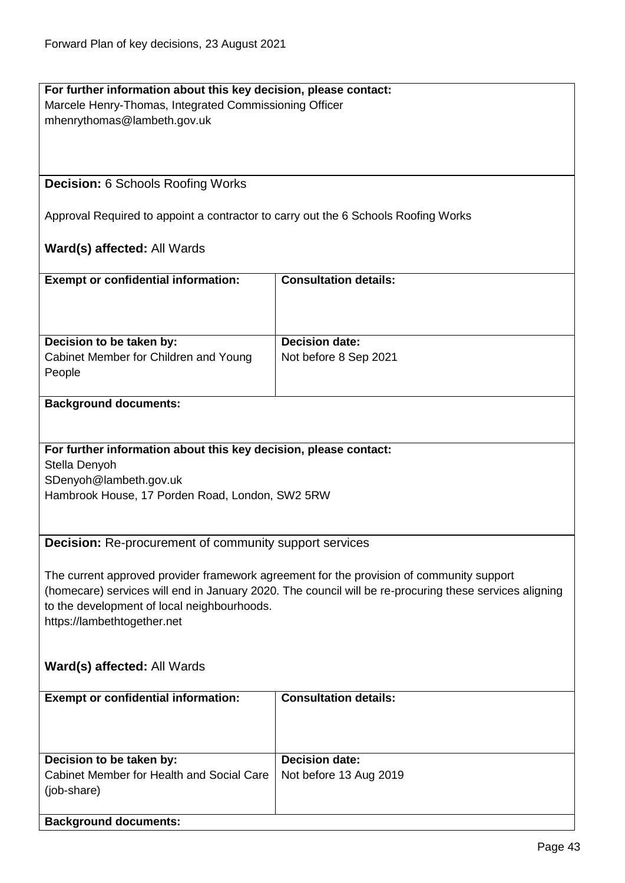| For further information about this key decision, please contact:                   |                                                                                                        |  |
|------------------------------------------------------------------------------------|--------------------------------------------------------------------------------------------------------|--|
| Marcele Henry-Thomas, Integrated Commissioning Officer                             |                                                                                                        |  |
| mhenrythomas@lambeth.gov.uk                                                        |                                                                                                        |  |
|                                                                                    |                                                                                                        |  |
|                                                                                    |                                                                                                        |  |
|                                                                                    |                                                                                                        |  |
| <b>Decision: 6 Schools Roofing Works</b>                                           |                                                                                                        |  |
|                                                                                    |                                                                                                        |  |
| Approval Required to appoint a contractor to carry out the 6 Schools Roofing Works |                                                                                                        |  |
|                                                                                    |                                                                                                        |  |
| Ward(s) affected: All Wards                                                        |                                                                                                        |  |
|                                                                                    |                                                                                                        |  |
| <b>Exempt or confidential information:</b>                                         | <b>Consultation details:</b>                                                                           |  |
|                                                                                    |                                                                                                        |  |
|                                                                                    |                                                                                                        |  |
|                                                                                    |                                                                                                        |  |
| Decision to be taken by:                                                           | <b>Decision date:</b>                                                                                  |  |
| Cabinet Member for Children and Young                                              | Not before 8 Sep 2021                                                                                  |  |
| People                                                                             |                                                                                                        |  |
|                                                                                    |                                                                                                        |  |
| <b>Background documents:</b>                                                       |                                                                                                        |  |
|                                                                                    |                                                                                                        |  |
|                                                                                    |                                                                                                        |  |
| For further information about this key decision, please contact:                   |                                                                                                        |  |
|                                                                                    |                                                                                                        |  |
| Stella Denyoh                                                                      |                                                                                                        |  |
| SDenyoh@lambeth.gov.uk                                                             |                                                                                                        |  |
| Hambrook House, 17 Porden Road, London, SW2 5RW                                    |                                                                                                        |  |
|                                                                                    |                                                                                                        |  |
|                                                                                    |                                                                                                        |  |
| <b>Decision:</b> Re-procurement of community support services                      |                                                                                                        |  |
|                                                                                    |                                                                                                        |  |
|                                                                                    | The current approved provider framework agreement for the provision of community support               |  |
|                                                                                    | (homecare) services will end in January 2020. The council will be re-procuring these services aligning |  |
| to the development of local neighbourhoods.                                        |                                                                                                        |  |
| https://lambethtogether.net                                                        |                                                                                                        |  |
|                                                                                    |                                                                                                        |  |
|                                                                                    |                                                                                                        |  |
| Ward(s) affected: All Wards                                                        |                                                                                                        |  |
|                                                                                    |                                                                                                        |  |
| <b>Exempt or confidential information:</b>                                         | <b>Consultation details:</b>                                                                           |  |
|                                                                                    |                                                                                                        |  |
|                                                                                    |                                                                                                        |  |
|                                                                                    |                                                                                                        |  |
| Decision to be taken by:                                                           | <b>Decision date:</b>                                                                                  |  |
| Cabinet Member for Health and Social Care                                          | Not before 13 Aug 2019                                                                                 |  |
| (job-share)                                                                        |                                                                                                        |  |
|                                                                                    |                                                                                                        |  |
| <b>Background documents:</b>                                                       |                                                                                                        |  |
|                                                                                    |                                                                                                        |  |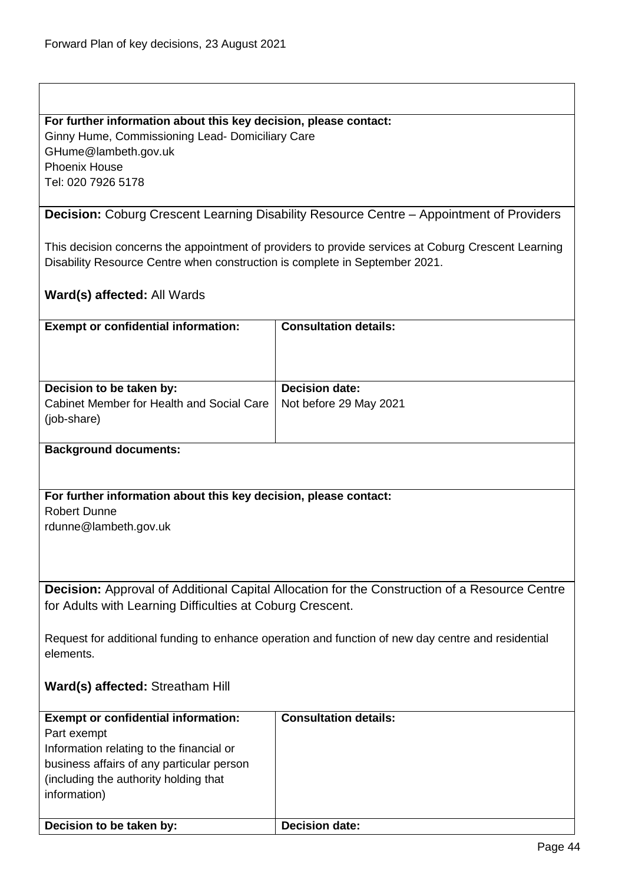### **For further information about this key decision, please contact:**

Ginny Hume, Commissioning Lead- Domiciliary Care GHume@lambeth.gov.uk Phoenix House Tel: 020 7926 5178

**Decision:** Coburg Crescent Learning Disability Resource Centre – Appointment of Providers

This decision concerns the appointment of providers to provide services at Coburg Crescent Learning Disability Resource Centre when construction is complete in September 2021.

### **Ward(s) affected:** All Wards

| <b>Exempt or confidential information:</b>               | <b>Consultation details:</b> |
|----------------------------------------------------------|------------------------------|
| Decision to be taken by:                                 | <b>Decision date:</b>        |
| Cabinet Member for Health and Social Care<br>(job-share) | Not before 29 May 2021       |

#### **Background documents:**

# **For further information about this key decision, please contact:** Robert Dunne

rdunne@lambeth.gov.uk

**Decision:** Approval of Additional Capital Allocation for the Construction of a Resource Centre for Adults with Learning Difficulties at Coburg Crescent.

Request for additional funding to enhance operation and function of new day centre and residential elements.

## **Ward(s) affected:** Streatham Hill

| <b>Exempt or confidential information:</b><br>Part exempt<br>Information relating to the financial or<br>business affairs of any particular person<br>(including the authority holding that)<br>information) | <b>Consultation details:</b> |
|--------------------------------------------------------------------------------------------------------------------------------------------------------------------------------------------------------------|------------------------------|
| Decision to be taken by:                                                                                                                                                                                     | <b>Decision date:</b>        |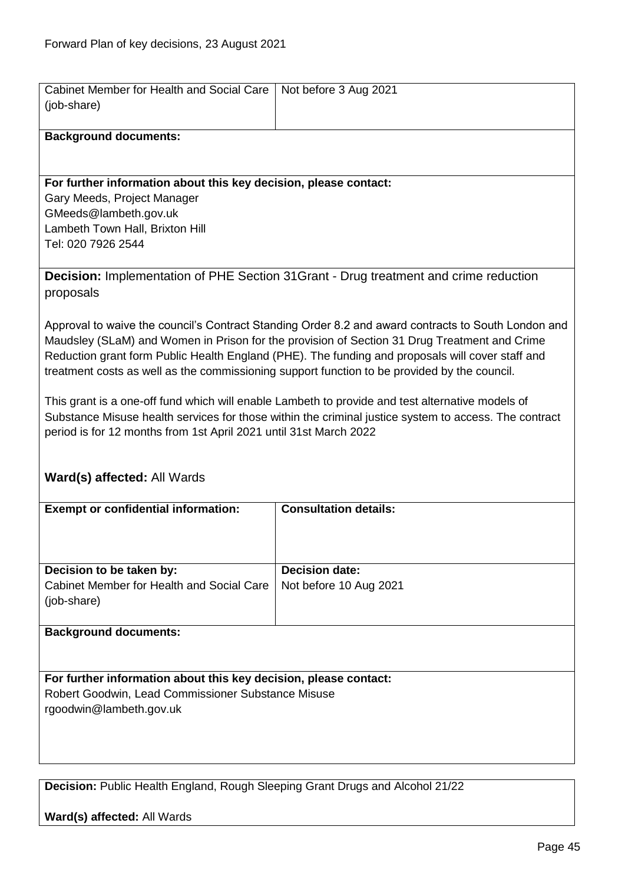| Cabinet Member for Health and Social Care<br>(job-share)                                                                                                                                                                                                                                                                                                                                                | Not before 3 Aug 2021        |  |
|---------------------------------------------------------------------------------------------------------------------------------------------------------------------------------------------------------------------------------------------------------------------------------------------------------------------------------------------------------------------------------------------------------|------------------------------|--|
| <b>Background documents:</b>                                                                                                                                                                                                                                                                                                                                                                            |                              |  |
| For further information about this key decision, please contact:<br>Gary Meeds, Project Manager<br>GMeeds@lambeth.gov.uk<br>Lambeth Town Hall, Brixton Hill<br>Tel: 020 7926 2544                                                                                                                                                                                                                       |                              |  |
| <b>Decision:</b> Implementation of PHE Section 31 Grant - Drug treatment and crime reduction<br>proposals                                                                                                                                                                                                                                                                                               |                              |  |
| Approval to waive the council's Contract Standing Order 8.2 and award contracts to South London and<br>Maudsley (SLaM) and Women in Prison for the provision of Section 31 Drug Treatment and Crime<br>Reduction grant form Public Health England (PHE). The funding and proposals will cover staff and<br>treatment costs as well as the commissioning support function to be provided by the council. |                              |  |
| This grant is a one-off fund which will enable Lambeth to provide and test alternative models of<br>Substance Misuse health services for those within the criminal justice system to access. The contract<br>period is for 12 months from 1st April 2021 until 31st March 2022                                                                                                                          |                              |  |
| Ward(s) affected: All Wards                                                                                                                                                                                                                                                                                                                                                                             |                              |  |
| <b>Exempt or confidential information:</b>                                                                                                                                                                                                                                                                                                                                                              | <b>Consultation details:</b> |  |
| Decision to be taken by:                                                                                                                                                                                                                                                                                                                                                                                | <b>Decision date:</b>        |  |

Not before 10 Aug 2021

## **Background documents:**

(job-share)

Cabinet Member for Health and Social Care

**For further information about this key decision, please contact:** Robert Goodwin, Lead Commissioner Substance Misuse rgoodwin@lambeth.gov.uk

**Decision:** Public Health England, Rough Sleeping Grant Drugs and Alcohol 21/22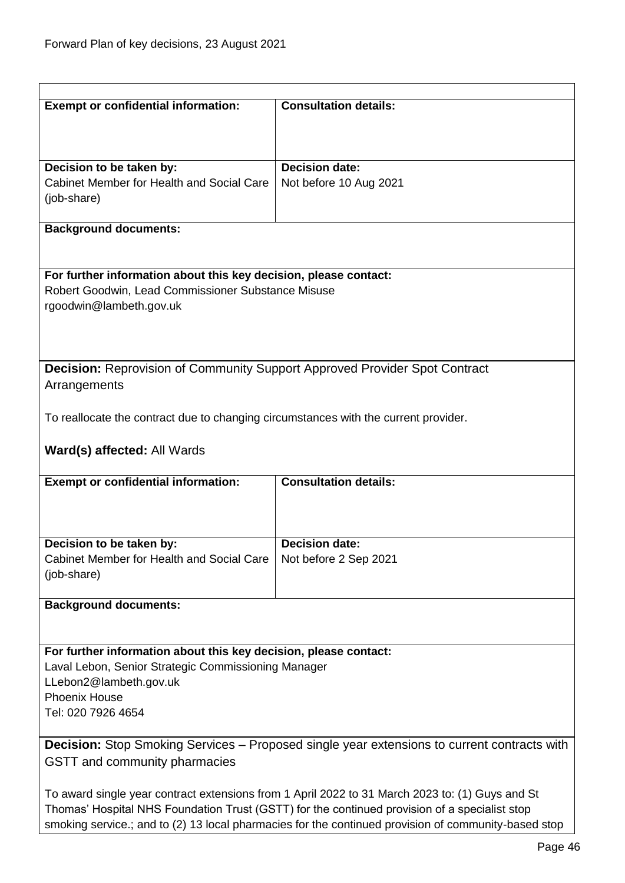| <b>Exempt or confidential information:</b>                                                           | <b>Consultation details:</b>                   |
|------------------------------------------------------------------------------------------------------|------------------------------------------------|
|                                                                                                      |                                                |
| Decision to be taken by:                                                                             | <b>Decision date:</b>                          |
| Cabinet Member for Health and Social Care                                                            | Not before 10 Aug 2021                         |
| (job-share)                                                                                          |                                                |
| <b>Background documents:</b>                                                                         |                                                |
|                                                                                                      |                                                |
| For further information about this key decision, please contact:                                     |                                                |
| Robert Goodwin, Lead Commissioner Substance Misuse<br>rgoodwin@lambeth.gov.uk                        |                                                |
|                                                                                                      |                                                |
|                                                                                                      |                                                |
| <b>Decision:</b> Reprovision of Community Support Approved Provider Spot Contract                    |                                                |
| Arrangements                                                                                         |                                                |
| To reallocate the contract due to changing circumstances with the current provider.                  |                                                |
|                                                                                                      |                                                |
| Ward(s) affected: All Wards                                                                          |                                                |
| <b>Exempt or confidential information:</b>                                                           | <b>Consultation details:</b>                   |
|                                                                                                      |                                                |
|                                                                                                      |                                                |
| Decision to be taken by:<br>Cabinet Member for Health and Social Care                                | <b>Decision date:</b><br>Not before 2 Sep 2021 |
| (job-share)                                                                                          |                                                |
| <b>Background documents:</b>                                                                         |                                                |
|                                                                                                      |                                                |
| For further information about this key decision, please contact:                                     |                                                |
| Laval Lebon, Senior Strategic Commissioning Manager                                                  |                                                |
| LLebon2@lambeth.gov.uk                                                                               |                                                |
| <b>Phoenix House</b><br>Tel: 020 7926 4654                                                           |                                                |
|                                                                                                      |                                                |
| <b>Decision:</b> Stop Smoking Services – Proposed single year extensions to current contracts with   |                                                |
| GSTT and community pharmacies                                                                        |                                                |
| To award single year contract extensions from 1 April 2022 to 31 March 2023 to: (1) Guys and St      |                                                |
| Thomas' Hospital NHS Foundation Trust (GSTT) for the continued provision of a specialist stop        |                                                |
| smoking service.; and to (2) 13 local pharmacies for the continued provision of community-based stop |                                                |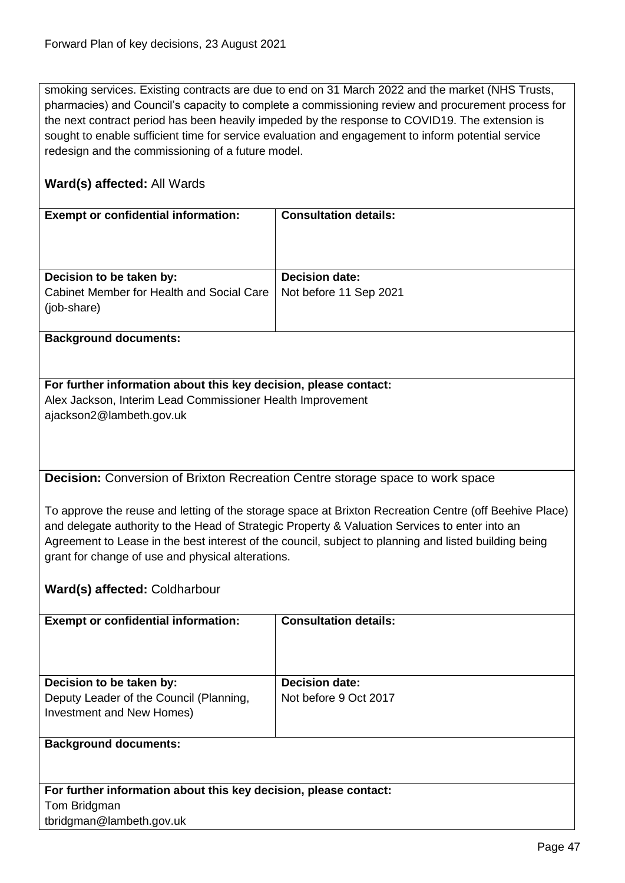smoking services. Existing contracts are due to end on 31 March 2022 and the market (NHS Trusts, pharmacies) and Council's capacity to complete a commissioning review and procurement process for the next contract period has been heavily impeded by the response to COVID19. The extension is sought to enable sufficient time for service evaluation and engagement to inform potential service redesign and the commissioning of a future model.

## **Ward(s) affected:** All Wards

| <b>Exempt or confidential information:</b>               | <b>Consultation details:</b> |
|----------------------------------------------------------|------------------------------|
| Decision to be taken by:                                 | <b>Decision date:</b>        |
| Cabinet Member for Health and Social Care<br>(job-share) | Not before 11 Sep 2021       |
|                                                          |                              |

#### **Background documents:**

**For further information about this key decision, please contact:** Alex Jackson, Interim Lead Commissioner Health Improvement ajackson2@lambeth.gov.uk

**Decision:** Conversion of Brixton Recreation Centre storage space to work space

To approve the reuse and letting of the storage space at Brixton Recreation Centre (off Beehive Place) and delegate authority to the Head of Strategic Property & Valuation Services to enter into an Agreement to Lease in the best interest of the council, subject to planning and listed building being grant for change of use and physical alterations.

## **Ward(s) affected:** Coldharbour

| <b>Exempt or confidential information:</b> | <b>Consultation details:</b> |
|--------------------------------------------|------------------------------|
|                                            |                              |
|                                            |                              |
|                                            |                              |
|                                            |                              |
| Decision to be taken by:                   | <b>Decision date:</b>        |
|                                            |                              |
| Deputy Leader of the Council (Planning,    | Not before 9 Oct 2017        |
| Investment and New Homes)                  |                              |
|                                            |                              |
|                                            |                              |
| <b>Background documents:</b>               |                              |
|                                            |                              |

**For further information about this key decision, please contact:** Tom Bridgman tbridgman@lambeth.gov.uk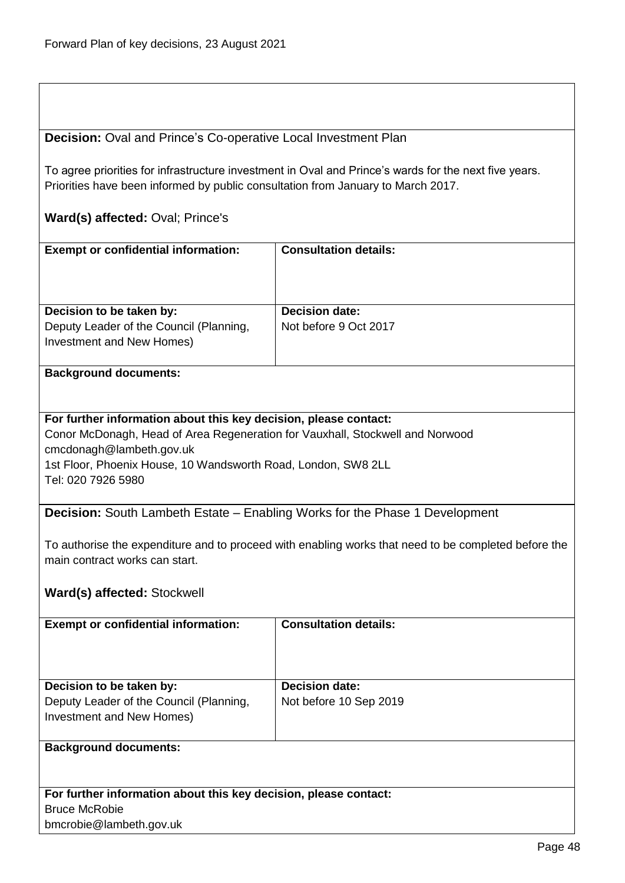## **Decision:** Oval and Prince's Co-operative Local Investment Plan

To agree priorities for infrastructure investment in Oval and Prince's wards for the next five years. Priorities have been informed by public consultation from January to March 2017.

## **Ward(s) affected:** Oval; Prince's

| <b>Exempt or confidential information:</b>                           | <b>Consultation details:</b> |
|----------------------------------------------------------------------|------------------------------|
| Decision to be taken by:                                             | <b>Decision date:</b>        |
| Deputy Leader of the Council (Planning,<br>Investment and New Homes) | Not before 9 Oct 2017        |

### **Background documents:**

#### **For further information about this key decision, please contact:**

Conor McDonagh, Head of Area Regeneration for Vauxhall, Stockwell and Norwood cmcdonagh@lambeth.gov.uk 1st Floor, Phoenix House, 10 Wandsworth Road, London, SW8 2LL Tel: 020 7926 5980

**Decision:** South Lambeth Estate – Enabling Works for the Phase 1 Development

To authorise the expenditure and to proceed with enabling works that need to be completed before the main contract works can start.

## **Ward(s) affected:** Stockwell

| <b>Exempt or confidential information:</b>                                                       | <b>Consultation details:</b>                    |
|--------------------------------------------------------------------------------------------------|-------------------------------------------------|
| Decision to be taken by:<br>Deputy Leader of the Council (Planning,<br>Investment and New Homes) | <b>Decision date:</b><br>Not before 10 Sep 2019 |
| <b>Background documents:</b>                                                                     |                                                 |

**For further information about this key decision, please contact:** Bruce McRobie bmcrobie@lambeth.gov.uk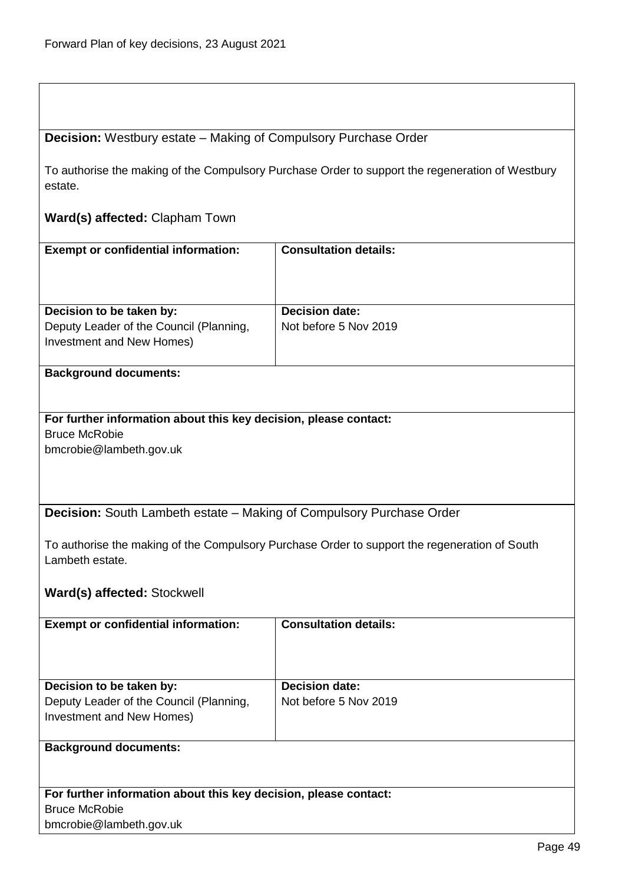# **Decision:** Westbury estate – Making of Compulsory Purchase Order

To authorise the making of the Compulsory Purchase Order to support the regeneration of Westbury estate.

## **Ward(s) affected:** Clapham Town

| <b>Exempt or confidential information:</b>                                                       | <b>Consultation details:</b>                   |
|--------------------------------------------------------------------------------------------------|------------------------------------------------|
| Decision to be taken by:<br>Deputy Leader of the Council (Planning,<br>Investment and New Homes) | <b>Decision date:</b><br>Not before 5 Nov 2019 |

## **Background documents:**

## **For further information about this key decision, please contact:** Bruce McRobie bmcrobie@lambeth.gov.uk

**Decision:** South Lambeth estate – Making of Compulsory Purchase Order

To authorise the making of the Compulsory Purchase Order to support the regeneration of South Lambeth estate.

## **Ward(s) affected:** Stockwell

bmcrobie@lambeth.gov.uk

| <b>Exempt or confidential information:</b>                       | <b>Consultation details:</b> |
|------------------------------------------------------------------|------------------------------|
|                                                                  |                              |
|                                                                  |                              |
|                                                                  |                              |
|                                                                  |                              |
| Decision to be taken by:                                         | <b>Decision date:</b>        |
| Deputy Leader of the Council (Planning,                          | Not before 5 Nov 2019        |
| Investment and New Homes)                                        |                              |
|                                                                  |                              |
| <b>Background documents:</b>                                     |                              |
|                                                                  |                              |
|                                                                  |                              |
|                                                                  |                              |
| For further information about this key decision, please contact: |                              |
| <b>Bruce McRobie</b>                                             |                              |

Page 49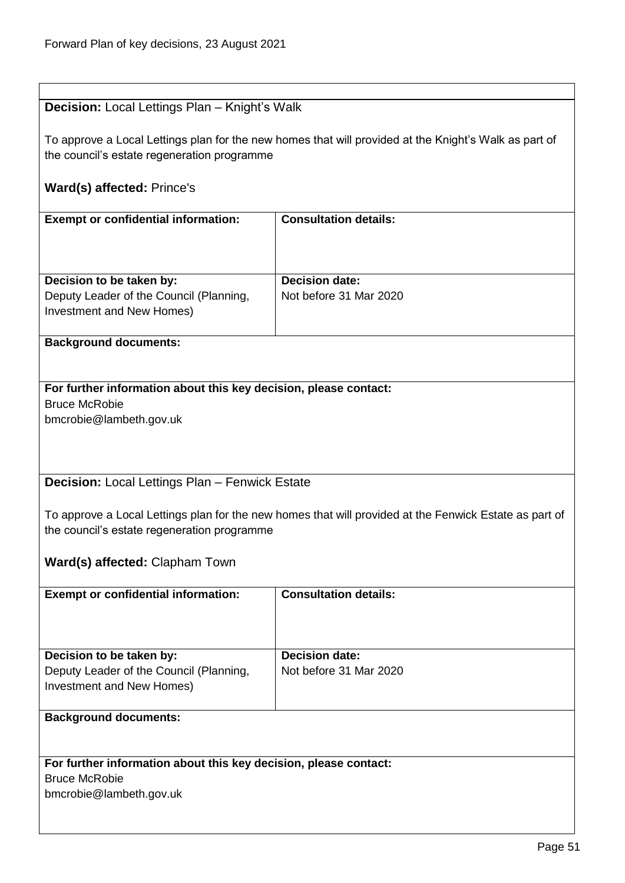| <b>Decision:</b> Local Lettings Plan - Knight's Walk             |                                                                                                        |
|------------------------------------------------------------------|--------------------------------------------------------------------------------------------------------|
|                                                                  |                                                                                                        |
|                                                                  | To approve a Local Lettings plan for the new homes that will provided at the Knight's Walk as part of  |
| the council's estate regeneration programme                      |                                                                                                        |
|                                                                  |                                                                                                        |
| <b>Ward(s) affected: Prince's</b>                                |                                                                                                        |
|                                                                  |                                                                                                        |
| <b>Exempt or confidential information:</b>                       | <b>Consultation details:</b>                                                                           |
|                                                                  |                                                                                                        |
|                                                                  |                                                                                                        |
|                                                                  |                                                                                                        |
| Decision to be taken by:                                         | <b>Decision date:</b>                                                                                  |
| Deputy Leader of the Council (Planning,                          | Not before 31 Mar 2020                                                                                 |
| Investment and New Homes)                                        |                                                                                                        |
|                                                                  |                                                                                                        |
| <b>Background documents:</b>                                     |                                                                                                        |
|                                                                  |                                                                                                        |
|                                                                  |                                                                                                        |
| For further information about this key decision, please contact: |                                                                                                        |
| <b>Bruce McRobie</b>                                             |                                                                                                        |
| bmcrobie@lambeth.gov.uk                                          |                                                                                                        |
|                                                                  |                                                                                                        |
|                                                                  |                                                                                                        |
|                                                                  |                                                                                                        |
| Decision: Local Lettings Plan - Fenwick Estate                   |                                                                                                        |
|                                                                  |                                                                                                        |
|                                                                  | To approve a Local Lettings plan for the new homes that will provided at the Fenwick Estate as part of |
| the council's estate regeneration programme                      |                                                                                                        |
|                                                                  |                                                                                                        |
| Ward(s) affected: Clapham Town                                   |                                                                                                        |
|                                                                  |                                                                                                        |
| <b>Exempt or confidential information:</b>                       | <b>Consultation details:</b>                                                                           |
|                                                                  |                                                                                                        |
|                                                                  |                                                                                                        |
|                                                                  |                                                                                                        |
| Decision to be taken by:                                         | <b>Decision date:</b>                                                                                  |
| Deputy Leader of the Council (Planning,                          | Not before 31 Mar 2020                                                                                 |
| Investment and New Homes)                                        |                                                                                                        |
|                                                                  |                                                                                                        |
| <b>Background documents:</b>                                     |                                                                                                        |
|                                                                  |                                                                                                        |
|                                                                  |                                                                                                        |
| For further information about this key decision, please contact: |                                                                                                        |
| <b>Bruce McRobie</b>                                             |                                                                                                        |
| bmcrobie@lambeth.gov.uk                                          |                                                                                                        |
|                                                                  |                                                                                                        |
|                                                                  |                                                                                                        |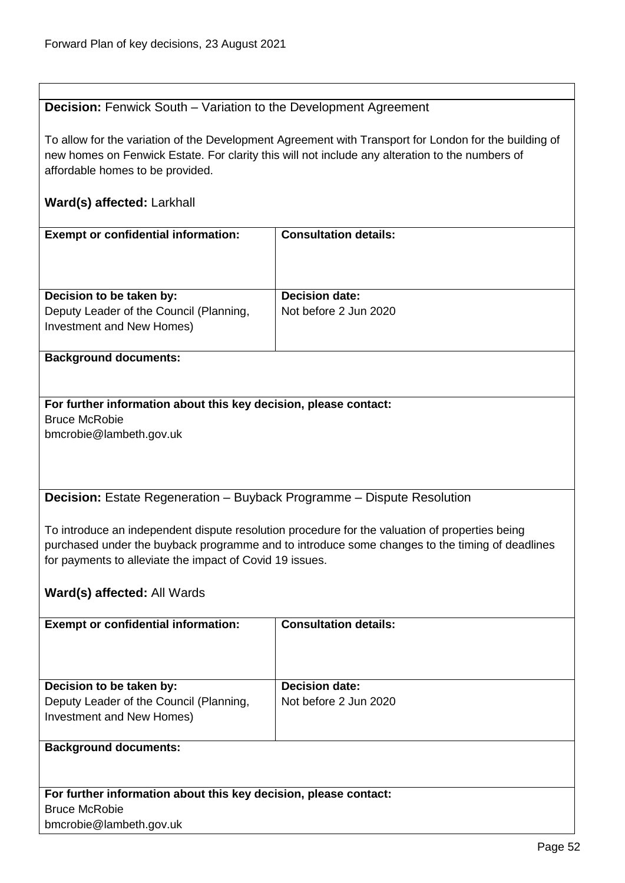## **Decision:** Fenwick South – Variation to the Development Agreement

To allow for the variation of the Development Agreement with Transport for London for the building of new homes on Fenwick Estate. For clarity this will not include any alteration to the numbers of affordable homes to be provided.

## **Ward(s) affected:** Larkhall

| <b>Exempt or confidential information:</b>                                                       | <b>Consultation details:</b>                   |
|--------------------------------------------------------------------------------------------------|------------------------------------------------|
| Decision to be taken by:<br>Deputy Leader of the Council (Planning,<br>Investment and New Homes) | <b>Decision date:</b><br>Not before 2 Jun 2020 |
| <b>Background documents:</b>                                                                     |                                                |

## **For further information about this key decision, please contact:** Bruce McRobie bmcrobie@lambeth.gov.uk

**Decision:** Estate Regeneration – Buyback Programme – Dispute Resolution

To introduce an independent dispute resolution procedure for the valuation of properties being purchased under the buyback programme and to introduce some changes to the timing of deadlines for payments to alleviate the impact of Covid 19 issues.

## **Ward(s) affected:** All Wards

| <b>Exempt or confidential information:</b>                       | <b>Consultation details:</b> |
|------------------------------------------------------------------|------------------------------|
|                                                                  |                              |
|                                                                  |                              |
|                                                                  |                              |
|                                                                  |                              |
| Decision to be taken by:                                         | <b>Decision date:</b>        |
| Deputy Leader of the Council (Planning,                          | Not before 2 Jun 2020        |
| Investment and New Homes)                                        |                              |
|                                                                  |                              |
| <b>Background documents:</b>                                     |                              |
|                                                                  |                              |
|                                                                  |                              |
|                                                                  |                              |
| For further information about this key decision, please contact: |                              |
| <b>Bruce McRobie</b>                                             |                              |

bmcrobie@lambeth.gov.uk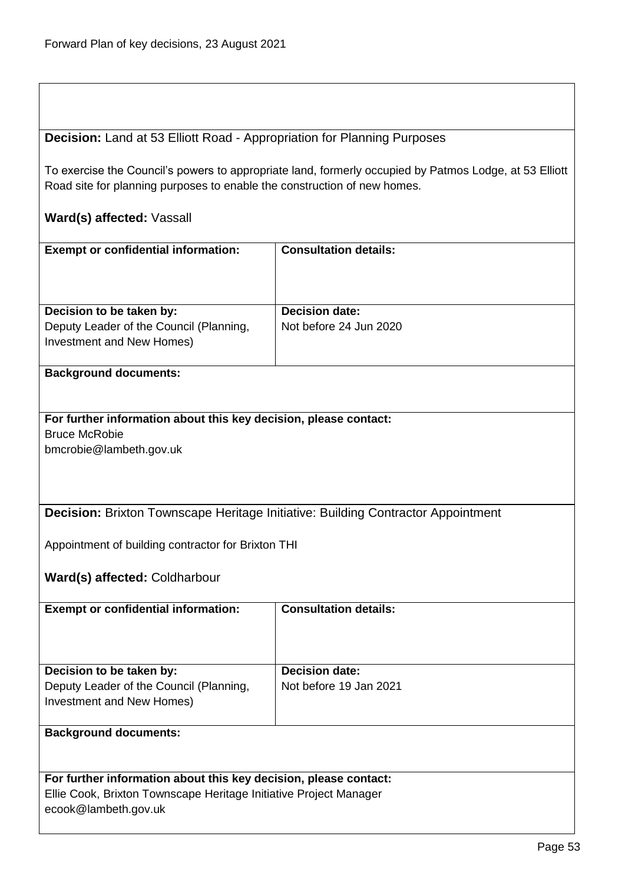## **Decision:** Land at 53 Elliott Road - Appropriation for Planning Purposes

To exercise the Council's powers to appropriate land, formerly occupied by Patmos Lodge, at 53 Elliott Road site for planning purposes to enable the construction of new homes.

## **Ward(s) affected:** Vassall

| <b>Exempt or confidential information:</b>                           | <b>Consultation details:</b> |
|----------------------------------------------------------------------|------------------------------|
| Decision to be taken by:                                             | <b>Decision date:</b>        |
| Deputy Leader of the Council (Planning,<br>Investment and New Homes) | Not before 24 Jun 2020       |
|                                                                      |                              |

#### **Background documents:**

# **For further information about this key decision, please contact:** Bruce McRobie

bmcrobie@lambeth.gov.uk

## **Decision:** Brixton Townscape Heritage Initiative: Building Contractor Appointment

Appointment of building contractor for Brixton THI

## **Ward(s) affected:** Coldharbour

| <b>Consultation details:</b>                    |
|-------------------------------------------------|
| <b>Decision date:</b><br>Not before 19 Jan 2021 |
|                                                 |

## **Background documents:**

## **For further information about this key decision, please contact:**

Ellie Cook, Brixton Townscape Heritage Initiative Project Manager

ecook@lambeth.gov.uk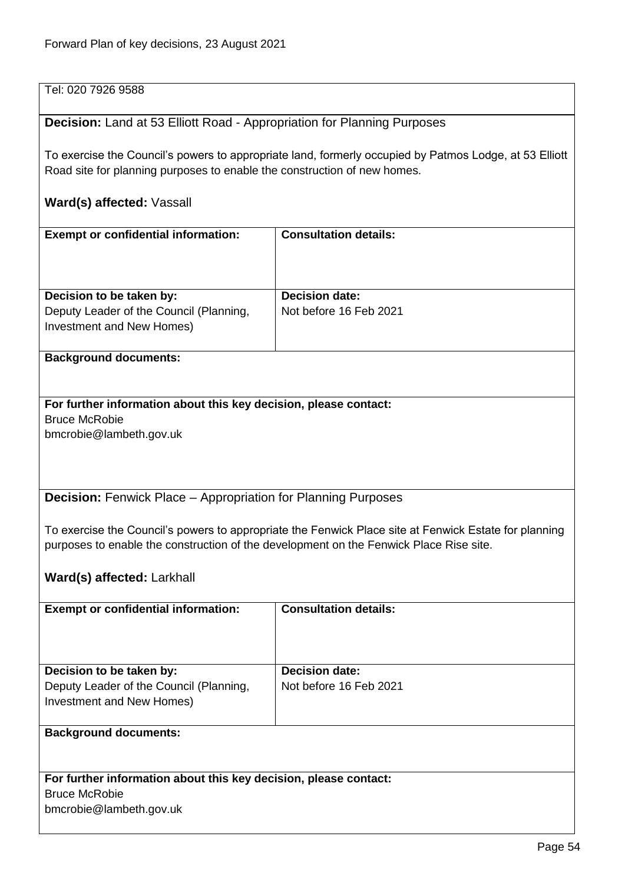| Tel: 020 7926 9588                                                                                                                                                                              |                                                                                                        |  |  |
|-------------------------------------------------------------------------------------------------------------------------------------------------------------------------------------------------|--------------------------------------------------------------------------------------------------------|--|--|
| <b>Decision:</b> Land at 53 Elliott Road - Appropriation for Planning Purposes                                                                                                                  |                                                                                                        |  |  |
| Road site for planning purposes to enable the construction of new homes.                                                                                                                        | To exercise the Council's powers to appropriate land, formerly occupied by Patmos Lodge, at 53 Elliott |  |  |
| Ward(s) affected: Vassall                                                                                                                                                                       |                                                                                                        |  |  |
| <b>Exempt or confidential information:</b>                                                                                                                                                      | <b>Consultation details:</b>                                                                           |  |  |
| Decision to be taken by:                                                                                                                                                                        | <b>Decision date:</b>                                                                                  |  |  |
| Deputy Leader of the Council (Planning,<br>Investment and New Homes)                                                                                                                            | Not before 16 Feb 2021                                                                                 |  |  |
| <b>Background documents:</b>                                                                                                                                                                    |                                                                                                        |  |  |
| For further information about this key decision, please contact:<br><b>Bruce McRobie</b><br>bmcrobie@lambeth.gov.uk                                                                             |                                                                                                        |  |  |
|                                                                                                                                                                                                 | <b>Decision:</b> Fenwick Place - Appropriation for Planning Purposes                                   |  |  |
| To exercise the Council's powers to appropriate the Fenwick Place site at Fenwick Estate for planning<br>purposes to enable the construction of the development on the Fenwick Place Rise site. |                                                                                                        |  |  |
| Ward(s) affected: Larkhall                                                                                                                                                                      |                                                                                                        |  |  |
| <b>Exempt or confidential information:</b>                                                                                                                                                      | <b>Consultation details:</b>                                                                           |  |  |
| Decision to be taken by:                                                                                                                                                                        | <b>Decision date:</b>                                                                                  |  |  |
| Deputy Leader of the Council (Planning,<br>Investment and New Homes)                                                                                                                            | Not before 16 Feb 2021                                                                                 |  |  |
| <b>Background documents:</b>                                                                                                                                                                    |                                                                                                        |  |  |
| For further information about this key decision, please contact:<br><b>Bruce McRobie</b><br>bmcrobie@lambeth.gov.uk                                                                             |                                                                                                        |  |  |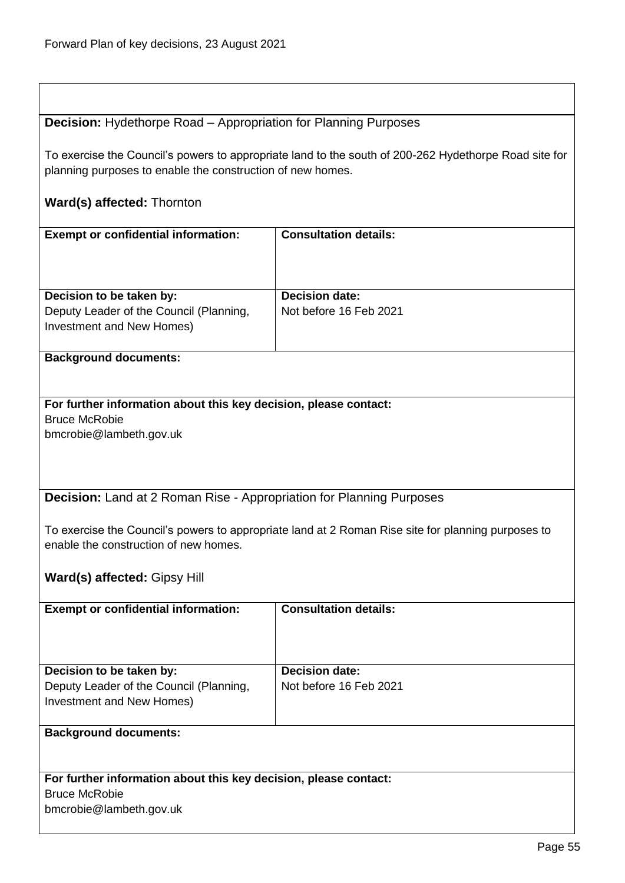## **Decision:** Hydethorpe Road – Appropriation for Planning Purposes

To exercise the Council's powers to appropriate land to the south of 200-262 Hydethorpe Road site for planning purposes to enable the construction of new homes.

## **Ward(s) affected:** Thornton

| <b>Exempt or confidential information:</b>                                  | <b>Consultation details:</b>                                                                       |
|-----------------------------------------------------------------------------|----------------------------------------------------------------------------------------------------|
|                                                                             |                                                                                                    |
|                                                                             | <b>Decision date:</b>                                                                              |
| Decision to be taken by:                                                    |                                                                                                    |
| Deputy Leader of the Council (Planning,                                     | Not before 16 Feb 2021                                                                             |
| Investment and New Homes)                                                   |                                                                                                    |
| <b>Background documents:</b>                                                |                                                                                                    |
|                                                                             |                                                                                                    |
| For further information about this key decision, please contact:            |                                                                                                    |
| <b>Bruce McRobie</b>                                                        |                                                                                                    |
| bmcrobie@lambeth.gov.uk                                                     |                                                                                                    |
|                                                                             |                                                                                                    |
|                                                                             |                                                                                                    |
|                                                                             |                                                                                                    |
| <b>Decision:</b> Land at 2 Roman Rise - Appropriation for Planning Purposes |                                                                                                    |
|                                                                             |                                                                                                    |
|                                                                             | To exercise the Council's powers to appropriate land at 2 Roman Rise site for planning purposes to |
| enable the construction of new homes.                                       |                                                                                                    |
|                                                                             |                                                                                                    |
| Ward(s) affected: Gipsy Hill                                                |                                                                                                    |
|                                                                             |                                                                                                    |
| <b>Exempt or confidential information:</b>                                  | <b>Consultation details:</b>                                                                       |
|                                                                             |                                                                                                    |
|                                                                             |                                                                                                    |
| Decision to be taken by:                                                    | <b>Decision date:</b>                                                                              |
| Deputy Leader of the Council (Planning,                                     | Not before 16 Feb 2021                                                                             |
| Investment and New Homes)                                                   |                                                                                                    |
|                                                                             |                                                                                                    |
| <b>Background documents:</b>                                                |                                                                                                    |
|                                                                             |                                                                                                    |
|                                                                             |                                                                                                    |
| For further information about this key decision, please contact:            |                                                                                                    |
| <b>Bruce McRobie</b>                                                        |                                                                                                    |
| bmcrobie@lambeth.gov.uk                                                     |                                                                                                    |
|                                                                             |                                                                                                    |
|                                                                             |                                                                                                    |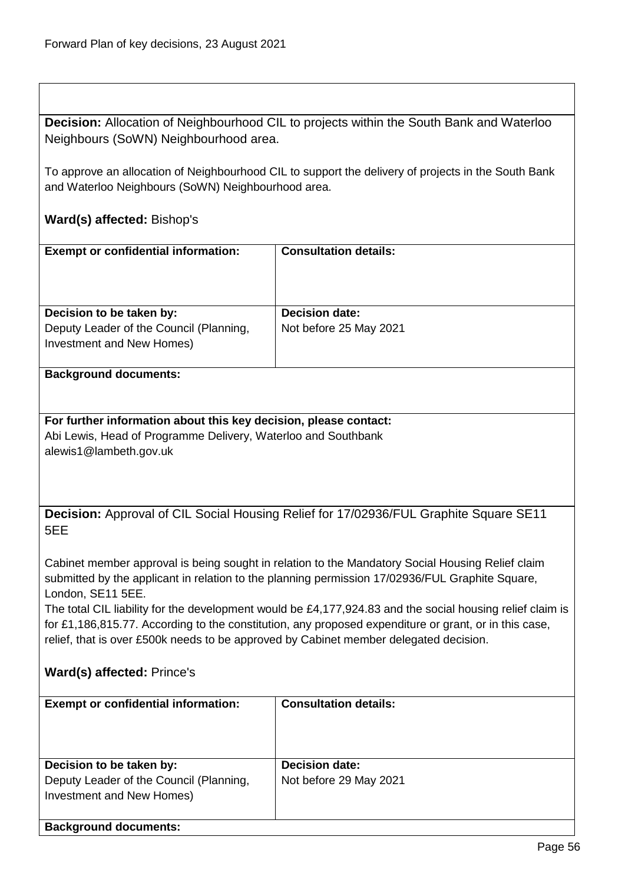| <b>Decision:</b> Allocation of Neighbourhood CIL to projects within the South Bank and Waterloo |
|-------------------------------------------------------------------------------------------------|
| Neighbours (SoWN) Neighbourhood area.                                                           |

To approve an allocation of Neighbourhood CIL to support the delivery of projects in the South Bank and Waterloo Neighbours (SoWN) Neighbourhood area.

# **Ward(s) affected:** Bishop's

| <b>Exempt or confidential information:</b>                                            | <b>Consultation details:</b>                                                                              |
|---------------------------------------------------------------------------------------|-----------------------------------------------------------------------------------------------------------|
|                                                                                       |                                                                                                           |
|                                                                                       |                                                                                                           |
|                                                                                       |                                                                                                           |
| Decision to be taken by:                                                              | <b>Decision date:</b>                                                                                     |
| Deputy Leader of the Council (Planning,                                               | Not before 25 May 2021                                                                                    |
| Investment and New Homes)                                                             |                                                                                                           |
|                                                                                       |                                                                                                           |
| <b>Background documents:</b>                                                          |                                                                                                           |
|                                                                                       |                                                                                                           |
|                                                                                       |                                                                                                           |
| For further information about this key decision, please contact:                      |                                                                                                           |
| Abi Lewis, Head of Programme Delivery, Waterloo and Southbank                         |                                                                                                           |
| alewis1@lambeth.gov.uk                                                                |                                                                                                           |
|                                                                                       |                                                                                                           |
|                                                                                       |                                                                                                           |
|                                                                                       |                                                                                                           |
|                                                                                       | Decision: Approval of CIL Social Housing Relief for 17/02936/FUL Graphite Square SE11                     |
| 5EE                                                                                   |                                                                                                           |
|                                                                                       |                                                                                                           |
|                                                                                       | Cabinet member approval is being sought in relation to the Mandatory Social Housing Relief claim          |
|                                                                                       | submitted by the applicant in relation to the planning permission 17/02936/FUL Graphite Square,           |
| London, SE11 5EE.                                                                     |                                                                                                           |
|                                                                                       | The total CIL liability for the development would be £4,177,924.83 and the social housing relief claim is |
|                                                                                       | for £1,186,815.77. According to the constitution, any proposed expenditure or grant, or in this case,     |
| relief, that is over £500k needs to be approved by Cabinet member delegated decision. |                                                                                                           |
|                                                                                       |                                                                                                           |
| Ward(s) affected: Prince's                                                            |                                                                                                           |
|                                                                                       |                                                                                                           |
| <b>Exempt or confidential information:</b>                                            | <b>Consultation details:</b>                                                                              |
|                                                                                       |                                                                                                           |
|                                                                                       |                                                                                                           |
|                                                                                       |                                                                                                           |
| Decision to be taken by:                                                              | <b>Decision date:</b>                                                                                     |
| Deputy Leader of the Council (Planning,                                               | Not before 29 May 2021                                                                                    |

Investment and New Homes)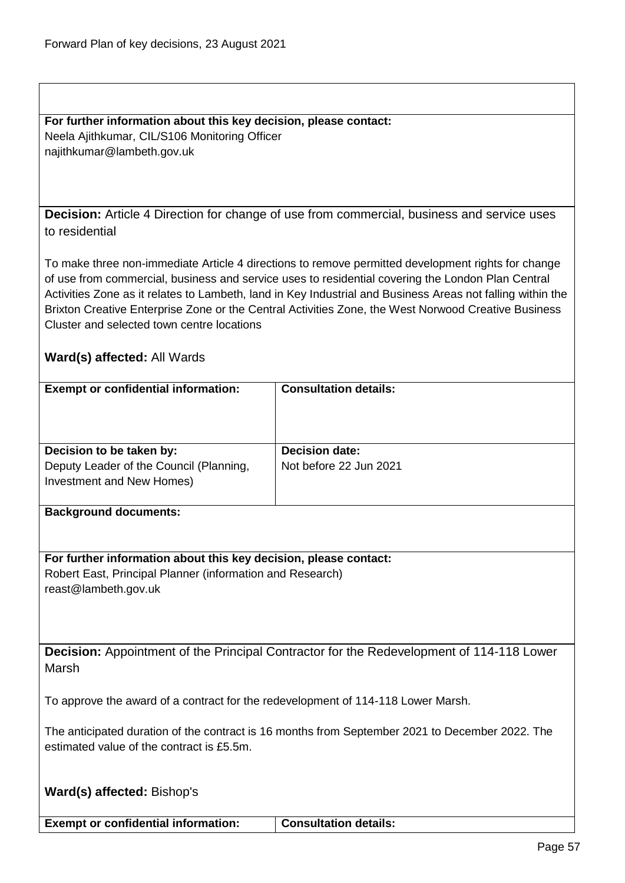**For further information about this key decision, please contact:** Neela Ajithkumar, CIL/S106 Monitoring Officer najithkumar@lambeth.gov.uk

**Decision:** Article 4 Direction for change of use from commercial, business and service uses to residential

To make three non-immediate Article 4 directions to remove permitted development rights for change of use from commercial, business and service uses to residential covering the London Plan Central Activities Zone as it relates to Lambeth, land in Key Industrial and Business Areas not falling within the Brixton Creative Enterprise Zone or the Central Activities Zone, the West Norwood Creative Business Cluster and selected town centre locations

|                                                                                                 | <b>Consultation details:</b>                                                                    |  |
|-------------------------------------------------------------------------------------------------|-------------------------------------------------------------------------------------------------|--|
| <b>Exempt or confidential information:</b>                                                      |                                                                                                 |  |
|                                                                                                 |                                                                                                 |  |
|                                                                                                 |                                                                                                 |  |
|                                                                                                 |                                                                                                 |  |
| Decision to be taken by:                                                                        | <b>Decision date:</b>                                                                           |  |
| Deputy Leader of the Council (Planning,                                                         | Not before 22 Jun 2021                                                                          |  |
|                                                                                                 |                                                                                                 |  |
| Investment and New Homes)                                                                       |                                                                                                 |  |
|                                                                                                 |                                                                                                 |  |
| <b>Background documents:</b>                                                                    |                                                                                                 |  |
|                                                                                                 |                                                                                                 |  |
|                                                                                                 |                                                                                                 |  |
| For further information about this key decision, please contact:                                |                                                                                                 |  |
|                                                                                                 |                                                                                                 |  |
| Robert East, Principal Planner (information and Research)                                       |                                                                                                 |  |
| reast@lambeth.gov.uk                                                                            |                                                                                                 |  |
|                                                                                                 |                                                                                                 |  |
|                                                                                                 |                                                                                                 |  |
|                                                                                                 |                                                                                                 |  |
|                                                                                                 | <b>Decision:</b> Appointment of the Principal Contractor for the Redevelopment of 114-118 Lower |  |
|                                                                                                 |                                                                                                 |  |
| Marsh                                                                                           |                                                                                                 |  |
|                                                                                                 |                                                                                                 |  |
| To approve the award of a contract for the redevelopment of 114-118 Lower Marsh.                |                                                                                                 |  |
|                                                                                                 |                                                                                                 |  |
|                                                                                                 |                                                                                                 |  |
| The anticipated duration of the contract is 16 months from September 2021 to December 2022. The |                                                                                                 |  |
| estimated value of the contract is £5.5m.                                                       |                                                                                                 |  |
|                                                                                                 |                                                                                                 |  |
|                                                                                                 |                                                                                                 |  |
| <b>Ward(s) affected: Bishop's</b>                                                               |                                                                                                 |  |

| <b>Exempt or confidential information:</b> | <b>Consultation details:</b> |
|--------------------------------------------|------------------------------|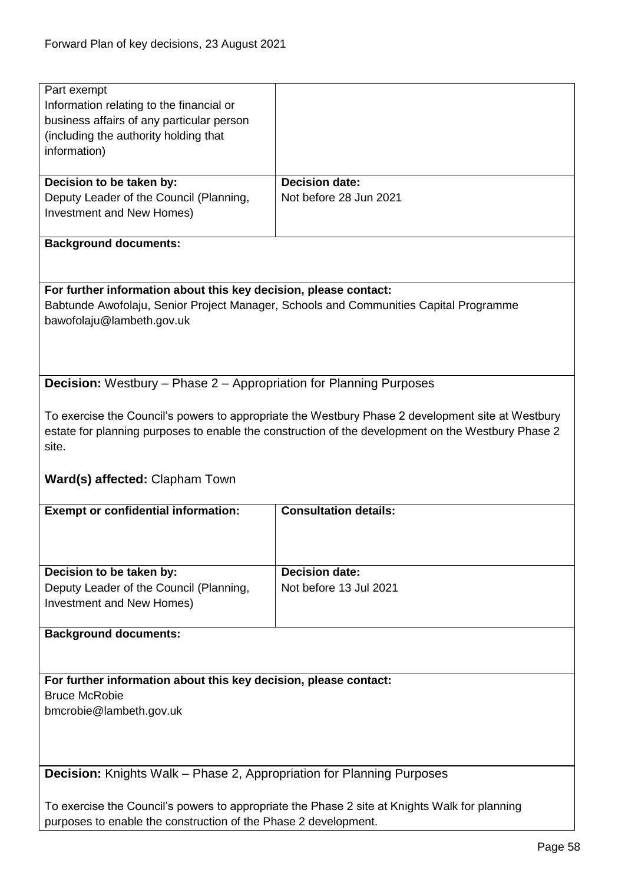| Part exempt<br>Information relating to the financial or<br>business affairs of any particular person<br>(including the authority holding that<br>information)<br><b>Decision date:</b><br>Decision to be taken by:<br>Deputy Leader of the Council (Planning,<br>Not before 28 Jun 2021<br>Investment and New Homes)<br><b>Background documents:</b><br>For further information about this key decision, please contact:<br>Babtunde Awofolaju, Senior Project Manager, Schools and Communities Capital Programme<br>bawofolaju@lambeth.gov.uk<br><b>Decision:</b> Westbury - Phase 2 - Appropriation for Planning Purposes<br>To exercise the Council's powers to appropriate the Westbury Phase 2 development site at Westbury<br>estate for planning purposes to enable the construction of the development on the Westbury Phase 2<br>site.<br>Ward(s) affected: Clapham Town<br><b>Exempt or confidential information:</b><br><b>Consultation details:</b><br>Decision to be taken by:<br><b>Decision date:</b><br>Deputy Leader of the Council (Planning,<br>Not before 13 Jul 2021<br>Investment and New Homes)<br><b>Background documents:</b><br>For further information about this key decision, please contact:<br><b>Bruce McRobie</b><br>bmcrobie@lambeth.gov.uk<br><b>Decision:</b> Knights Walk – Phase 2, Appropriation for Planning Purposes<br>To exercise the Council's powers to appropriate the Phase 2 site at Knights Walk for planning |  |
|----------------------------------------------------------------------------------------------------------------------------------------------------------------------------------------------------------------------------------------------------------------------------------------------------------------------------------------------------------------------------------------------------------------------------------------------------------------------------------------------------------------------------------------------------------------------------------------------------------------------------------------------------------------------------------------------------------------------------------------------------------------------------------------------------------------------------------------------------------------------------------------------------------------------------------------------------------------------------------------------------------------------------------------------------------------------------------------------------------------------------------------------------------------------------------------------------------------------------------------------------------------------------------------------------------------------------------------------------------------------------------------------------------------------------------------------------------------|--|
|                                                                                                                                                                                                                                                                                                                                                                                                                                                                                                                                                                                                                                                                                                                                                                                                                                                                                                                                                                                                                                                                                                                                                                                                                                                                                                                                                                                                                                                                |  |
|                                                                                                                                                                                                                                                                                                                                                                                                                                                                                                                                                                                                                                                                                                                                                                                                                                                                                                                                                                                                                                                                                                                                                                                                                                                                                                                                                                                                                                                                |  |
|                                                                                                                                                                                                                                                                                                                                                                                                                                                                                                                                                                                                                                                                                                                                                                                                                                                                                                                                                                                                                                                                                                                                                                                                                                                                                                                                                                                                                                                                |  |
|                                                                                                                                                                                                                                                                                                                                                                                                                                                                                                                                                                                                                                                                                                                                                                                                                                                                                                                                                                                                                                                                                                                                                                                                                                                                                                                                                                                                                                                                |  |
|                                                                                                                                                                                                                                                                                                                                                                                                                                                                                                                                                                                                                                                                                                                                                                                                                                                                                                                                                                                                                                                                                                                                                                                                                                                                                                                                                                                                                                                                |  |
|                                                                                                                                                                                                                                                                                                                                                                                                                                                                                                                                                                                                                                                                                                                                                                                                                                                                                                                                                                                                                                                                                                                                                                                                                                                                                                                                                                                                                                                                |  |
|                                                                                                                                                                                                                                                                                                                                                                                                                                                                                                                                                                                                                                                                                                                                                                                                                                                                                                                                                                                                                                                                                                                                                                                                                                                                                                                                                                                                                                                                |  |
|                                                                                                                                                                                                                                                                                                                                                                                                                                                                                                                                                                                                                                                                                                                                                                                                                                                                                                                                                                                                                                                                                                                                                                                                                                                                                                                                                                                                                                                                |  |
|                                                                                                                                                                                                                                                                                                                                                                                                                                                                                                                                                                                                                                                                                                                                                                                                                                                                                                                                                                                                                                                                                                                                                                                                                                                                                                                                                                                                                                                                |  |
|                                                                                                                                                                                                                                                                                                                                                                                                                                                                                                                                                                                                                                                                                                                                                                                                                                                                                                                                                                                                                                                                                                                                                                                                                                                                                                                                                                                                                                                                |  |
|                                                                                                                                                                                                                                                                                                                                                                                                                                                                                                                                                                                                                                                                                                                                                                                                                                                                                                                                                                                                                                                                                                                                                                                                                                                                                                                                                                                                                                                                |  |
|                                                                                                                                                                                                                                                                                                                                                                                                                                                                                                                                                                                                                                                                                                                                                                                                                                                                                                                                                                                                                                                                                                                                                                                                                                                                                                                                                                                                                                                                |  |
|                                                                                                                                                                                                                                                                                                                                                                                                                                                                                                                                                                                                                                                                                                                                                                                                                                                                                                                                                                                                                                                                                                                                                                                                                                                                                                                                                                                                                                                                |  |
|                                                                                                                                                                                                                                                                                                                                                                                                                                                                                                                                                                                                                                                                                                                                                                                                                                                                                                                                                                                                                                                                                                                                                                                                                                                                                                                                                                                                                                                                |  |
|                                                                                                                                                                                                                                                                                                                                                                                                                                                                                                                                                                                                                                                                                                                                                                                                                                                                                                                                                                                                                                                                                                                                                                                                                                                                                                                                                                                                                                                                |  |
|                                                                                                                                                                                                                                                                                                                                                                                                                                                                                                                                                                                                                                                                                                                                                                                                                                                                                                                                                                                                                                                                                                                                                                                                                                                                                                                                                                                                                                                                |  |
|                                                                                                                                                                                                                                                                                                                                                                                                                                                                                                                                                                                                                                                                                                                                                                                                                                                                                                                                                                                                                                                                                                                                                                                                                                                                                                                                                                                                                                                                |  |
|                                                                                                                                                                                                                                                                                                                                                                                                                                                                                                                                                                                                                                                                                                                                                                                                                                                                                                                                                                                                                                                                                                                                                                                                                                                                                                                                                                                                                                                                |  |
|                                                                                                                                                                                                                                                                                                                                                                                                                                                                                                                                                                                                                                                                                                                                                                                                                                                                                                                                                                                                                                                                                                                                                                                                                                                                                                                                                                                                                                                                |  |
|                                                                                                                                                                                                                                                                                                                                                                                                                                                                                                                                                                                                                                                                                                                                                                                                                                                                                                                                                                                                                                                                                                                                                                                                                                                                                                                                                                                                                                                                |  |
|                                                                                                                                                                                                                                                                                                                                                                                                                                                                                                                                                                                                                                                                                                                                                                                                                                                                                                                                                                                                                                                                                                                                                                                                                                                                                                                                                                                                                                                                |  |
|                                                                                                                                                                                                                                                                                                                                                                                                                                                                                                                                                                                                                                                                                                                                                                                                                                                                                                                                                                                                                                                                                                                                                                                                                                                                                                                                                                                                                                                                |  |
|                                                                                                                                                                                                                                                                                                                                                                                                                                                                                                                                                                                                                                                                                                                                                                                                                                                                                                                                                                                                                                                                                                                                                                                                                                                                                                                                                                                                                                                                |  |
|                                                                                                                                                                                                                                                                                                                                                                                                                                                                                                                                                                                                                                                                                                                                                                                                                                                                                                                                                                                                                                                                                                                                                                                                                                                                                                                                                                                                                                                                |  |
|                                                                                                                                                                                                                                                                                                                                                                                                                                                                                                                                                                                                                                                                                                                                                                                                                                                                                                                                                                                                                                                                                                                                                                                                                                                                                                                                                                                                                                                                |  |
|                                                                                                                                                                                                                                                                                                                                                                                                                                                                                                                                                                                                                                                                                                                                                                                                                                                                                                                                                                                                                                                                                                                                                                                                                                                                                                                                                                                                                                                                |  |
|                                                                                                                                                                                                                                                                                                                                                                                                                                                                                                                                                                                                                                                                                                                                                                                                                                                                                                                                                                                                                                                                                                                                                                                                                                                                                                                                                                                                                                                                |  |
|                                                                                                                                                                                                                                                                                                                                                                                                                                                                                                                                                                                                                                                                                                                                                                                                                                                                                                                                                                                                                                                                                                                                                                                                                                                                                                                                                                                                                                                                |  |
|                                                                                                                                                                                                                                                                                                                                                                                                                                                                                                                                                                                                                                                                                                                                                                                                                                                                                                                                                                                                                                                                                                                                                                                                                                                                                                                                                                                                                                                                |  |
|                                                                                                                                                                                                                                                                                                                                                                                                                                                                                                                                                                                                                                                                                                                                                                                                                                                                                                                                                                                                                                                                                                                                                                                                                                                                                                                                                                                                                                                                |  |
|                                                                                                                                                                                                                                                                                                                                                                                                                                                                                                                                                                                                                                                                                                                                                                                                                                                                                                                                                                                                                                                                                                                                                                                                                                                                                                                                                                                                                                                                |  |
|                                                                                                                                                                                                                                                                                                                                                                                                                                                                                                                                                                                                                                                                                                                                                                                                                                                                                                                                                                                                                                                                                                                                                                                                                                                                                                                                                                                                                                                                |  |
|                                                                                                                                                                                                                                                                                                                                                                                                                                                                                                                                                                                                                                                                                                                                                                                                                                                                                                                                                                                                                                                                                                                                                                                                                                                                                                                                                                                                                                                                |  |
|                                                                                                                                                                                                                                                                                                                                                                                                                                                                                                                                                                                                                                                                                                                                                                                                                                                                                                                                                                                                                                                                                                                                                                                                                                                                                                                                                                                                                                                                |  |
|                                                                                                                                                                                                                                                                                                                                                                                                                                                                                                                                                                                                                                                                                                                                                                                                                                                                                                                                                                                                                                                                                                                                                                                                                                                                                                                                                                                                                                                                |  |
|                                                                                                                                                                                                                                                                                                                                                                                                                                                                                                                                                                                                                                                                                                                                                                                                                                                                                                                                                                                                                                                                                                                                                                                                                                                                                                                                                                                                                                                                |  |
|                                                                                                                                                                                                                                                                                                                                                                                                                                                                                                                                                                                                                                                                                                                                                                                                                                                                                                                                                                                                                                                                                                                                                                                                                                                                                                                                                                                                                                                                |  |
|                                                                                                                                                                                                                                                                                                                                                                                                                                                                                                                                                                                                                                                                                                                                                                                                                                                                                                                                                                                                                                                                                                                                                                                                                                                                                                                                                                                                                                                                |  |
|                                                                                                                                                                                                                                                                                                                                                                                                                                                                                                                                                                                                                                                                                                                                                                                                                                                                                                                                                                                                                                                                                                                                                                                                                                                                                                                                                                                                                                                                |  |
|                                                                                                                                                                                                                                                                                                                                                                                                                                                                                                                                                                                                                                                                                                                                                                                                                                                                                                                                                                                                                                                                                                                                                                                                                                                                                                                                                                                                                                                                |  |
|                                                                                                                                                                                                                                                                                                                                                                                                                                                                                                                                                                                                                                                                                                                                                                                                                                                                                                                                                                                                                                                                                                                                                                                                                                                                                                                                                                                                                                                                |  |
|                                                                                                                                                                                                                                                                                                                                                                                                                                                                                                                                                                                                                                                                                                                                                                                                                                                                                                                                                                                                                                                                                                                                                                                                                                                                                                                                                                                                                                                                |  |
|                                                                                                                                                                                                                                                                                                                                                                                                                                                                                                                                                                                                                                                                                                                                                                                                                                                                                                                                                                                                                                                                                                                                                                                                                                                                                                                                                                                                                                                                |  |
|                                                                                                                                                                                                                                                                                                                                                                                                                                                                                                                                                                                                                                                                                                                                                                                                                                                                                                                                                                                                                                                                                                                                                                                                                                                                                                                                                                                                                                                                |  |
|                                                                                                                                                                                                                                                                                                                                                                                                                                                                                                                                                                                                                                                                                                                                                                                                                                                                                                                                                                                                                                                                                                                                                                                                                                                                                                                                                                                                                                                                |  |
|                                                                                                                                                                                                                                                                                                                                                                                                                                                                                                                                                                                                                                                                                                                                                                                                                                                                                                                                                                                                                                                                                                                                                                                                                                                                                                                                                                                                                                                                |  |
|                                                                                                                                                                                                                                                                                                                                                                                                                                                                                                                                                                                                                                                                                                                                                                                                                                                                                                                                                                                                                                                                                                                                                                                                                                                                                                                                                                                                                                                                |  |
|                                                                                                                                                                                                                                                                                                                                                                                                                                                                                                                                                                                                                                                                                                                                                                                                                                                                                                                                                                                                                                                                                                                                                                                                                                                                                                                                                                                                                                                                |  |
|                                                                                                                                                                                                                                                                                                                                                                                                                                                                                                                                                                                                                                                                                                                                                                                                                                                                                                                                                                                                                                                                                                                                                                                                                                                                                                                                                                                                                                                                |  |
|                                                                                                                                                                                                                                                                                                                                                                                                                                                                                                                                                                                                                                                                                                                                                                                                                                                                                                                                                                                                                                                                                                                                                                                                                                                                                                                                                                                                                                                                |  |
|                                                                                                                                                                                                                                                                                                                                                                                                                                                                                                                                                                                                                                                                                                                                                                                                                                                                                                                                                                                                                                                                                                                                                                                                                                                                                                                                                                                                                                                                |  |
|                                                                                                                                                                                                                                                                                                                                                                                                                                                                                                                                                                                                                                                                                                                                                                                                                                                                                                                                                                                                                                                                                                                                                                                                                                                                                                                                                                                                                                                                |  |
|                                                                                                                                                                                                                                                                                                                                                                                                                                                                                                                                                                                                                                                                                                                                                                                                                                                                                                                                                                                                                                                                                                                                                                                                                                                                                                                                                                                                                                                                |  |
|                                                                                                                                                                                                                                                                                                                                                                                                                                                                                                                                                                                                                                                                                                                                                                                                                                                                                                                                                                                                                                                                                                                                                                                                                                                                                                                                                                                                                                                                |  |
|                                                                                                                                                                                                                                                                                                                                                                                                                                                                                                                                                                                                                                                                                                                                                                                                                                                                                                                                                                                                                                                                                                                                                                                                                                                                                                                                                                                                                                                                |  |
|                                                                                                                                                                                                                                                                                                                                                                                                                                                                                                                                                                                                                                                                                                                                                                                                                                                                                                                                                                                                                                                                                                                                                                                                                                                                                                                                                                                                                                                                |  |
|                                                                                                                                                                                                                                                                                                                                                                                                                                                                                                                                                                                                                                                                                                                                                                                                                                                                                                                                                                                                                                                                                                                                                                                                                                                                                                                                                                                                                                                                |  |
|                                                                                                                                                                                                                                                                                                                                                                                                                                                                                                                                                                                                                                                                                                                                                                                                                                                                                                                                                                                                                                                                                                                                                                                                                                                                                                                                                                                                                                                                |  |
|                                                                                                                                                                                                                                                                                                                                                                                                                                                                                                                                                                                                                                                                                                                                                                                                                                                                                                                                                                                                                                                                                                                                                                                                                                                                                                                                                                                                                                                                |  |
|                                                                                                                                                                                                                                                                                                                                                                                                                                                                                                                                                                                                                                                                                                                                                                                                                                                                                                                                                                                                                                                                                                                                                                                                                                                                                                                                                                                                                                                                |  |
| purposes to enable the construction of the Phase 2 development.                                                                                                                                                                                                                                                                                                                                                                                                                                                                                                                                                                                                                                                                                                                                                                                                                                                                                                                                                                                                                                                                                                                                                                                                                                                                                                                                                                                                |  |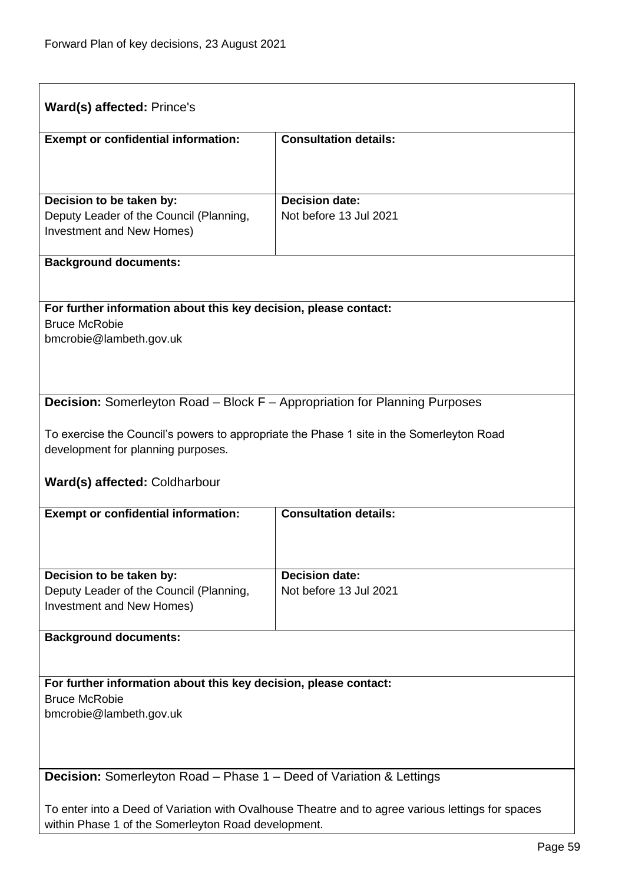| Ward(s) affected: Prince's                                                                                                                               |                                                                                          |  |
|----------------------------------------------------------------------------------------------------------------------------------------------------------|------------------------------------------------------------------------------------------|--|
| <b>Exempt or confidential information:</b>                                                                                                               | <b>Consultation details:</b>                                                             |  |
|                                                                                                                                                          |                                                                                          |  |
| Decision to be taken by:                                                                                                                                 | <b>Decision date:</b>                                                                    |  |
| Deputy Leader of the Council (Planning,<br>Investment and New Homes)                                                                                     | Not before 13 Jul 2021                                                                   |  |
| <b>Background documents:</b>                                                                                                                             |                                                                                          |  |
| For further information about this key decision, please contact:                                                                                         |                                                                                          |  |
| <b>Bruce McRobie</b><br>bmcrobie@lambeth.gov.uk                                                                                                          |                                                                                          |  |
|                                                                                                                                                          |                                                                                          |  |
|                                                                                                                                                          |                                                                                          |  |
| <b>Decision:</b> Somerleyton Road - Block F - Appropriation for Planning Purposes                                                                        |                                                                                          |  |
|                                                                                                                                                          | To exercise the Council's powers to appropriate the Phase 1 site in the Somerleyton Road |  |
| development for planning purposes.                                                                                                                       |                                                                                          |  |
| Ward(s) affected: Coldharbour                                                                                                                            |                                                                                          |  |
| <b>Exempt or confidential information:</b>                                                                                                               | <b>Consultation details:</b>                                                             |  |
|                                                                                                                                                          |                                                                                          |  |
| Decision to be taken by:                                                                                                                                 | <b>Decision date:</b>                                                                    |  |
| Deputy Leader of the Council (Planning,<br>Investment and New Homes)                                                                                     | Not before 13 Jul 2021                                                                   |  |
| <b>Background documents:</b>                                                                                                                             |                                                                                          |  |
|                                                                                                                                                          |                                                                                          |  |
| For further information about this key decision, please contact:                                                                                         |                                                                                          |  |
| <b>Bruce McRobie</b><br>bmcrobie@lambeth.gov.uk                                                                                                          |                                                                                          |  |
|                                                                                                                                                          |                                                                                          |  |
|                                                                                                                                                          |                                                                                          |  |
| <b>Decision:</b> Somerleyton Road - Phase 1 - Deed of Variation & Lettings                                                                               |                                                                                          |  |
| To enter into a Deed of Variation with Ovalhouse Theatre and to agree various lettings for spaces<br>within Phase 1 of the Somerleyton Road development. |                                                                                          |  |
|                                                                                                                                                          |                                                                                          |  |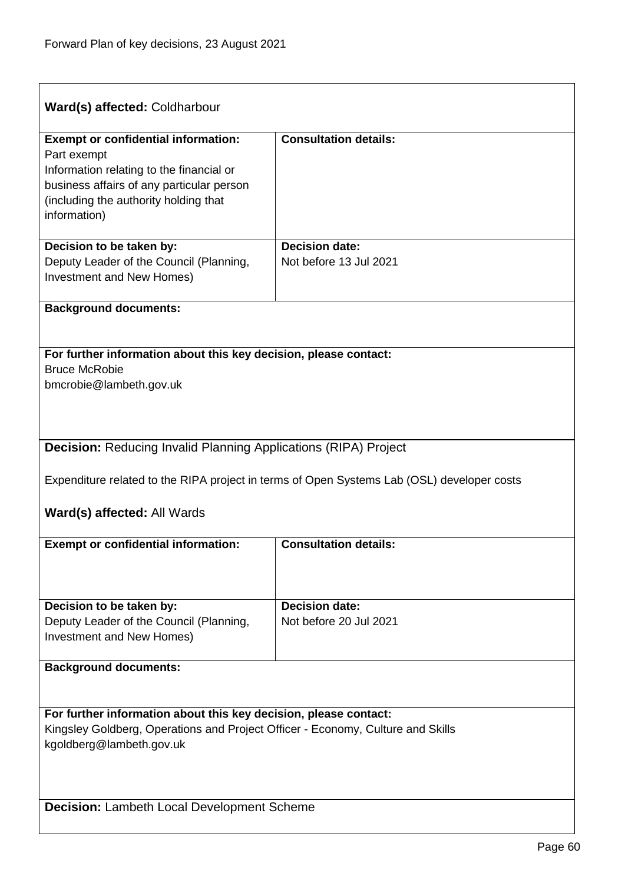| Ward(s) affected: Coldharbour                                                                               |                                                                                            |  |
|-------------------------------------------------------------------------------------------------------------|--------------------------------------------------------------------------------------------|--|
| <b>Exempt or confidential information:</b>                                                                  | <b>Consultation details:</b>                                                               |  |
| Part exempt                                                                                                 |                                                                                            |  |
| Information relating to the financial or                                                                    |                                                                                            |  |
| business affairs of any particular person                                                                   |                                                                                            |  |
| (including the authority holding that                                                                       |                                                                                            |  |
| information)                                                                                                |                                                                                            |  |
| Decision to be taken by:                                                                                    | <b>Decision date:</b>                                                                      |  |
| Deputy Leader of the Council (Planning,                                                                     | Not before 13 Jul 2021                                                                     |  |
| Investment and New Homes)                                                                                   |                                                                                            |  |
|                                                                                                             |                                                                                            |  |
| <b>Background documents:</b>                                                                                |                                                                                            |  |
|                                                                                                             |                                                                                            |  |
| For further information about this key decision, please contact:                                            |                                                                                            |  |
| <b>Bruce McRobie</b>                                                                                        |                                                                                            |  |
| bmcrobie@lambeth.gov.uk                                                                                     |                                                                                            |  |
|                                                                                                             |                                                                                            |  |
|                                                                                                             |                                                                                            |  |
| <b>Decision: Reducing Invalid Planning Applications (RIPA) Project</b>                                      |                                                                                            |  |
|                                                                                                             |                                                                                            |  |
|                                                                                                             | Expenditure related to the RIPA project in terms of Open Systems Lab (OSL) developer costs |  |
|                                                                                                             |                                                                                            |  |
| <b>Ward(s) affected: All Wards</b>                                                                          |                                                                                            |  |
| <b>Exempt or confidential information:</b>                                                                  | <b>Consultation details:</b>                                                               |  |
|                                                                                                             |                                                                                            |  |
|                                                                                                             |                                                                                            |  |
|                                                                                                             |                                                                                            |  |
| Decision to be taken by:                                                                                    | <b>Decision date:</b><br>Not before 20 Jul 2021                                            |  |
| Deputy Leader of the Council (Planning,<br><b>Investment and New Homes)</b>                                 |                                                                                            |  |
|                                                                                                             |                                                                                            |  |
| <b>Background documents:</b>                                                                                |                                                                                            |  |
|                                                                                                             |                                                                                            |  |
|                                                                                                             |                                                                                            |  |
| For further information about this key decision, please contact:                                            |                                                                                            |  |
| Kingsley Goldberg, Operations and Project Officer - Economy, Culture and Skills<br>kgoldberg@lambeth.gov.uk |                                                                                            |  |
|                                                                                                             |                                                                                            |  |
|                                                                                                             |                                                                                            |  |
|                                                                                                             |                                                                                            |  |
| <b>Decision: Lambeth Local Development Scheme</b>                                                           |                                                                                            |  |
|                                                                                                             |                                                                                            |  |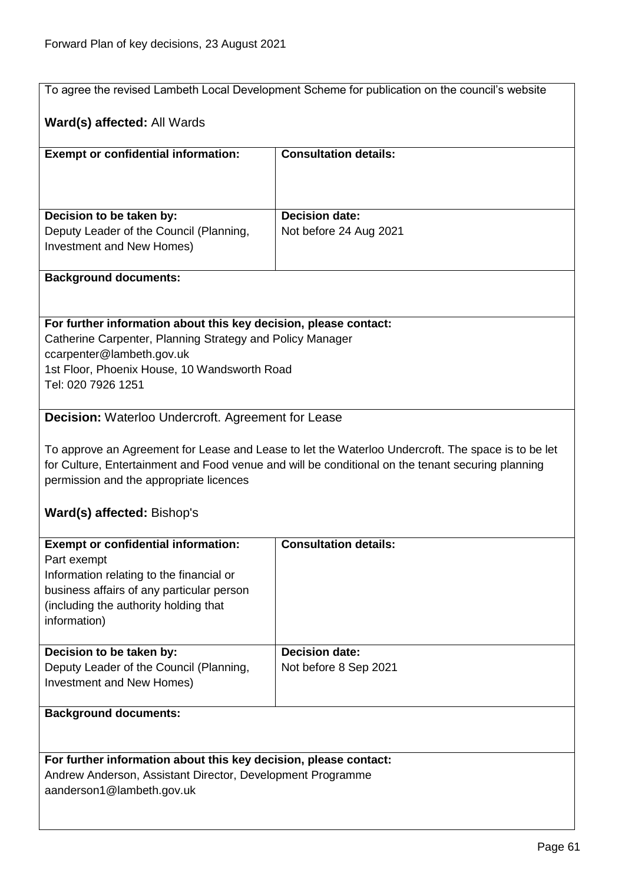ı

|                                                                           | To agree the revised Lambeth Local Development Scheme for publication on the council's website     |  |
|---------------------------------------------------------------------------|----------------------------------------------------------------------------------------------------|--|
|                                                                           |                                                                                                    |  |
| Ward(s) affected: All Wards                                               |                                                                                                    |  |
|                                                                           |                                                                                                    |  |
| <b>Exempt or confidential information:</b>                                | <b>Consultation details:</b>                                                                       |  |
|                                                                           |                                                                                                    |  |
|                                                                           |                                                                                                    |  |
| Decision to be taken by:                                                  | <b>Decision date:</b>                                                                              |  |
| Deputy Leader of the Council (Planning,                                   | Not before 24 Aug 2021                                                                             |  |
| Investment and New Homes)                                                 |                                                                                                    |  |
|                                                                           |                                                                                                    |  |
| <b>Background documents:</b>                                              |                                                                                                    |  |
|                                                                           |                                                                                                    |  |
|                                                                           |                                                                                                    |  |
| For further information about this key decision, please contact:          |                                                                                                    |  |
| Catherine Carpenter, Planning Strategy and Policy Manager                 |                                                                                                    |  |
| ccarpenter@lambeth.gov.uk<br>1st Floor, Phoenix House, 10 Wandsworth Road |                                                                                                    |  |
| Tel: 020 7926 1251                                                        |                                                                                                    |  |
|                                                                           |                                                                                                    |  |
| <b>Decision:</b> Waterloo Undercroft. Agreement for Lease                 |                                                                                                    |  |
|                                                                           |                                                                                                    |  |
|                                                                           | To approve an Agreement for Lease and Lease to let the Waterloo Undercroft. The space is to be let |  |
|                                                                           | for Culture, Entertainment and Food venue and will be conditional on the tenant securing planning  |  |
| permission and the appropriate licences                                   |                                                                                                    |  |
|                                                                           |                                                                                                    |  |
| Ward(s) affected: Bishop's                                                |                                                                                                    |  |
|                                                                           |                                                                                                    |  |
| <b>Exempt or confidential information:</b>                                | <b>Consultation details:</b>                                                                       |  |
| Part exempt<br>Information relating to the financial or                   |                                                                                                    |  |
| business affairs of any particular person                                 |                                                                                                    |  |
| (including the authority holding that                                     |                                                                                                    |  |
| information)                                                              |                                                                                                    |  |
|                                                                           |                                                                                                    |  |
| Decision to be taken by:                                                  | <b>Decision date:</b>                                                                              |  |
| Deputy Leader of the Council (Planning,                                   | Not before 8 Sep 2021                                                                              |  |
| Investment and New Homes)                                                 |                                                                                                    |  |
|                                                                           |                                                                                                    |  |
| <b>Background documents:</b>                                              |                                                                                                    |  |
|                                                                           |                                                                                                    |  |
| For further information about this key decision, please contact:          |                                                                                                    |  |
| Andrew Anderson, Assistant Director, Development Programme                |                                                                                                    |  |
| aanderson1@lambeth.gov.uk                                                 |                                                                                                    |  |
|                                                                           |                                                                                                    |  |
|                                                                           |                                                                                                    |  |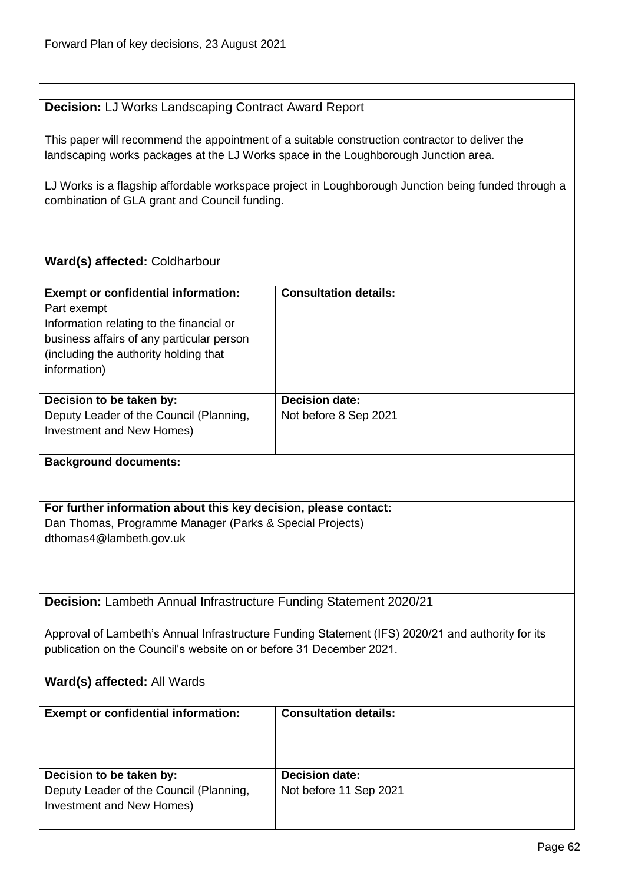## **Decision:** LJ Works Landscaping Contract Award Report

This paper will recommend the appointment of a suitable construction contractor to deliver the landscaping works packages at the LJ Works space in the Loughborough Junction area.

LJ Works is a flagship affordable workspace project in Loughborough Junction being funded through a combination of GLA grant and Council funding.

## **Ward(s) affected:** Coldharbour

| <b>Exempt or confidential information:</b><br>Part exempt<br>Information relating to the financial or<br>business affairs of any particular person<br>(including the authority holding that<br>information) | <b>Consultation details:</b>                   |
|-------------------------------------------------------------------------------------------------------------------------------------------------------------------------------------------------------------|------------------------------------------------|
| Decision to be taken by:<br>Deputy Leader of the Council (Planning,<br>Investment and New Homes)                                                                                                            | <b>Decision date:</b><br>Not before 8 Sep 2021 |
|                                                                                                                                                                                                             |                                                |

### **Background documents:**

**For further information about this key decision, please contact:**

Dan Thomas, Programme Manager (Parks & Special Projects) dthomas4@lambeth.gov.uk

**Decision:** Lambeth Annual Infrastructure Funding Statement 2020/21

Approval of Lambeth's Annual Infrastructure Funding Statement (IFS) 2020/21 and authority for its publication on the Council's website on or before 31 December 2021.

| <b>Exempt or confidential information:</b>                                                       | <b>Consultation details:</b>                    |
|--------------------------------------------------------------------------------------------------|-------------------------------------------------|
| Decision to be taken by:<br>Deputy Leader of the Council (Planning,<br>Investment and New Homes) | <b>Decision date:</b><br>Not before 11 Sep 2021 |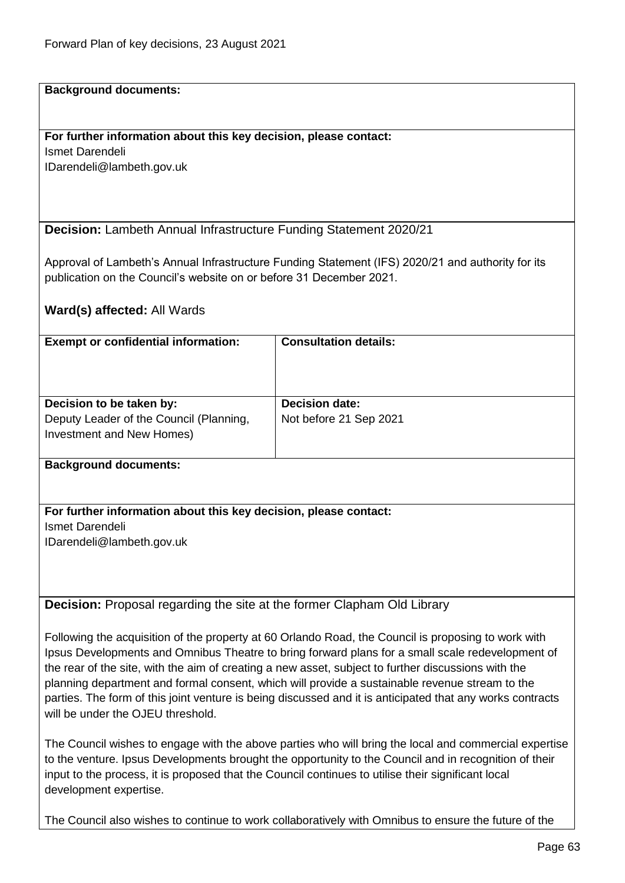#### **Background documents:**

## **For further information about this key decision, please contact:**

Ismet Darendeli IDarendeli@lambeth.gov.uk

**Decision:** Lambeth Annual Infrastructure Funding Statement 2020/21

Approval of Lambeth's Annual Infrastructure Funding Statement (IFS) 2020/21 and authority for its publication on the Council's website on or before 31 December 2021.

## **Ward(s) affected:** All Wards

| <b>Exempt or confidential information:</b>                                                       | <b>Consultation details:</b>                    |
|--------------------------------------------------------------------------------------------------|-------------------------------------------------|
| Decision to be taken by:<br>Deputy Leader of the Council (Planning,<br>Investment and New Homes) | <b>Decision date:</b><br>Not before 21 Sep 2021 |

#### **Background documents:**

### **For further information about this key decision, please contact:**

Ismet Darendeli IDarendeli@lambeth.gov.uk

**Decision:** Proposal regarding the site at the former Clapham Old Library

Following the acquisition of the property at 60 Orlando Road, the Council is proposing to work with Ipsus Developments and Omnibus Theatre to bring forward plans for a small scale redevelopment of the rear of the site, with the aim of creating a new asset, subject to further discussions with the planning department and formal consent, which will provide a sustainable revenue stream to the parties. The form of this joint venture is being discussed and it is anticipated that any works contracts will be under the OJEU threshold.

The Council wishes to engage with the above parties who will bring the local and commercial expertise to the venture. Ipsus Developments brought the opportunity to the Council and in recognition of their input to the process, it is proposed that the Council continues to utilise their significant local development expertise.

The Council also wishes to continue to work collaboratively with Omnibus to ensure the future of the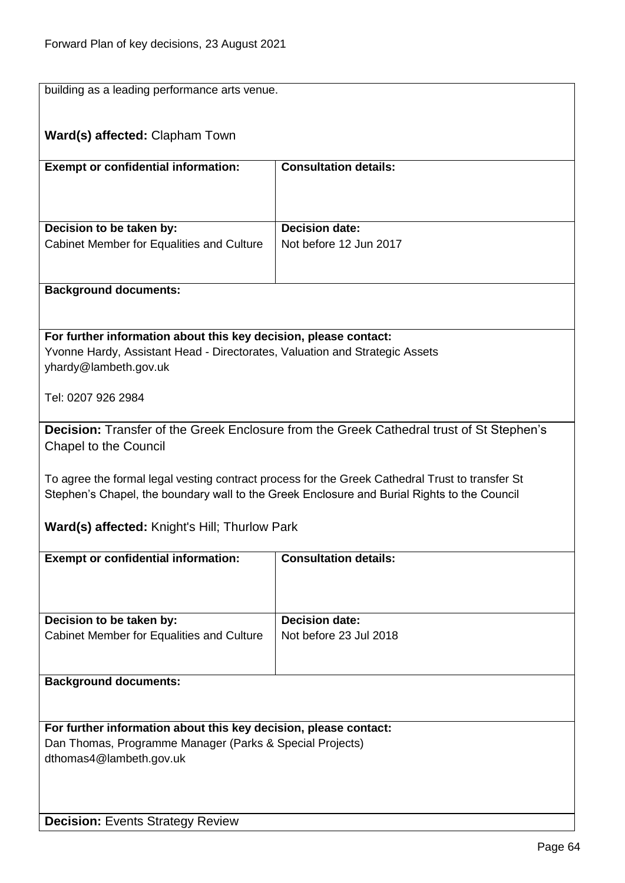| building as a leading performance arts venue.                                                        |                                                                                                 |  |
|------------------------------------------------------------------------------------------------------|-------------------------------------------------------------------------------------------------|--|
| <b>Ward(s) affected: Clapham Town</b>                                                                |                                                                                                 |  |
| <b>Exempt or confidential information:</b>                                                           | <b>Consultation details:</b>                                                                    |  |
|                                                                                                      |                                                                                                 |  |
| Decision to be taken by:                                                                             | <b>Decision date:</b>                                                                           |  |
| Cabinet Member for Equalities and Culture                                                            | Not before 12 Jun 2017                                                                          |  |
| <b>Background documents:</b>                                                                         |                                                                                                 |  |
|                                                                                                      |                                                                                                 |  |
| For further information about this key decision, please contact:                                     |                                                                                                 |  |
| Yvonne Hardy, Assistant Head - Directorates, Valuation and Strategic Assets<br>yhardy@lambeth.gov.uk |                                                                                                 |  |
| Tel: 0207 926 2984                                                                                   |                                                                                                 |  |
|                                                                                                      | Decision: Transfer of the Greek Enclosure from the Greek Cathedral trust of St Stephen's        |  |
| <b>Chapel to the Council</b>                                                                         |                                                                                                 |  |
|                                                                                                      | To agree the formal legal vesting contract process for the Greek Cathedral Trust to transfer St |  |
|                                                                                                      | Stephen's Chapel, the boundary wall to the Greek Enclosure and Burial Rights to the Council     |  |
| <b>Ward(s) affected:</b> Knight's Hill; Thurlow Park                                                 |                                                                                                 |  |
| <b>Exempt or confidential information:</b>                                                           | <b>Consultation details:</b>                                                                    |  |
|                                                                                                      |                                                                                                 |  |
| Decision to be taken by:                                                                             | <b>Decision date:</b>                                                                           |  |
| Cabinet Member for Equalities and Culture                                                            | Not before 23 Jul 2018                                                                          |  |
| <b>Background documents:</b>                                                                         |                                                                                                 |  |
|                                                                                                      |                                                                                                 |  |
| For further information about this key decision, please contact:                                     |                                                                                                 |  |
| Dan Thomas, Programme Manager (Parks & Special Projects)<br>dthomas4@lambeth.gov.uk                  |                                                                                                 |  |
|                                                                                                      |                                                                                                 |  |
| <b>Decision: Events Strategy Review</b>                                                              |                                                                                                 |  |
|                                                                                                      |                                                                                                 |  |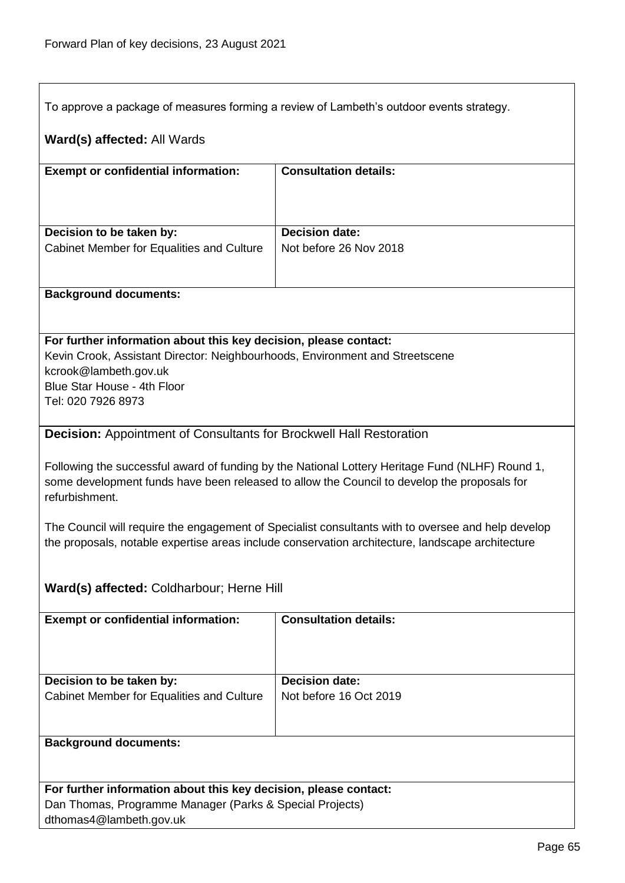To approve a package of measures forming a review of Lambeth's outdoor events strategy.

## **Ward(s) affected:** All Wards

| <b>Exempt or confidential information:</b> | <b>Consultation details:</b> |
|--------------------------------------------|------------------------------|
| Decision to be taken by:                   | <b>Decision date:</b>        |
| Cabinet Member for Equalities and Culture  | Not before 26 Nov 2018       |
|                                            |                              |
|                                            |                              |

#### **Background documents:**

### **For further information about this key decision, please contact:**

Kevin Crook, Assistant Director: Neighbourhoods, Environment and Streetscene kcrook@lambeth.gov.uk Blue Star House - 4th Floor Tel: 020 7926 8973

## **Decision:** Appointment of Consultants for Brockwell Hall Restoration

Following the successful award of funding by the National Lottery Heritage Fund (NLHF) Round 1, some development funds have been released to allow the Council to develop the proposals for refurbishment.

The Council will require the engagement of Specialist consultants with to oversee and help develop the proposals, notable expertise areas include conservation architecture, landscape architecture

## **Ward(s) affected:** Coldharbour; Herne Hill

| <b>Exempt or confidential information:</b>                            | <b>Consultation details:</b>                    |
|-----------------------------------------------------------------------|-------------------------------------------------|
| Decision to be taken by:<br>Cabinet Member for Equalities and Culture | <b>Decision date:</b><br>Not before 16 Oct 2019 |
| <b>Background documents:</b>                                          |                                                 |

| For further information about this key decision, please contact: |
|------------------------------------------------------------------|
| Dan Thomas, Programme Manager (Parks & Special Projects)         |
| dthomas4@lambeth.gov.uk                                          |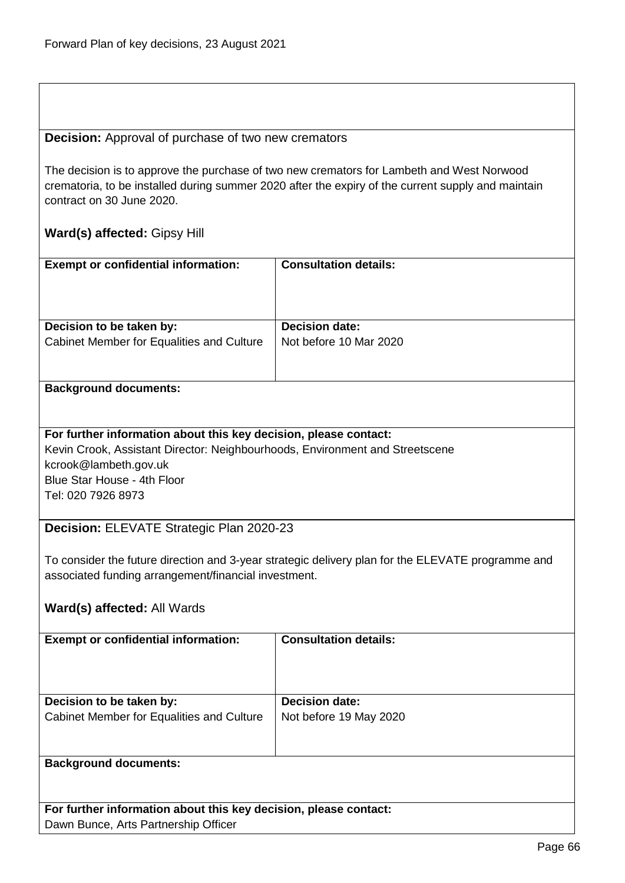### **Decision:** Approval of purchase of two new cremators

The decision is to approve the purchase of two new cremators for Lambeth and West Norwood crematoria, to be installed during summer 2020 after the expiry of the current supply and maintain contract on 30 June 2020.

## **Ward(s) affected:** Gipsy Hill

| <b>Exempt or confidential information:</b> | <b>Consultation details:</b> |
|--------------------------------------------|------------------------------|
| Decision to be taken by:                   | <b>Decision date:</b>        |
| Cabinet Member for Equalities and Culture  | Not before 10 Mar 2020       |

## **Background documents:**

## **For further information about this key decision, please contact:** Kevin Crook, Assistant Director: Neighbourhoods, Environment and Streetscene kcrook@lambeth.gov.uk Blue Star House - 4th Floor Tel: 020 7926 8973

## **Decision:** ELEVATE Strategic Plan 2020-23

To consider the future direction and 3-year strategic delivery plan for the ELEVATE programme and associated funding arrangement/financial investment.

## **Ward(s) affected:** All Wards

| <b>Exempt or confidential information:</b> | <b>Consultation details:</b> |
|--------------------------------------------|------------------------------|
| Decision to be taken by:                   | <b>Decision date:</b>        |
| Cabinet Member for Equalities and Culture  | Not before 19 May 2020       |
| <b>Background documents:</b>               |                              |

**For further information about this key decision, please contact:** Dawn Bunce, Arts Partnership Officer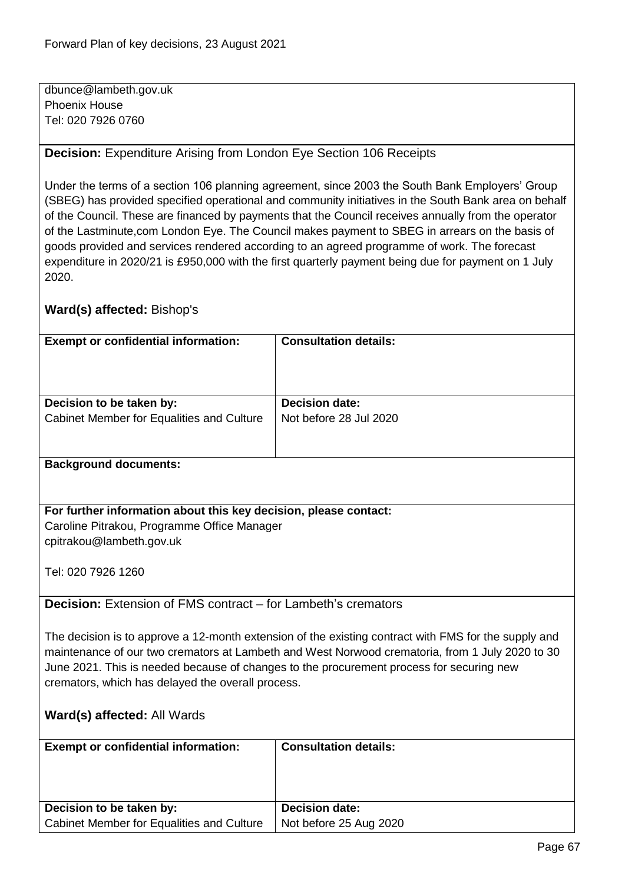dbunce@lambeth.gov.uk Phoenix House Tel: 020 7926 0760

## **Decision:** Expenditure Arising from London Eye Section 106 Receipts

Under the terms of a section 106 planning agreement, since 2003 the South Bank Employers' Group (SBEG) has provided specified operational and community initiatives in the South Bank area on behalf of the Council. These are financed by payments that the Council receives annually from the operator of the Lastminute,com London Eye. The Council makes payment to SBEG in arrears on the basis of goods provided and services rendered according to an agreed programme of work. The forecast expenditure in 2020/21 is £950,000 with the first quarterly payment being due for payment on 1 July 2020.

## **Ward(s) affected:** Bishop's

| <b>Exempt or confidential information:</b> | <b>Consultation details:</b> |
|--------------------------------------------|------------------------------|
| Decision to be taken by:                   | <b>Decision date:</b>        |
|                                            |                              |
| Cabinet Member for Equalities and Culture  | Not before 28 Jul 2020       |
| <b>Background documents:</b>               |                              |

## **For further information about this key decision, please contact:** Caroline Pitrakou, Programme Office Manager

cpitrakou@lambeth.gov.uk

Tel: 020 7926 1260

## **Decision:** Extension of FMS contract – for Lambeth's cremators

The decision is to approve a 12-month extension of the existing contract with FMS for the supply and maintenance of our two cremators at Lambeth and West Norwood crematoria, from 1 July 2020 to 30 June 2021. This is needed because of changes to the procurement process for securing new cremators, which has delayed the overall process.

| <b>Exempt or confidential information:</b> | <b>Consultation details:</b> |
|--------------------------------------------|------------------------------|
| Decision to be taken by:                   | <b>Decision date:</b>        |
| Cabinet Member for Equalities and Culture  | Not before 25 Aug 2020       |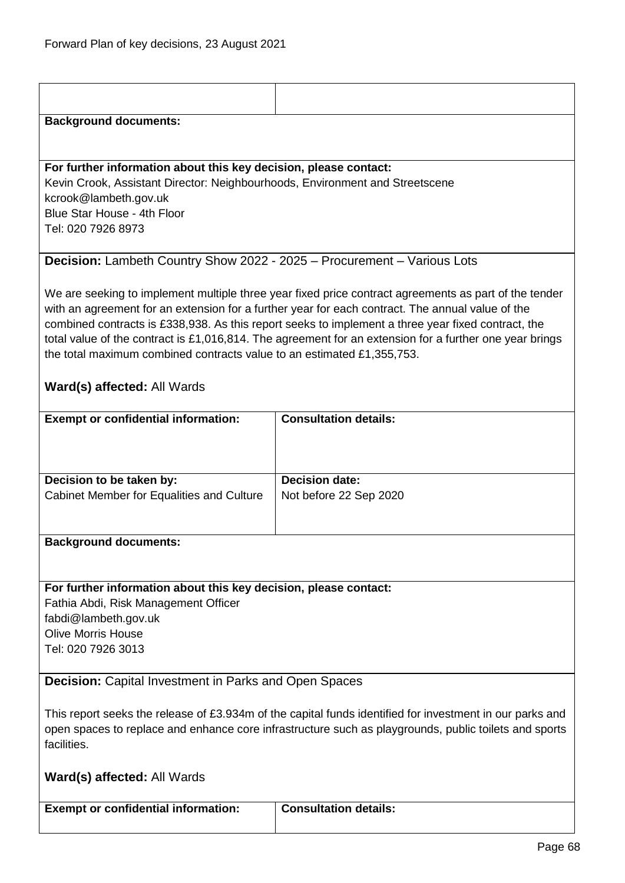| <b>Background documents:</b>                                                                                                                                                                                                   |                                                                                                                                                                                                                                                                                                                                                                                                                            |
|--------------------------------------------------------------------------------------------------------------------------------------------------------------------------------------------------------------------------------|----------------------------------------------------------------------------------------------------------------------------------------------------------------------------------------------------------------------------------------------------------------------------------------------------------------------------------------------------------------------------------------------------------------------------|
|                                                                                                                                                                                                                                |                                                                                                                                                                                                                                                                                                                                                                                                                            |
| For further information about this key decision, please contact:<br>Kevin Crook, Assistant Director: Neighbourhoods, Environment and Streetscene<br>kcrook@lambeth.gov.uk<br>Blue Star House - 4th Floor<br>Tel: 020 7926 8973 |                                                                                                                                                                                                                                                                                                                                                                                                                            |
| Decision: Lambeth Country Show 2022 - 2025 - Procurement - Various Lots                                                                                                                                                        |                                                                                                                                                                                                                                                                                                                                                                                                                            |
| the total maximum combined contracts value to an estimated £1,355,753.<br>Ward(s) affected: All Wards                                                                                                                          | We are seeking to implement multiple three year fixed price contract agreements as part of the tender<br>with an agreement for an extension for a further year for each contract. The annual value of the<br>combined contracts is £338,938. As this report seeks to implement a three year fixed contract, the<br>total value of the contract is £1,016,814. The agreement for an extension for a further one year brings |
| <b>Exempt or confidential information:</b>                                                                                                                                                                                     | <b>Consultation details:</b>                                                                                                                                                                                                                                                                                                                                                                                               |
|                                                                                                                                                                                                                                |                                                                                                                                                                                                                                                                                                                                                                                                                            |
| Decision to be taken by:<br>Cabinet Member for Equalities and Culture                                                                                                                                                          | <b>Decision date:</b><br>Not before 22 Sep 2020                                                                                                                                                                                                                                                                                                                                                                            |
| <b>Background documents:</b>                                                                                                                                                                                                   |                                                                                                                                                                                                                                                                                                                                                                                                                            |
|                                                                                                                                                                                                                                |                                                                                                                                                                                                                                                                                                                                                                                                                            |
| For further information about this key decision, please contact:<br>Fathia Abdi, Risk Management Officer<br>fabdi@lambeth.gov.uk<br><b>Olive Morris House</b><br>Tel: 020 7926 3013                                            |                                                                                                                                                                                                                                                                                                                                                                                                                            |
| <b>Decision:</b> Capital Investment in Parks and Open Spaces                                                                                                                                                                   |                                                                                                                                                                                                                                                                                                                                                                                                                            |
| facilities.                                                                                                                                                                                                                    | This report seeks the release of £3.934m of the capital funds identified for investment in our parks and<br>open spaces to replace and enhance core infrastructure such as playgrounds, public toilets and sports                                                                                                                                                                                                          |
| <b>Ward(s) affected: All Wards</b>                                                                                                                                                                                             |                                                                                                                                                                                                                                                                                                                                                                                                                            |
| <b>Exempt or confidential information:</b>                                                                                                                                                                                     | <b>Consultation details:</b>                                                                                                                                                                                                                                                                                                                                                                                               |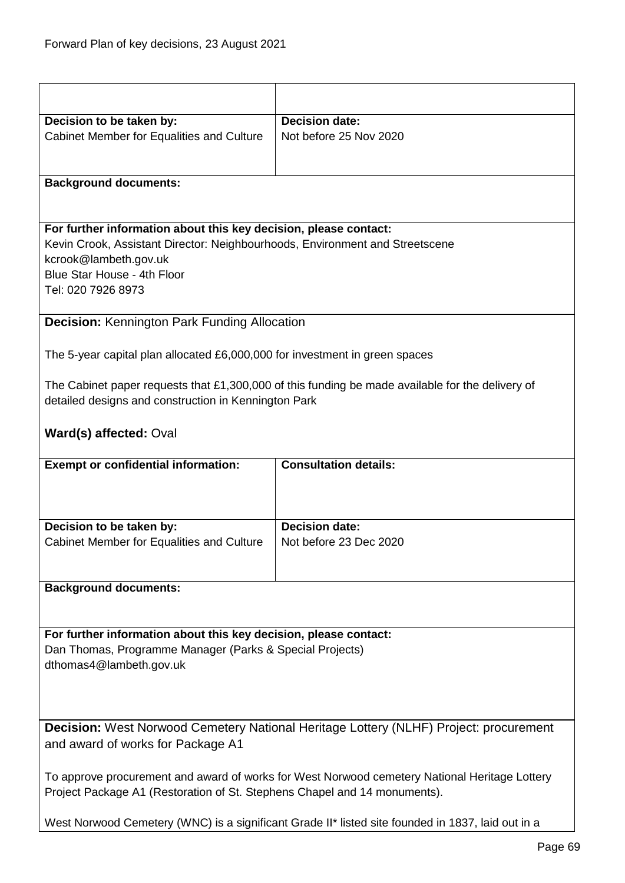| Decision to be taken by:                                                     | <b>Decision date:</b>                                                                            |
|------------------------------------------------------------------------------|--------------------------------------------------------------------------------------------------|
| Cabinet Member for Equalities and Culture                                    | Not before 25 Nov 2020                                                                           |
|                                                                              |                                                                                                  |
|                                                                              |                                                                                                  |
|                                                                              |                                                                                                  |
| <b>Background documents:</b>                                                 |                                                                                                  |
|                                                                              |                                                                                                  |
|                                                                              |                                                                                                  |
| For further information about this key decision, please contact:             |                                                                                                  |
| Kevin Crook, Assistant Director: Neighbourhoods, Environment and Streetscene |                                                                                                  |
| kcrook@lambeth.gov.uk                                                        |                                                                                                  |
| Blue Star House - 4th Floor                                                  |                                                                                                  |
| Tel: 020 7926 8973                                                           |                                                                                                  |
|                                                                              |                                                                                                  |
| <b>Decision: Kennington Park Funding Allocation</b>                          |                                                                                                  |
|                                                                              |                                                                                                  |
| The 5-year capital plan allocated £6,000,000 for investment in green spaces  |                                                                                                  |
|                                                                              |                                                                                                  |
|                                                                              | The Cabinet paper requests that £1,300,000 of this funding be made available for the delivery of |
| detailed designs and construction in Kennington Park                         |                                                                                                  |
|                                                                              |                                                                                                  |
| Ward(s) affected: Oval                                                       |                                                                                                  |
|                                                                              |                                                                                                  |
|                                                                              |                                                                                                  |
|                                                                              | <b>Consultation details:</b>                                                                     |
| <b>Exempt or confidential information:</b>                                   |                                                                                                  |
|                                                                              |                                                                                                  |
|                                                                              |                                                                                                  |
|                                                                              |                                                                                                  |
| Decision to be taken by:                                                     | <b>Decision date:</b>                                                                            |
| Cabinet Member for Equalities and Culture                                    | Not before 23 Dec 2020                                                                           |
|                                                                              |                                                                                                  |
|                                                                              |                                                                                                  |
| <b>Background documents:</b>                                                 |                                                                                                  |
|                                                                              |                                                                                                  |
|                                                                              |                                                                                                  |
| For further information about this key decision, please contact:             |                                                                                                  |
| Dan Thomas, Programme Manager (Parks & Special Projects)                     |                                                                                                  |
| dthomas4@lambeth.gov.uk                                                      |                                                                                                  |
|                                                                              |                                                                                                  |
|                                                                              |                                                                                                  |
|                                                                              |                                                                                                  |
|                                                                              | <b>Decision:</b> West Norwood Cemetery National Heritage Lottery (NLHF) Project: procurement     |
| and award of works for Package A1                                            |                                                                                                  |
|                                                                              |                                                                                                  |
|                                                                              | To approve procurement and award of works for West Norwood cemetery National Heritage Lottery    |
| Project Package A1 (Restoration of St. Stephens Chapel and 14 monuments).    |                                                                                                  |
|                                                                              |                                                                                                  |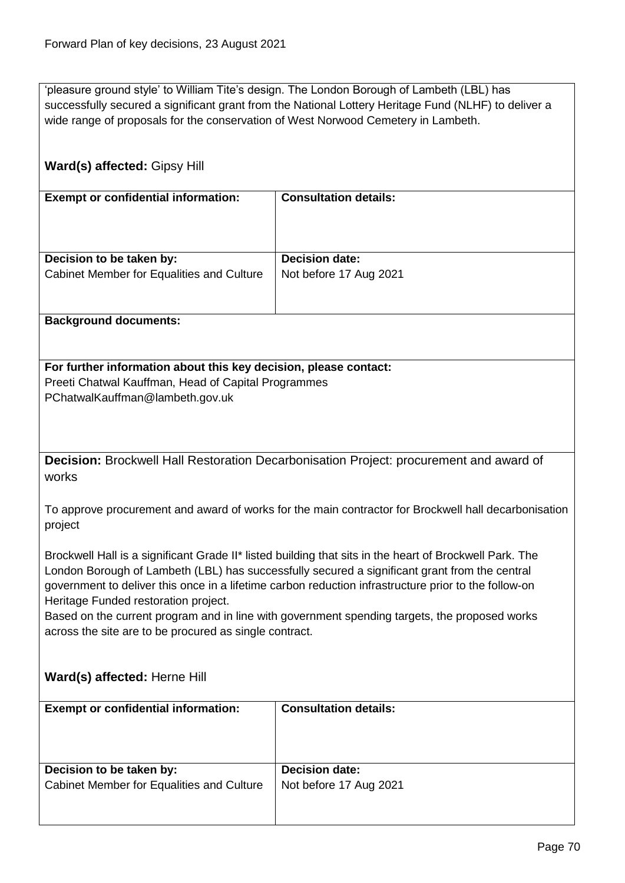'pleasure ground style' to William Tite's design. The London Borough of Lambeth (LBL) has successfully secured a significant grant from the National Lottery Heritage Fund (NLHF) to deliver a wide range of proposals for the conservation of West Norwood Cemetery in Lambeth.

# **Ward(s) affected:** Gipsy Hill **Exempt or confidential information: Consultation details: Decision to be taken by:** Cabinet Member for Equalities and Culture **Decision date:** Not before 17 Aug 2021 **Background documents: For further information about this key decision, please contact:** Preeti Chatwal Kauffman, Head of Capital Programmes PChatwalKauffman@lambeth.gov.uk **Decision:** Brockwell Hall Restoration Decarbonisation Project: procurement and award of works To approve procurement and award of works for the main contractor for Brockwell hall decarbonisation project Brockwell Hall is a significant Grade II\* listed building that sits in the heart of Brockwell Park. The London Borough of Lambeth (LBL) has successfully secured a significant grant from the central government to deliver this once in a lifetime carbon reduction infrastructure prior to the follow-on Heritage Funded restoration project. Based on the current program and in line with government spending targets, the proposed works across the site are to be procured as single contract. **Ward(s) affected:** Herne Hill **Exempt or confidential information: Consultation details: Decision to be taken by:** Cabinet Member for Equalities and Culture **Decision date:** Not before 17 Aug 2021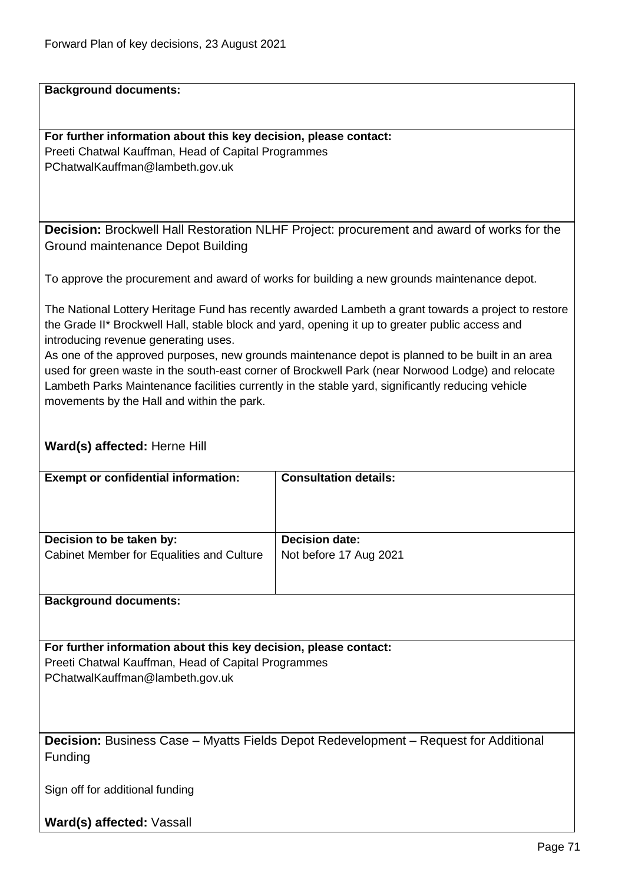**Background documents:**

**For further information about this key decision, please contact:** Preeti Chatwal Kauffman, Head of Capital Programmes PChatwalKauffman@lambeth.gov.uk

**Decision:** Brockwell Hall Restoration NLHF Project: procurement and award of works for the Ground maintenance Depot Building

To approve the procurement and award of works for building a new grounds maintenance depot.

The National Lottery Heritage Fund has recently awarded Lambeth a grant towards a project to restore the Grade II\* Brockwell Hall, stable block and yard, opening it up to greater public access and introducing revenue generating uses.

As one of the approved purposes, new grounds maintenance depot is planned to be built in an area used for green waste in the south-east corner of Brockwell Park (near Norwood Lodge) and relocate Lambeth Parks Maintenance facilities currently in the stable yard, significantly reducing vehicle movements by the Hall and within the park.

## **Ward(s) affected:** Herne Hill

| <b>Exempt or confidential information:</b> | <b>Consultation details:</b> |
|--------------------------------------------|------------------------------|
| Decision to be taken by:                   | <b>Decision date:</b>        |
| Cabinet Member for Equalities and Culture  | Not before 17 Aug 2021       |

### **Background documents:**

**For further information about this key decision, please contact:** Preeti Chatwal Kauffman, Head of Capital Programmes PChatwalKauffman@lambeth.gov.uk

**Decision:** Business Case – Myatts Fields Depot Redevelopment – Request for Additional Funding

Sign off for additional funding

**Ward(s) affected:** Vassall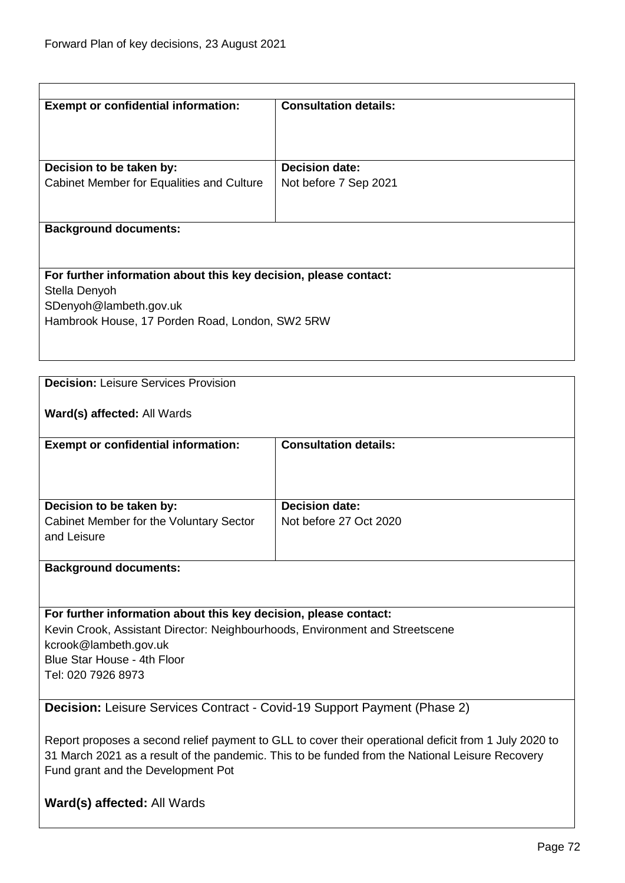| <b>Exempt or confidential information:</b>                                                            | <b>Consultation details:</b> |  |
|-------------------------------------------------------------------------------------------------------|------------------------------|--|
|                                                                                                       |                              |  |
| Decision to be taken by:                                                                              | <b>Decision date:</b>        |  |
| Cabinet Member for Equalities and Culture                                                             | Not before 7 Sep 2021        |  |
|                                                                                                       |                              |  |
| <b>Background documents:</b>                                                                          |                              |  |
|                                                                                                       |                              |  |
| For further information about this key decision, please contact:<br>Stella Denyoh                     |                              |  |
| SDenyoh@lambeth.gov.uk                                                                                |                              |  |
| Hambrook House, 17 Porden Road, London, SW2 5RW                                                       |                              |  |
|                                                                                                       |                              |  |
| <b>Decision: Leisure Services Provision</b>                                                           |                              |  |
|                                                                                                       |                              |  |
| Ward(s) affected: All Wards                                                                           |                              |  |
| <b>Exempt or confidential information:</b>                                                            | <b>Consultation details:</b> |  |
|                                                                                                       |                              |  |
| Decision to be taken by:                                                                              | <b>Decision date:</b>        |  |
| Cabinet Member for the Voluntary Sector                                                               | Not before 27 Oct 2020       |  |
| and Leisure                                                                                           |                              |  |
| <b>Background documents:</b>                                                                          |                              |  |
|                                                                                                       |                              |  |
| For further information about this key decision, please contact:                                      |                              |  |
| Kevin Crook, Assistant Director: Neighbourhoods, Environment and Streetscene<br>kcrook@lambeth.gov.uk |                              |  |
| Blue Star House - 4th Floor                                                                           |                              |  |
| Tel: 020 7926 8973                                                                                    |                              |  |
| <b>Decision:</b> Leisure Services Contract - Covid-19 Support Payment (Phase 2)                       |                              |  |
| Report proposes a second relief payment to GLL to cover their operational deficit from 1 July 2020 to |                              |  |
| 31 March 2021 as a result of the pandemic. This to be funded from the National Leisure Recovery       |                              |  |
| Fund grant and the Development Pot                                                                    |                              |  |
| Ward(s) affected: All Wards                                                                           |                              |  |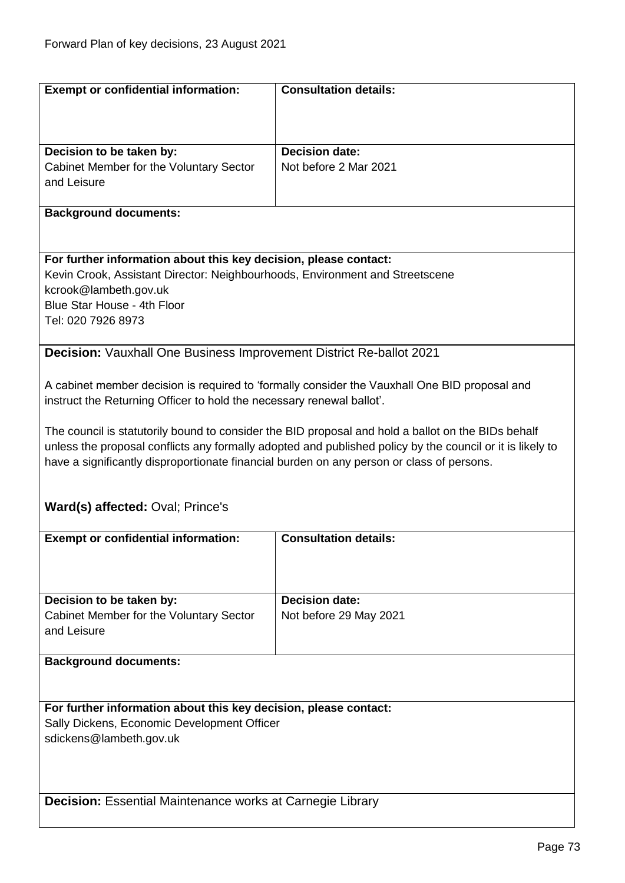| <b>Exempt or confidential information:</b>                                                | <b>Consultation details:</b>                                                                              |  |  |
|-------------------------------------------------------------------------------------------|-----------------------------------------------------------------------------------------------------------|--|--|
|                                                                                           |                                                                                                           |  |  |
|                                                                                           |                                                                                                           |  |  |
|                                                                                           |                                                                                                           |  |  |
| Decision to be taken by:                                                                  | <b>Decision date:</b>                                                                                     |  |  |
| Cabinet Member for the Voluntary Sector                                                   | Not before 2 Mar 2021                                                                                     |  |  |
| and Leisure                                                                               |                                                                                                           |  |  |
|                                                                                           |                                                                                                           |  |  |
| <b>Background documents:</b>                                                              |                                                                                                           |  |  |
|                                                                                           |                                                                                                           |  |  |
|                                                                                           |                                                                                                           |  |  |
| For further information about this key decision, please contact:                          |                                                                                                           |  |  |
| Kevin Crook, Assistant Director: Neighbourhoods, Environment and Streetscene              |                                                                                                           |  |  |
| kcrook@lambeth.gov.uk                                                                     |                                                                                                           |  |  |
| Blue Star House - 4th Floor                                                               |                                                                                                           |  |  |
| Tel: 020 7926 8973                                                                        |                                                                                                           |  |  |
|                                                                                           |                                                                                                           |  |  |
| <b>Decision:</b> Vauxhall One Business Improvement District Re-ballot 2021                |                                                                                                           |  |  |
|                                                                                           |                                                                                                           |  |  |
|                                                                                           |                                                                                                           |  |  |
|                                                                                           | A cabinet member decision is required to 'formally consider the Vauxhall One BID proposal and             |  |  |
| instruct the Returning Officer to hold the necessary renewal ballot'.                     |                                                                                                           |  |  |
|                                                                                           |                                                                                                           |  |  |
|                                                                                           | The council is statutorily bound to consider the BID proposal and hold a ballot on the BIDs behalf        |  |  |
|                                                                                           | unless the proposal conflicts any formally adopted and published policy by the council or it is likely to |  |  |
| have a significantly disproportionate financial burden on any person or class of persons. |                                                                                                           |  |  |
|                                                                                           |                                                                                                           |  |  |
|                                                                                           |                                                                                                           |  |  |
| Ward(s) affected: Oval; Prince's                                                          |                                                                                                           |  |  |
|                                                                                           |                                                                                                           |  |  |
| <b>Exempt or confidential information:</b>                                                | <b>Consultation details:</b>                                                                              |  |  |
|                                                                                           |                                                                                                           |  |  |
|                                                                                           |                                                                                                           |  |  |
|                                                                                           |                                                                                                           |  |  |
| Decision to be taken by:                                                                  | <b>Decision date:</b>                                                                                     |  |  |
| Cabinet Member for the Voluntary Sector                                                   | Not before 29 May 2021                                                                                    |  |  |
| and Leisure                                                                               |                                                                                                           |  |  |
|                                                                                           |                                                                                                           |  |  |
| <b>Background documents:</b>                                                              |                                                                                                           |  |  |
|                                                                                           |                                                                                                           |  |  |
|                                                                                           |                                                                                                           |  |  |
| For further information about this key decision, please contact:                          |                                                                                                           |  |  |
| Sally Dickens, Economic Development Officer                                               |                                                                                                           |  |  |
| sdickens@lambeth.gov.uk                                                                   |                                                                                                           |  |  |
|                                                                                           |                                                                                                           |  |  |
|                                                                                           |                                                                                                           |  |  |
|                                                                                           |                                                                                                           |  |  |
|                                                                                           |                                                                                                           |  |  |
|                                                                                           | <b>Decision:</b> Essential Maintenance works at Carnegie Library                                          |  |  |
|                                                                                           |                                                                                                           |  |  |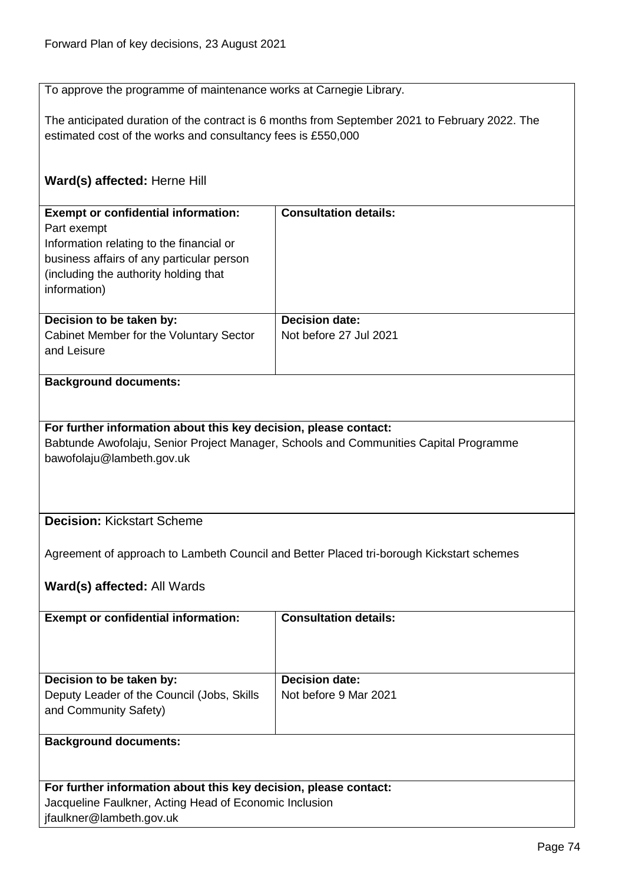To approve the programme of maintenance works at Carnegie Library.

The anticipated duration of the contract is 6 months from September 2021 to February 2022. The estimated cost of the works and consultancy fees is £550,000

# **Ward(s) affected:** Herne Hill

| <b>Exempt or confidential information:</b><br>Part exempt<br>Information relating to the financial or<br>business affairs of any particular person<br>(including the authority holding that)<br>information) | <b>Consultation details:</b>                    |
|--------------------------------------------------------------------------------------------------------------------------------------------------------------------------------------------------------------|-------------------------------------------------|
| Decision to be taken by:<br>Cabinet Member for the Voluntary Sector<br>and Leisure                                                                                                                           | <b>Decision date:</b><br>Not before 27 Jul 2021 |

# **Background documents:**

#### **For further information about this key decision, please contact:**

Babtunde Awofolaju, Senior Project Manager, Schools and Communities Capital Programme bawofolaju@lambeth.gov.uk

### **Decision:** Kickstart Scheme

Agreement of approach to Lambeth Council and Better Placed tri-borough Kickstart schemes

# **Ward(s) affected:** All Wards

| <b>Exempt or confidential information:</b>                          | <b>Consultation details:</b> |
|---------------------------------------------------------------------|------------------------------|
| Decision to be taken by:                                            | <b>Decision date:</b>        |
| Deputy Leader of the Council (Jobs, Skills<br>and Community Safety) | Not before 9 Mar 2021        |
| <b>Background documents:</b>                                        |                              |

| For further information about this key decision, please contact: |
|------------------------------------------------------------------|
| Jacqueline Faulkner, Acting Head of Economic Inclusion           |
| jfaulkner@lambeth.gov.uk                                         |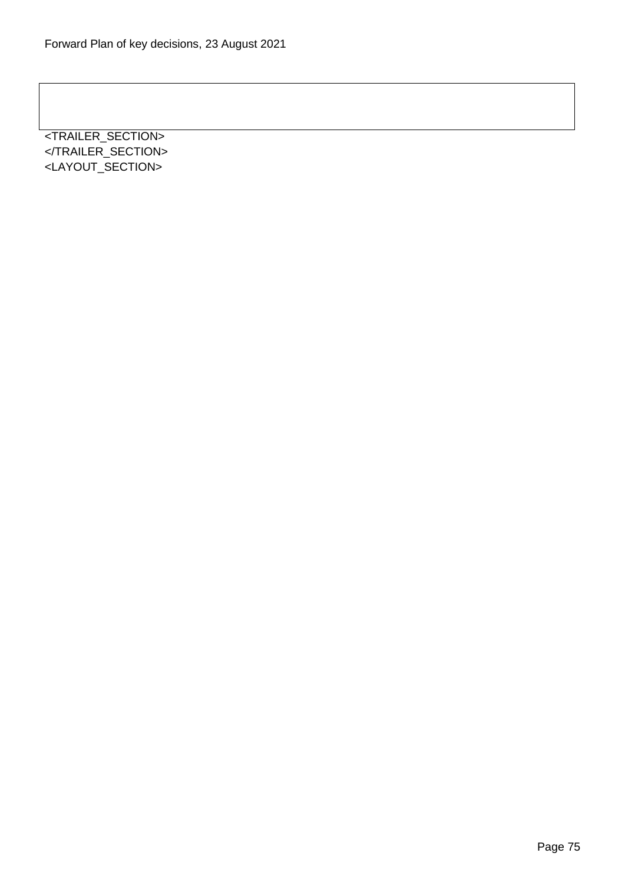<TRAILER\_SECTION> </TRAILER\_SECTION> <LAYOUT\_SECTION>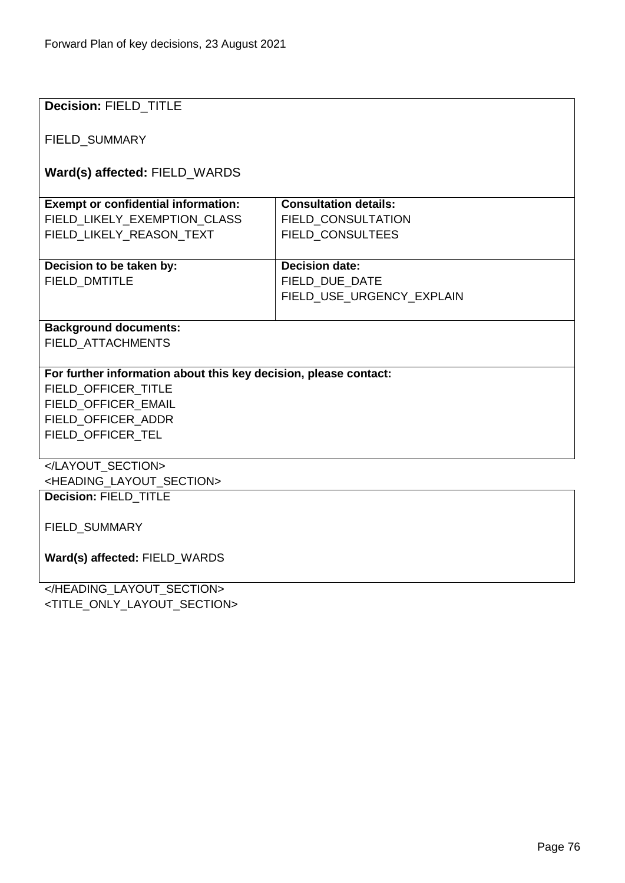| <b>Decision: FIELD TITLE</b>                                     |                              |  |
|------------------------------------------------------------------|------------------------------|--|
|                                                                  |                              |  |
| FIELD_SUMMARY                                                    |                              |  |
|                                                                  |                              |  |
| Ward(s) affected: FIELD_WARDS                                    |                              |  |
| <b>Exempt or confidential information:</b>                       | <b>Consultation details:</b> |  |
| FIELD_LIKELY_EXEMPTION_CLASS                                     | FIELD CONSULTATION           |  |
| FIELD LIKELY REASON TEXT                                         | <b>FIELD CONSULTEES</b>      |  |
|                                                                  |                              |  |
| Decision to be taken by:                                         | <b>Decision date:</b>        |  |
| <b>FIELD DMTITLE</b>                                             | FIELD DUE DATE               |  |
|                                                                  | FIELD_USE_URGENCY_EXPLAIN    |  |
|                                                                  |                              |  |
| <b>Background documents:</b>                                     |                              |  |
| <b>FIELD ATTACHMENTS</b>                                         |                              |  |
|                                                                  |                              |  |
| For further information about this key decision, please contact: |                              |  |
| FIELD OFFICER TITLE                                              |                              |  |
| FIELD_OFFICER_EMAIL                                              |                              |  |
| FIELD_OFFICER_ADDR<br>FIELD_OFFICER_TEL                          |                              |  |
|                                                                  |                              |  |
|                                                                  |                              |  |
| <heading_layout_section></heading_layout_section>                |                              |  |
| Decision: FIELD_TITLE                                            |                              |  |
|                                                                  |                              |  |
| FIELD_SUMMARY                                                    |                              |  |
|                                                                  |                              |  |
| Ward(s) affected: FIELD_WARDS                                    |                              |  |
| $\mu$ IFADING LAVOUT OFOTION                                     |                              |  |

</HEADING\_LAYOUT\_SECTION> <TITLE\_ONLY\_LAYOUT\_SECTION>